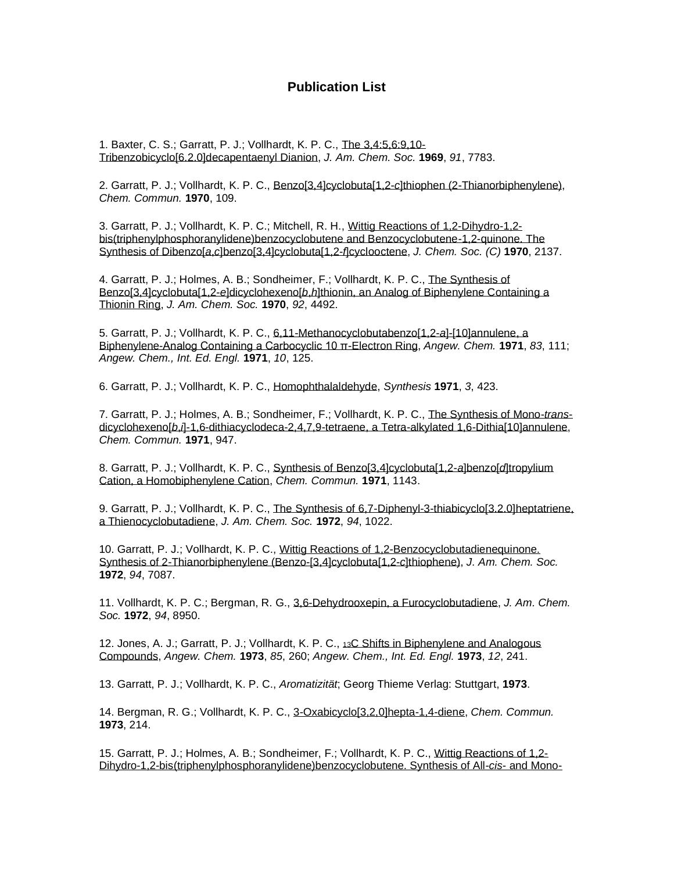## **Publication List**

1. Baxter, C. S.; Garratt, P. J.; Vollhardt, K. P. C., [The 3,4:5,6:9,10-](http://pubs.acs.org/cgi-bin/archive.cgi/jacsat/1969/91/i27/pdf/ja50001a067.pdf) [Tribenzobicyclo\[6.2.0\]decapentaenyl Dianion,](http://pubs.acs.org/cgi-bin/archive.cgi/jacsat/1969/91/i27/pdf/ja50001a067.pdf) *J. Am. Chem. Soc.* **1969**, *91*, 7783.

2. Garratt, P. J.; Vollhardt, K. P. C., Benzo[3,4]cyclobuta[1,2-*c*[\]thiophen \(2-Thianorbiphenylene\),](http://www.rsc.org/ejarchive/C2/1970/C29700000109.pdf) *Chem. Commun.* **1970**, 109.

3. Garratt, P. J.; Vollhardt, K. P. C.; Mitchell, R. H., [Wittig Reactions of 1,2-Dihydro-1,2](http://www.rsc.org/ejarchive/J3/1970/J39700002137.pdf) [bis\(triphenylphosphoranylidene\)benzocyclobutene and Benzocyclobutene-1,2-quinone. The](http://www.rsc.org/ejarchive/J3/1970/J39700002137.pdf)  Synthesis of Dibenzo[*a*,*c*[\]benzo\[3,4\]cyclobuta\[1,2-](http://www.rsc.org/ejarchive/J3/1970/J39700002137.pdf)*f*]cyclooctene, *J. Chem. Soc. (C)* **1970**, 2137.

4. Garratt, P. J.; Holmes, A. B.; Sondheimer, F.; Vollhardt, K. P. C., [The Synthesis of](http://pubs.acs.org/cgi-bin/sample.cgi/jacsat/1970/92/i14/pdf/ja00717a077.pdf)  Benzo[3,4]cyclobuta[1,2-*e*]dicyclohexeno[*b*,*h*[\]thionin, an Analog of Biphenylene Containing a](http://pubs.acs.org/cgi-bin/sample.cgi/jacsat/1970/92/i14/pdf/ja00717a077.pdf)  [Thionin Ring,](http://pubs.acs.org/cgi-bin/sample.cgi/jacsat/1970/92/i14/pdf/ja00717a077.pdf) *J. Am. Chem. Soc.* **1970**, *92*, 4492.

5. Garratt, P. J.; Vollhardt, K. P. C., [6,11-Methanocyclobutabenzo\[1,2-](http://www3.interscience.wiley.com/cgi-bin/fulltext/106578589/PDFSTART)*a*]-[10]annulene, a [Biphenylene-Analog Containing a Carbocyclic 10 π-Electron Ring,](http://www3.interscience.wiley.com/cgi-bin/fulltext/106578589/PDFSTART) *Angew. Chem.* **1971**, *83*, 111; *Angew. Chem., Int. Ed. Engl.* **1971**, *10*, 125.

6. Garratt, P. J.; Vollhardt, K. P. C., [Homophthalaldehyde,](http://www.thieme-connect.com/ejournals/pdf/synthesis/doi/10.1055/s-1971-21751.pdf) *Synthesis* **1971**, *3*, 423.

7. Garratt, P. J.; Holmes, A. B.; Sondheimer, F.; Vollhardt, K. P. C., [The Synthesis of Mono-](http://www.rsc.org/ejarchive/C2/1971/C29710000947.pdf)*trans*dicyclohexeno[*b*,*i*[\]-1,6-dithiacyclodeca-2,4,7,9-tetraene, a Tetra-alkylated 1,6-Dithia\[10\]annulene,](http://www.rsc.org/ejarchive/C2/1971/C29710000947.pdf) *Chem. Commun.* **1971**, 947.

8. Garratt, P. J.; Vollhardt, K. P. C., [Synthesis of Benzo\[3,4\]cyclobuta\[1,2-](http://www.rsc.org/ejarchive/C2/1971/C29710001143.pdf)*a*]benzo[*d*]tropylium [Cation, a Homobiphenylene Cation,](http://www.rsc.org/ejarchive/C2/1971/C29710001143.pdf) *Chem. Commun.* **1971**, 1143.

9. Garratt, P. J.; Vollhardt, K. P. C., [The Synthesis of 6,7-Diphenyl-3-thiabicyclo\[3.2.0\]heptatriene,](http://pubs.acs.org/cgi-bin/sample.cgi/jacsat/1972/94/i03/pdf/ja00758a066.pdf)  [a Thienocyclobutadiene,](http://pubs.acs.org/cgi-bin/sample.cgi/jacsat/1972/94/i03/pdf/ja00758a066.pdf) *J. Am. Chem. Soc.* **1972**, *94*, 1022.

10. Garratt, P. J.; Vollhardt, K. P. C., [Wittig Reactions of 1,2-Benzocyclobutadienequinone.](http://ucelinks.cdlib.org:8888/sfx_local?sid=CAS%3ACAPLUS&issn=0002-7863&volume=94&issue=20&coden=JACSAT&genre=article&date=1972&spage=7087&title=Journal%20of%20the%20American%20Chemical%20Society&stitle=Journal%20of%20the%20American%20Chemical%20Society&a)  [Synthesis of 2-Thianorbiphenylene \(Benzo-\[3,4\]cyclobuta\[1,2-](http://ucelinks.cdlib.org:8888/sfx_local?sid=CAS%3ACAPLUS&issn=0002-7863&volume=94&issue=20&coden=JACSAT&genre=article&date=1972&spage=7087&title=Journal%20of%20the%20American%20Chemical%20Society&stitle=Journal%20of%20the%20American%20Chemical%20Society&a)*c*]thiophene), *J. Am. Chem. Soc.* **1972**, *94*, 7087.

11. Vollhardt, K. P. C.; Bergman, R. G., [3,6-Dehydrooxepin, a Furocyclobutadiene,](http://pubs.acs.org/cgi-bin/sample.cgi/jacsat/1972/94/i25/pdf/ja00780a075.pdf) *J. Am. Chem. Soc.* **1972**, *94*, 8950.

12. Jones, A. J.; Garratt, P. J.; Vollhardt, K. P. C., 13C Shifts in Biphenylene and Analogous [Compounds,](http://www3.interscience.wiley.com/cgi-bin/fulltext/106579591/PDFSTART) *Angew. Chem.* **1973**, *85*, 260; *Angew. Chem., Int. Ed. Engl.* **1973**, *12*, 241.

13. Garratt, P. J.; Vollhardt, K. P. C., *Aromatizität*; Georg Thieme Verlag: Stuttgart, **1973**.

14. Bergman, R. G.; Vollhardt, K. P. C., [3-Oxabicyclo\[3,2,0\]hepta-1,4-diene,](http://www.rsc.org/ejarchive/C3/1973/C39730000214.pdf) *Chem. Commun.* **1973**, 214.

15. Garratt, P. J.; Holmes, A. B.; Sondheimer, F.; Vollhardt, K. P. C., [Wittig Reactions of 1,2-](http://www.rsc.org/ejarchive/P1/1973/P19730002253.pdf) [Dihydro-1,2-bis\(triphenylphosphoranylidene\)benzocyclobutene. Synthesis of All-](http://www.rsc.org/ejarchive/P1/1973/P19730002253.pdf)*cis*- and Mono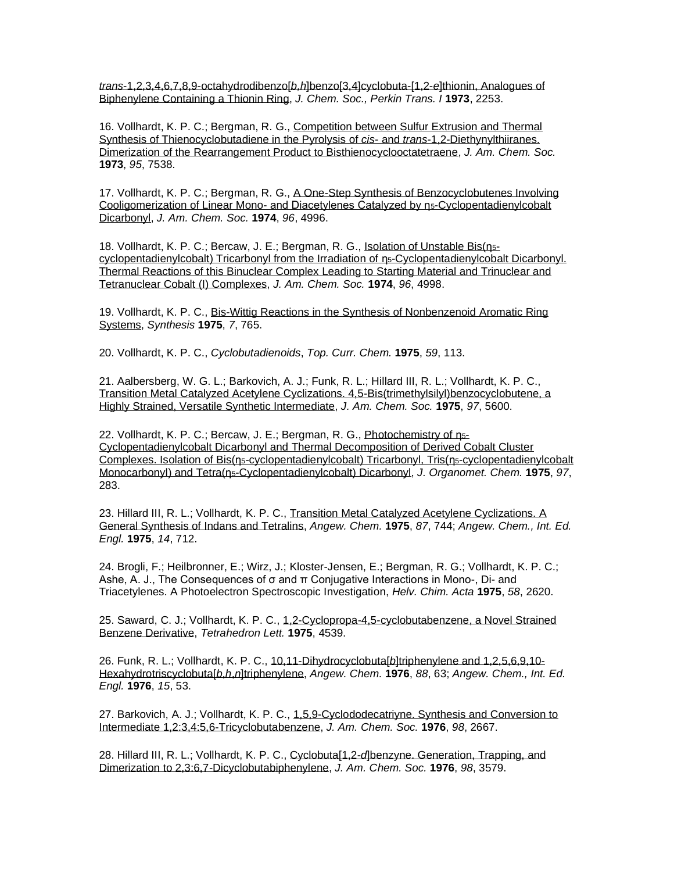*trans*[-1,2,3,4,6,7,8,9-octahydrodibenzo\[](http://www.rsc.org/ejarchive/P1/1973/P19730002253.pdf)*b,h*]benzo[3,4]cyclobuta-[1,2-*e*]thionin, Analogues of [Biphenylene Containing a Thionin Ring,](http://www.rsc.org/ejarchive/P1/1973/P19730002253.pdf) *J. Chem. Soc., Perkin Trans. I* **1973**, 2253.

16. Vollhardt, K. P. C.; Bergman, R. G., [Competition between Sulfur Extrusion and Thermal](http://pubs.acs.org/cgi-bin/sample.cgi/jacsat/1973/95/i22/pdf/ja00803a072.pdf)  [Synthesis of Thienocyclobutadiene in the Pyrolysis of](http://pubs.acs.org/cgi-bin/sample.cgi/jacsat/1973/95/i22/pdf/ja00803a072.pdf) *cis*- and *trans*-1,2-Diethynylthiiranes. [Dimerization of the Rearrangement Product to Bisthienocyclooctatetraene,](http://pubs.acs.org/cgi-bin/sample.cgi/jacsat/1973/95/i22/pdf/ja00803a072.pdf) *J. Am. Chem. Soc.* **1973**, *95*, 7538.

17. Vollhardt, K. P. C.; Bergman, R. G., A One-Step Synthesis of Benzocyclobutenes Involving [Cooligomerization of Linear Mono-](http://pubs.acs.org/cgi-bin/sample.cgi/jacsat/1974/96/i15/pdf/ja00822a052.pdf) and Diacetylenes Catalyzed by η5-Cyclopentadienylcobalt [Dicarbonyl,](http://pubs.acs.org/cgi-bin/sample.cgi/jacsat/1974/96/i15/pdf/ja00822a052.pdf) *J. Am. Chem. Soc.* **1974**, *96*, 4996.

18. Vollhardt, K. P. C.; Bercaw, J. E.; Bergman, R. G., [Isolation of Unstable Bis\(](http://pubs.acs.org/cgi-bin/sample.cgi/jacsat/1974/96/i15/pdf/ja00822a053.pdf)ns [cyclopentadienylcobalt\) Tricarbonyl from the Irradiation of](http://pubs.acs.org/cgi-bin/sample.cgi/jacsat/1974/96/i15/pdf/ja00822a053.pdf) [η](http://pubs.acs.org/cgi-bin/sample.cgi/jacsat/1974/96/i15/pdf/ja00822a052.pdf)5[-Cyclopentadienylcobalt Dicarbonyl.](http://pubs.acs.org/cgi-bin/sample.cgi/jacsat/1974/96/i15/pdf/ja00822a053.pdf)  [Thermal Reactions of this Binuclear Complex Leading to Starting Material and Trinuclear and](http://pubs.acs.org/cgi-bin/sample.cgi/jacsat/1974/96/i15/pdf/ja00822a053.pdf)  [Tetranuclear Cobalt \(I\) Complexes,](http://pubs.acs.org/cgi-bin/sample.cgi/jacsat/1974/96/i15/pdf/ja00822a053.pdf) *J. Am. Chem. Soc.* **1974**, *96*, 4998.

19. Vollhardt, K. P. C., [Bis-Wittig Reactions in the Synthesis of Nonbenzenoid Aromatic Ring](http://www.thieme-connect.com/ejournals/pdf/synthesis/doi/10.1055/s-1975-23920.pdf)  [Systems,](http://www.thieme-connect.com/ejournals/pdf/synthesis/doi/10.1055/s-1975-23920.pdf) *Synthesis* **1975**, *7*, 765.

20. Vollhardt, K. P. C., *Cyclobutadienoids*, *Top. Curr. Chem.* **1975**, *59*, 113.

21. Aalbersberg, W. G. L.; Barkovich, A. J.; Funk, R. L.; Hillard III, R. L.; Vollhardt, K. P. C., [Transition Metal Catalyzed Acetylene Cyclizations. 4,5-Bis\(trimethylsilyl\)benzocyclobutene, a](http://pubs.acs.org/cgi-bin/sample.cgi/jacsat/1975/97/i19/pdf/ja00852a057.pdf)  [Highly Strained, Versatile Synthetic Intermediate,](http://pubs.acs.org/cgi-bin/sample.cgi/jacsat/1975/97/i19/pdf/ja00852a057.pdf) *J. Am. Chem. Soc.* **1975**, *97*, 5600.

22. Vollhardt, K. P. C.; Bercaw, J. E.; Bergman, R. G., [Photochemistry of](http://www.sciencedirect.com/science?_ob=MImg&_imagekey=B6TGW-42VDTTB-GB-1&_cdi=5265&_orig=search&_coverDate=09%2F16%2F1975&_sk=999029997&view=c&wchp=dGLbVzb-zSkzk&_acct=C000000152&_version=1&_userid=4420&md5=fe9eb0e2f2e3e0eceea7138648294b77&ie=f.pdf) n<sub>5</sub>[-](http://www.sciencedirect.com/science?_ob=MImg&_imagekey=B6TGW-42VDTTB-GB-1&_cdi=5265&_orig=search&_coverDate=09%2F16%2F1975&_sk=999029997&view=c&wchp=dGLbVzb-zSkzk&_acct=C000000152&_version=1&_userid=4420&md5=fe9eb0e2f2e3e0eceea7138648294b77&ie=f.pdf) [Cyclopentadienylcobalt Dicarbonyl and Thermal Decomposition of Derived Cobalt Cluster](http://www.sciencedirect.com/science?_ob=MImg&_imagekey=B6TGW-42VDTTB-GB-1&_cdi=5265&_orig=search&_coverDate=09%2F16%2F1975&_sk=999029997&view=c&wchp=dGLbVzb-zSkzk&_acct=C000000152&_version=1&_userid=4420&md5=fe9eb0e2f2e3e0eceea7138648294b77&ie=f.pdf)  [Complexes. Isolation of Bis\(](http://www.sciencedirect.com/science?_ob=MImg&_imagekey=B6TGW-42VDTTB-GB-1&_cdi=5265&_orig=search&_coverDate=09%2F16%2F1975&_sk=999029997&view=c&wchp=dGLbVzb-zSkzk&_acct=C000000152&_version=1&_userid=4420&md5=fe9eb0e2f2e3e0eceea7138648294b77&ie=f.pdf)[η](http://pubs.acs.org/cgi-bin/sample.cgi/jacsat/1974/96/i15/pdf/ja00822a052.pdf)5[-cyclopentadienylcobalt\) Tricarbonyl, Tris\(](http://www.sciencedirect.com/science?_ob=MImg&_imagekey=B6TGW-42VDTTB-GB-1&_cdi=5265&_orig=search&_coverDate=09%2F16%2F1975&_sk=999029997&view=c&wchp=dGLbVzb-zSkzk&_acct=C000000152&_version=1&_userid=4420&md5=fe9eb0e2f2e3e0eceea7138648294b77&ie=f.pdf)[η](http://pubs.acs.org/cgi-bin/sample.cgi/jacsat/1974/96/i15/pdf/ja00822a052.pdf)5[-cyclopentadienylcobalt](http://www.sciencedirect.com/science?_ob=MImg&_imagekey=B6TGW-42VDTTB-GB-1&_cdi=5265&_orig=search&_coverDate=09%2F16%2F1975&_sk=999029997&view=c&wchp=dGLbVzb-zSkzk&_acct=C000000152&_version=1&_userid=4420&md5=fe9eb0e2f2e3e0eceea7138648294b77&ie=f.pdf)  [Monocarbonyl\) and Tetra\(](http://www.sciencedirect.com/science?_ob=MImg&_imagekey=B6TGW-42VDTTB-GB-1&_cdi=5265&_orig=search&_coverDate=09%2F16%2F1975&_sk=999029997&view=c&wchp=dGLbVzb-zSkzk&_acct=C000000152&_version=1&_userid=4420&md5=fe9eb0e2f2e3e0eceea7138648294b77&ie=f.pdf)[η](http://pubs.acs.org/cgi-bin/sample.cgi/jacsat/1974/96/i15/pdf/ja00822a052.pdf)5[-Cyclopentadienylcobalt\) Dicarbonyl,](http://www.sciencedirect.com/science?_ob=MImg&_imagekey=B6TGW-42VDTTB-GB-1&_cdi=5265&_orig=search&_coverDate=09%2F16%2F1975&_sk=999029997&view=c&wchp=dGLbVzb-zSkzk&_acct=C000000152&_version=1&_userid=4420&md5=fe9eb0e2f2e3e0eceea7138648294b77&ie=f.pdf) *J. Organomet. Chem.* **1975**, *97*, 283.

23. Hillard III, R. L.; Vollhardt, K. P. C., [Transition Metal Catalyzed Acetylene Cyclizations. A](http://www3.interscience.wiley.com/cgi-bin/fulltext/106580211/PDFSTART)  [General Synthesis of Indans and Tetralins,](http://www3.interscience.wiley.com/cgi-bin/fulltext/106580211/PDFSTART) *Angew. Chem.* **1975**, *87*, 744; *Angew. Chem., Int. Ed. Engl.* **1975**, *14*, 712.

24. Brogli, F.; Heilbronner, E.; Wirz, J.; Kloster-Jensen, E.; Bergman, R. G.; Vollhardt, K. P. C.; Ashe, A. J., The Consequences of  $\sigma$  and  $\pi$  Conjugative Interactions in Mono-, Di- and Triacetylenes. A Photoelectron Spectroscopic Investigation, *Helv. Chim. Acta* **1975**, *58*, 2620.

25. Saward, C. J.; Vollhardt, K. P. C., [1,2-Cyclopropa-4,5-cyclobutabenzene, a Novel Strained](http://www.sciencedirect.com/science?_ob=MImg&_imagekey=B6THS-431C5XB-3P0-2&_cdi=5290&_orig=search&_coverDate=12%2F31%2F1975&_sk=999839948&view=c&wchp=dGLbVzz-zSkWA&_acct=C000000152&_version=1&_userid=4420&md5=b6bf9bb5daf630cceffd9b45cf590bfd&ie=f.pdf)  [Benzene Derivative,](http://www.sciencedirect.com/science?_ob=MImg&_imagekey=B6THS-431C5XB-3P0-2&_cdi=5290&_orig=search&_coverDate=12%2F31%2F1975&_sk=999839948&view=c&wchp=dGLbVzz-zSkWA&_acct=C000000152&_version=1&_userid=4420&md5=b6bf9bb5daf630cceffd9b45cf590bfd&ie=f.pdf) *Tetrahedron Lett.* **1975**, 4539.

26. Funk, R. L.; Vollhardt, K. P. C., 10,11-Dihydrocyclobuta[*b*[\]triphenylene and 1,2,5,6,9,10-](http://www3.interscience.wiley.com/cgi-bin/fulltext/106580569/PDFSTART) [Hexahydrotriscyclobuta\[](http://www3.interscience.wiley.com/cgi-bin/fulltext/106580569/PDFSTART)*b*,*h*,*n*]triphenylene, *Angew. Chem.* **1976**, *88*, 63; *Angew. Chem., Int. Ed. Engl.* **1976**, *15*, 53.

27. Barkovich, A. J.; Vollhardt, K. P. C., 1,5,9-Cyclododecatriyne. Synthesis and Conversion to [Intermediate 1,2:3,4:5,6-Tricyclobutabenzene,](http://pubs.acs.org/cgi-bin/sample.cgi/jacsat/1976/98/i09/pdf/ja00425a046.pdf) *J. Am. Chem. Soc.* **1976**, *98*, 2667.

28. Hillard III, R. L.; Vollhardt, K. P. C., Cyclobuta[1,2-*d*[\]benzyne. Generation, Trapping, and](http://pubs.acs.org/cgi-bin/sample.cgi/jacsat/1976/98/i12/pdf/ja00428a031.pdf)  [Dimerization to 2,3:6,7-Dicyclobutabiphenylene,](http://pubs.acs.org/cgi-bin/sample.cgi/jacsat/1976/98/i12/pdf/ja00428a031.pdf) *J. Am. Chem. Soc.* **1976**, *98*, 3579.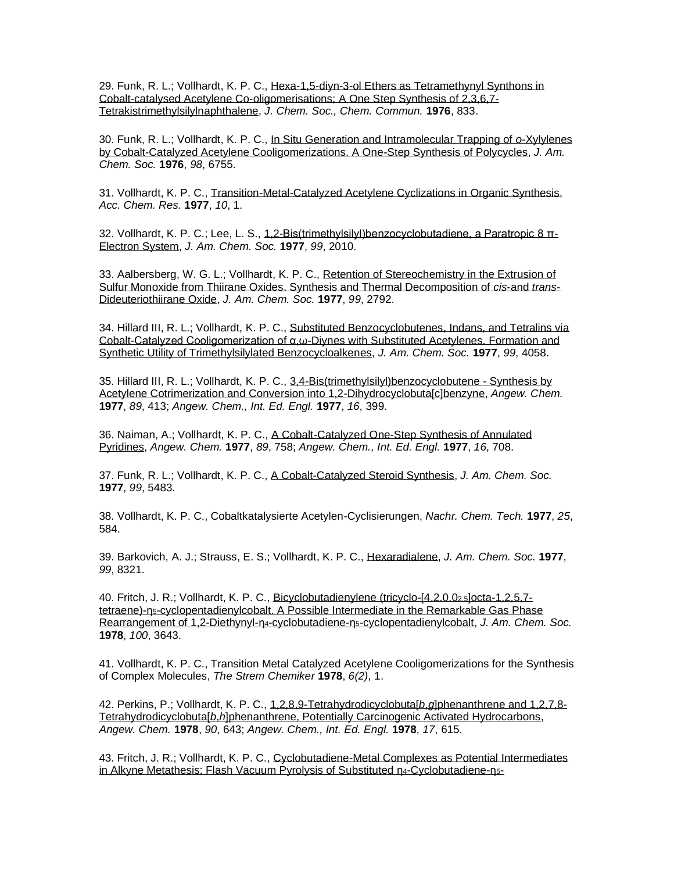29. Funk, R. L.; Vollhardt, K. P. C., Hexa-1,5-diyn-3-ol Ethers as Tetramethynyl Synthons in [Cobalt-catalysed Acetylene Co-oligomerisations; A One Step Synthesis of 2,3,6,7-](http://www.rsc.org/ejarchive/C3/1976/C39760000833.pdf) [Tetrakistrimethylsilylnaphthalene,](http://www.rsc.org/ejarchive/C3/1976/C39760000833.pdf) *J. Chem. Soc., Chem. Commun.* **1976**, 833.

30. Funk, R. L.; Vollhardt, K. P. C., [In Situ Generation and Intramolecular Trapping of](http://pubs.acs.org/cgi-bin/sample.cgi/jacsat/1976/98/i21/pdf/ja00437a086.pdf) *o*-Xylylenes [by Cobalt-Catalyzed Acetylene Cooligomerizations. A One-Step Synthesis of Polycycles,](http://pubs.acs.org/cgi-bin/sample.cgi/jacsat/1976/98/i21/pdf/ja00437a086.pdf) *J. Am. Chem. Soc.* **1976**, *98*, 6755.

31. Vollhardt, K. P. C., [Transition-Metal-Catalyzed Acetylene Cyclizations in Organic Synthesis,](http://pubs.acs.org/doi/pdf/10.1021/ar50109a001) *Acc. Chem. Res.* **1977**, *10*, 1.

32. Vollhardt, K. P. C.; Lee, L. S., [1,2-Bis\(trimethylsilyl\)benzocyclobutadiene, a Paratropic 8 π-](https://pubs.acs.org/doi/10.1021/ja00448a072)[Electron System,](https://pubs.acs.org/doi/10.1021/ja00448a072) *J. Am. Chem. Soc.* **1977**, *99*, 2010.

33. Aalbersberg, W. G. L.; Vollhardt, K. P. C., [Retention of Stereochemistry in the Extrusion of](http://pubs.acs.org/cgi-bin/sample.cgi/jacsat/1977/99/i08/pdf/ja00450a063.pdf)  [Sulfur Monoxide from Thiirane Oxides. Synthesis and Thermal Decomposition of](http://pubs.acs.org/cgi-bin/sample.cgi/jacsat/1977/99/i08/pdf/ja00450a063.pdf) *cis*-and *trans*-[Dideuteriothiirane Oxide,](http://pubs.acs.org/cgi-bin/sample.cgi/jacsat/1977/99/i08/pdf/ja00450a063.pdf) *J. Am. Chem. Soc.* **1977**, *99*, 2792.

34. Hillard III, R. L.; Vollhardt, K. P. C., [Substituted Benzocyclobutenes, Indans, and Tetralins via](http://pubs.acs.org/doi/pdf/10.1021/ja00454a026)  [Cobalt-Catalyzed Cooligomerization of α,ω-Diynes with Substituted Acetylenes. Formation and](http://pubs.acs.org/doi/pdf/10.1021/ja00454a026)  [Synthetic Utility of Trimethylsilylated Benzocycloalkenes,](http://pubs.acs.org/doi/pdf/10.1021/ja00454a026) *J. Am. Chem. Soc.* **1977**, *99*, 4058.

35. Hillard III, R. L.; Vollhardt, K. P. C., [3,4-Bis\(trimethylsilyl\)benzocyclobutene -](http://www3.interscience.wiley.com/cgi-bin/fulltext/106581272/PDFSTART) Synthesis by [Acetylene Cotrimerization and Conversion into 1,2-Dihydrocyclobuta\[c\]benzyne,](http://www3.interscience.wiley.com/cgi-bin/fulltext/106581272/PDFSTART) *Angew. Chem.* **1977**, *89*, 413; *Angew. Chem., Int. Ed. Engl.* **1977**, *16*, 399.

36. Naiman, A.; Vollhardt, K. P. C., [A Cobalt-Catalyzed One-Step Synthesis of Annulated](http://www3.interscience.wiley.com/cgi-bin/fulltext/106581014/PDFSTART)  [Pyridines,](http://www3.interscience.wiley.com/cgi-bin/fulltext/106581014/PDFSTART) *Angew. Chem.* **1977**, *89*, 758; *Angew. Chem., Int. Ed. Engl.* **1977**, *16*, 708.

37. Funk, R. L.; Vollhardt, K. P. C., [A Cobalt-Catalyzed Steroid Synthesis,](http://pubs.acs.org/cgi-bin/sample.cgi/jacsat/1977/99/i16/pdf/ja00458a044.pdf) *J. Am. Chem. Soc.* **1977**, *99*, 5483.

38. Vollhardt, K. P. C., Cobaltkatalysierte Acetylen-Cyclisierungen, *Nachr. Chem. Tech.* **1977**, *25*, 584.

39. Barkovich, A. J.; Strauss, E. S.; Vollhardt, K. P. C., [Hexaradialene,](http://pubs.acs.org/cgi-bin/sample.cgi/jacsat/1977/99/i25/pdf/ja00467a036.pdf) *J. Am. Chem. Soc.* **1977**, *99*, 8321.

40. Fritch, J. R.; Vollhardt, K. P. C., [Bicyclobutadienylene \(tricyclo-\[4.2.0.0](http://pubs.acs.org/cgi-bin/sample.cgi/jacsat/1978/100/i11/pdf/ja00479a082.pdf)2,5]octa-1,2,5,7 tetraene)-η5[-cyclopentadienylcobalt. A Possible Intermediate in the Remarkable Gas Phase](http://pubs.acs.org/cgi-bin/sample.cgi/jacsat/1978/100/i11/pdf/ja00479a082.pdf)  [Rearrangement of 1,2-Diethynyl-η](http://pubs.acs.org/cgi-bin/sample.cgi/jacsat/1978/100/i11/pdf/ja00479a082.pdf)4[-cyclobutadiene-η](http://pubs.acs.org/cgi-bin/sample.cgi/jacsat/1978/100/i11/pdf/ja00479a082.pdf)5[-cyclopentadienylcobalt,](http://pubs.acs.org/cgi-bin/sample.cgi/jacsat/1978/100/i11/pdf/ja00479a082.pdf) *J. Am. Chem. Soc.* **1978**, *100*, 3643.

41. Vollhardt, K. P. C., Transition Metal Catalyzed Acetylene Cooligomerizations for the Synthesis of Complex Molecules, *The Strem Chemiker* **1978**, *6(2)*, 1.

42. Perkins, P.; Vollhardt, K. P. C., [1,2,8,9-Tetrahydrodicyclobuta\[](http://www3.interscience.wiley.com/cgi-bin/fulltext/106581787/PDFSTART)*b*,*g*]phenanthrene and 1,2,7,8- Tetrahydrodicyclobuta[*b*,*h*[\]phenanthrene, Potentially Carcinogenic Activated Hydrocarbons,](http://www3.interscience.wiley.com/cgi-bin/fulltext/106581787/PDFSTART) *Angew. Chem.* **1978**, *90*, 643; *Angew. Chem., Int. Ed. Engl.* **1978**, *17*, 615.

43. Fritch, J. R.; Vollhardt, K. P. C., [Cyclobutadiene-Metal Complexes as Potential Intermediates](http://www3.interscience.wiley.com/cgi-bin/fulltext/106582096/PDFSTART)  [in Alkyne Metathesis: Flash Vacuum Pyrolysis of Substituted](http://www3.interscience.wiley.com/cgi-bin/fulltext/106582096/PDFSTART) [η](http://pubs.acs.org/cgi-bin/sample.cgi/jacsat/1978/100/i11/pdf/ja00479a082.pdf)4[-Cyclobutadiene-](http://www3.interscience.wiley.com/cgi-bin/fulltext/106582096/PDFSTART)[η](http://pubs.acs.org/cgi-bin/sample.cgi/jacsat/1978/100/i11/pdf/ja00479a082.pdf)5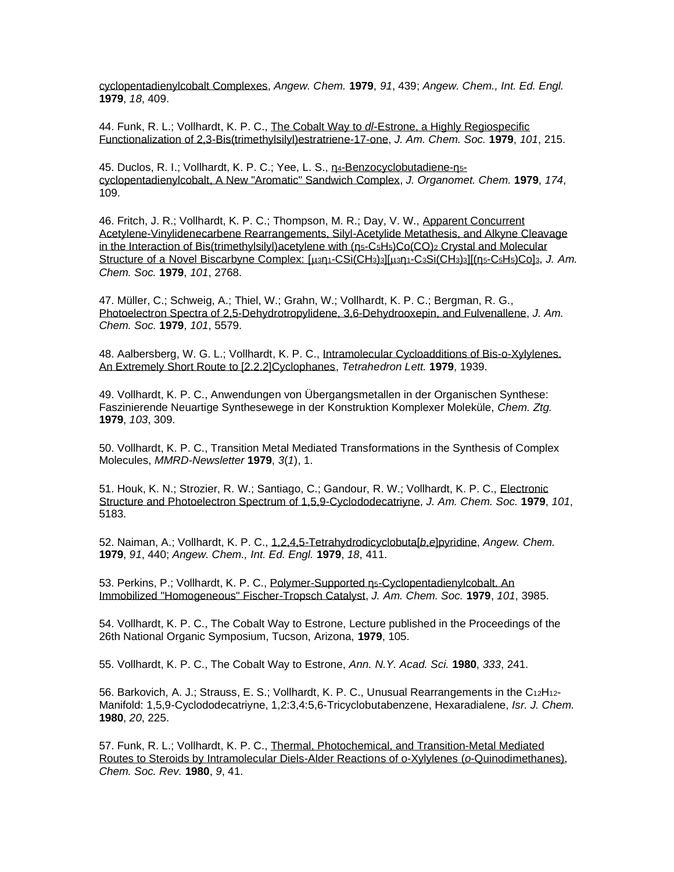[cyclopentadienylcobalt Complexes,](http://www3.interscience.wiley.com/cgi-bin/fulltext/106582096/PDFSTART) *Angew. Chem.* **1979**, *91*, 439; *Angew. Chem., Int. Ed. Engl.* **1979**, *18*, 409.

44. Funk, R. L.; Vollhardt, K. P. C., The Cobalt Way to *dl*[-Estrone, a Highly Regiospecific](http://pubs.acs.org/cgi-bin/sample.cgi/jacsat/1979/101/i01/pdf/ja00495a035.pdf)  [Functionalization of 2,3-Bis\(trimethylsilyl\)estratriene-17-one,](http://pubs.acs.org/cgi-bin/sample.cgi/jacsat/1979/101/i01/pdf/ja00495a035.pdf) *J. Am. Chem. Soc.* **1979**, *101*, 215.

45. Duclos, R. I.; Vollhardt, K. P. C.; Yee, L. S., n4[-Benzocyclobutadiene-](http://www.sciencedirect.com/science?_ob=MImg&_imagekey=B6TGW-42XBCMF-6S-1&_cdi=5265&_orig=search&_coverDate=07%2F24%2F1979&_sk=998259998&view=c&wchp=dGLbVzb-zSkzk&_acct=C000000152&_version=1&_userid=4420&md5=12fce222e41e59d68b9fc53782ae1207&ie=f.pdf)n5 [cyclopentadienylcobalt, A New "Aromatic" Sandwich Complex,](http://www.sciencedirect.com/science?_ob=MImg&_imagekey=B6TGW-42XBCMF-6S-1&_cdi=5265&_orig=search&_coverDate=07%2F24%2F1979&_sk=998259998&view=c&wchp=dGLbVzb-zSkzk&_acct=C000000152&_version=1&_userid=4420&md5=12fce222e41e59d68b9fc53782ae1207&ie=f.pdf) *J. Organomet. Chem.* **1979**, *174*, 109.

46. Fritch, J. R.; Vollhardt, K. P. C.; Thompson, M. R.; Day, V. W., [Apparent Concurrent](http://pubs.acs.org/cgi-bin/sample.cgi/jacsat/1979/101/i10/pdf/ja00504a065.pdf)  [Acetylene-Vinylidenecarbene Rearrangements, Silyl-Acetylide Metathesis, and Alkyne Cleavage](http://pubs.acs.org/cgi-bin/sample.cgi/jacsat/1979/101/i10/pdf/ja00504a065.pdf)  [in the Interaction of Bis\(trimethylsilyl\)acetylene with \(](http://pubs.acs.org/cgi-bin/sample.cgi/jacsat/1979/101/i10/pdf/ja00504a065.pdf)[η](http://pubs.acs.org/cgi-bin/sample.cgi/jacsat/1978/100/i11/pdf/ja00479a082.pdf)<sub>5</sub>-C<sub>5</sub>H<sub>5</sub>)Co(CO)<sub>2</sub> Crystal and Molecular [Structure of a Novel Biscarbyne Complex: \[](http://pubs.acs.org/cgi-bin/sample.cgi/jacsat/1979/101/i10/pdf/ja00504a065.pdf)μ3[η](http://pubs.acs.org/cgi-bin/sample.cgi/jacsat/1978/100/i11/pdf/ja00479a082.pdf)1[-CSi\(CH](http://pubs.acs.org/cgi-bin/sample.cgi/jacsat/1979/101/i10/pdf/ja00504a065.pdf)3)3][μ3η1-C3[Si\(CH](http://pubs.acs.org/cgi-bin/sample.cgi/jacsat/1979/101/i10/pdf/ja00504a065.pdf)3)3][[\(η](http://pubs.acs.org/cgi-bin/sample.cgi/jacsat/1978/100/i11/pdf/ja00479a082.pdf)5[-C](http://pubs.acs.org/cgi-bin/sample.cgi/jacsat/1979/101/i10/pdf/ja00504a065.pdf)5H5[\)Co\]](http://pubs.acs.org/cgi-bin/sample.cgi/jacsat/1979/101/i10/pdf/ja00504a065.pdf)3, *J. Am. Chem. Soc.* **1979**, *101*, 2768.

47. Müller, C.; Schweig, A.; Thiel, W.; Grahn, W.; Vollhardt, K. P. C.; Bergman, R. G., [Photoelectron Spectra of 2,5-Dehydrotropylidene, 3,6-Dehydrooxepin, and Fulvenallene,](http://pubs.acs.org/cgi-bin/sample.cgi/jacsat/1979/101/i19/pdf/ja00513a021.pdf) *J. Am. Chem. Soc.* **1979**, *101*, 5579.

48. Aalbersberg, W. G. L.; Vollhardt, K. P. C., [Intramolecular Cycloadditions of Bis-o-Xylylenes.](http://www.sciencedirect.com/science?_ob=MImg&_imagekey=B6THS-42HP170-33H-1&_cdi=5290&_orig=search&_coverDate=12%2F31%2F1979&_sk=999799977&view=c&wchp=dGLbVzz-zSkWA&_acct=C000000152&_version=1&_userid=4420&md5=c89b6fb6fa37a56832640e585049fe6a&ie=f.pdf)  [An Extremely Short Route to \[2.2.2\]Cyclophanes,](http://www.sciencedirect.com/science?_ob=MImg&_imagekey=B6THS-42HP170-33H-1&_cdi=5290&_orig=search&_coverDate=12%2F31%2F1979&_sk=999799977&view=c&wchp=dGLbVzz-zSkWA&_acct=C000000152&_version=1&_userid=4420&md5=c89b6fb6fa37a56832640e585049fe6a&ie=f.pdf) *Tetrahedron Lett.* **1979**, 1939.

49. Vollhardt, K. P. C., Anwendungen von Übergangsmetallen in der Organischen Synthese: Faszinierende Neuartige Synthesewege in der Konstruktion Komplexer Moleküle, *Chem. Ztg.* **1979**, *103*, 309.

50. Vollhardt, K. P. C., Transition Metal Mediated Transformations in the Synthesis of Complex Molecules, *MMRD-Newsletter* **1979**, *3*(*1*), 1.

51. Houk, K. N.; Strozier, R. W.; Santiago, C.; Gandour, R. W.; Vollhardt, K. P. C., [Electronic](http://pubs.acs.org/cgi-bin/sample.cgi/jacsat/1979/101/i18/pdf/ja00512a012.pdf)  [Structure and Photoelectron Spectrum of 1,5,9-Cyclododecatriyne,](http://pubs.acs.org/cgi-bin/sample.cgi/jacsat/1979/101/i18/pdf/ja00512a012.pdf) *J. Am. Chem. Soc.* **1979**, *101*, 5183.

52. Naiman, A.; Vollhardt, K. P. C., [1,2,4,5-Tetrahydrodicyclobuta\[](http://www3.interscience.wiley.com/cgi-bin/fulltext/106582097/PDFSTART)*b*,*e*]pyridine, *Angew. Chem.* **1979**, *91*, 440; *Angew. Chem., Int. Ed. Engl.* **1979**, *18*, 411.

53. Perkins, P.; Vollhardt, K. P. C., [Polymer-Supported](http://pubs.acs.org/cgi-bin/sample.cgi/jacsat/1979/101/i14/pdf/ja00508a057.pdf) [η](http://pubs.acs.org/cgi-bin/sample.cgi/jacsat/1978/100/i11/pdf/ja00479a082.pdf)5[-Cyclopentadienylcobalt. An](http://pubs.acs.org/cgi-bin/sample.cgi/jacsat/1979/101/i14/pdf/ja00508a057.pdf)  [Immobilized "Homogeneous" Fischer-Tropsch Catalyst,](http://pubs.acs.org/cgi-bin/sample.cgi/jacsat/1979/101/i14/pdf/ja00508a057.pdf) *J. Am. Chem. Soc.* **1979**, *101*, 3985.

54. Vollhardt, K. P. C., The Cobalt Way to Estrone, Lecture published in the Proceedings of the 26th National Organic Symposium, Tucson, Arizona, **1979**, 105.

55. Vollhardt, K. P. C., The Cobalt Way to Estrone, *Ann. N.Y. Acad. Sci.* **1980**, *333*, 241.

56. Barkovich, A. J.; Strauss, E. S.; Vollhardt, K. P. C., Unusual Rearrangements in the C12H12- Manifold: 1,5,9-Cyclododecatriyne, 1,2:3,4:5,6-Tricyclobutabenzene, Hexaradialene, *Isr. J. Chem.* **1980**, *20*, 225.

57. Funk, R. L.; Vollhardt, K. P. C., [Thermal, Photochemical, and Transition-Metal Mediated](http://www.rsc.org/ejarchive/CS/1980/CS9800900041.pdf)  [Routes to Steroids by Intramolecular Diels-Alder Reactions of o-Xylylenes \(](http://www.rsc.org/ejarchive/CS/1980/CS9800900041.pdf)*o*-Quinodimethanes), *Chem. Soc. Rev.* **1980**, *9*, 41.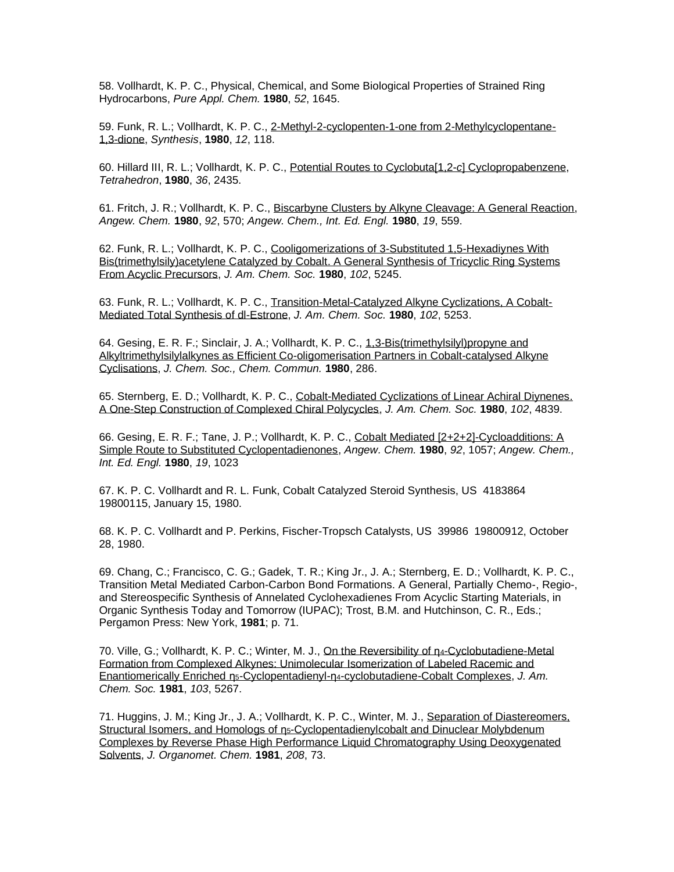58. Vollhardt, K. P. C., Physical, Chemical, and Some Biological Properties of Strained Ring Hydrocarbons, *Pure Appl. Chem.* **1980**, *52*, 1645.

59. Funk, R. L.; Vollhardt, K. P. C., [2-Methyl-2-cyclopenten-1-one from 2-Methylcyclopentane-](http://www.thieme-connect.com/ejournals/pdf/synthesis/doi/10.1055/s-1980-28938.pdf)[1,3-dione,](http://www.thieme-connect.com/ejournals/pdf/synthesis/doi/10.1055/s-1980-28938.pdf) *Synthesis*, **1980**, *12*, 118.

60. Hillard III, R. L.; Vollhardt, K. P. C., [Potential Routes to Cyclobuta\[1,2-](http://www.sciencedirect.com/science?_ob=MImg&_imagekey=B6THR-42Y6DYX-9K-1&_cdi=5289&_orig=search&_coverDate=12%2F31%2F1980&_sk=999639982&view=c&wchp=dGLbVlz-zSkWW&_acct=C000000152&_version=1&_userid=4420&md5=1206840969756a029137628ea2d093b4&ie=f.pdf)*c*] Cyclopropabenzene, *Tetrahedron*, **1980**, *36*, 2435.

61. Fritch, J. R.; Vollhardt, K. P. C., [Biscarbyne Clusters by Alkyne Cleavage: A General Reaction,](https://onlinelibrary.wiley.com/doi/epdf/10.1002/anie.198005591) *Angew. Chem.* **1980**, *92*, 570; *Angew. Chem., Int. Ed. Engl.* **1980**, *19*, 559.

62. Funk, R. L.; Vollhardt, K. P. C., [Cooligomerizations of 3-Substituted 1,5-Hexadiynes With](http://pubs.acs.org/cgi-bin/sample.cgi/jacsat/1980/102/i16/pdf/ja00536a022.pdf)  [Bis\(trimethylsily\)acetylene Catalyzed by Cobalt. A General Synthesis of Tricyclic Ring Systems](http://pubs.acs.org/cgi-bin/sample.cgi/jacsat/1980/102/i16/pdf/ja00536a022.pdf)  [From Acyclic Precursors,](http://pubs.acs.org/cgi-bin/sample.cgi/jacsat/1980/102/i16/pdf/ja00536a022.pdf) *J. Am. Chem. Soc.* **1980**, *102*, 5245.

63. Funk, R. L.; Vollhardt, K. P. C., [Transition-Metal-Catalyzed Alkyne Cyclizations, A Cobalt-](http://pubs.acs.org/cgi-bin/sample.cgi/jacsat/1980/102/i16/pdf/ja00536a023.pdf)[Mediated Total Synthesis of dl-Estrone,](http://pubs.acs.org/cgi-bin/sample.cgi/jacsat/1980/102/i16/pdf/ja00536a023.pdf) *J. Am. Chem. Soc.* **1980**, *102*, 5253.

64. Gesing, E. R. F.; Sinclair, J. A.; Vollhardt, K. P. C., [1,3-Bis\(trimethylsilyl\)propyne and](http://www.rsc.org/ejarchive/C3/1980/C39800000286.pdf)  [Alkyltrimethylsilylalkynes as Efficient Co-oligomerisation Partners in Cobalt-catalysed Alkyne](http://www.rsc.org/ejarchive/C3/1980/C39800000286.pdf)  [Cyclisations,](http://www.rsc.org/ejarchive/C3/1980/C39800000286.pdf) *J. Chem. Soc., Chem. Commun.* **1980**, 286.

65. Sternberg, E. D.; Vollhardt, K. P. C., [Cobalt-Mediated Cyclizations of Linear Achiral Diynenes.](http://pubs.acs.org/cgi-bin/sample.cgi/jacsat/1980/102/i14/pdf/ja00534a050.pdf)  [A One-Step Construction of Complexed Chiral Polycycles,](http://pubs.acs.org/cgi-bin/sample.cgi/jacsat/1980/102/i14/pdf/ja00534a050.pdf) *J. Am. Chem. Soc.* **1980**, *102*, 4839.

66. Gesing, E. R. F.; Tane, J. P.; Vollhardt, K. P. C., [Cobalt Mediated \[2+2+2\]-Cycloadditions: A](http://www3.interscience.wiley.com/cgi-bin/fulltext/106582473/PDFSTART)  [Simple Route to Substituted Cyclopentadienones,](http://www3.interscience.wiley.com/cgi-bin/fulltext/106582473/PDFSTART) *Angew. Chem.* **1980**, *92*, 1057; *Angew. Chem., Int. Ed. Engl.* **1980**, *19*, 1023

67. K. P. C. Vollhardt and R. L. Funk, Cobalt Catalyzed Steroid Synthesis, US 4183864 19800115, January 15, 1980.

68. K. P. C. Vollhardt and P. Perkins, Fischer-Tropsch Catalysts, US 39986 19800912, October 28, 1980.

69. Chang, C.; Francisco, C. G.; Gadek, T. R.; King Jr., J. A.; Sternberg, E. D.; Vollhardt, K. P. C., Transition Metal Mediated Carbon-Carbon Bond Formations. A General, Partially Chemo-, Regio-, and Stereospecific Synthesis of Annelated Cyclohexadienes From Acyclic Starting Materials, in Organic Synthesis Today and Tomorrow (IUPAC); Trost, B.M. and Hutchinson, C. R., Eds.; Pergamon Press: New York, **1981**; p. 71.

70. Ville, G.; Vollhardt, K. P. C.; Winter, M. J., [On the Reversibility of](http://pubs.acs.org/cgi-bin/sample.cgi/jacsat/1981/103/i17/pdf/ja00407a067.pdf) n<sub>4</sub>-Cyclobutadiene-Metal [Formation from Complexed Alkynes: Unimolecular Isomerization of Labeled Racemic and](http://pubs.acs.org/cgi-bin/sample.cgi/jacsat/1981/103/i17/pdf/ja00407a067.pdf)  [Enantiomerically Enriched](http://pubs.acs.org/cgi-bin/sample.cgi/jacsat/1981/103/i17/pdf/ja00407a067.pdf) [η](http://pubs.acs.org/cgi-bin/sample.cgi/jacsat/1978/100/i11/pdf/ja00479a082.pdf)5[-Cyclopentadienyl-](http://pubs.acs.org/cgi-bin/sample.cgi/jacsat/1981/103/i17/pdf/ja00407a067.pdf)[η](http://pubs.acs.org/cgi-bin/sample.cgi/jacsat/1978/100/i11/pdf/ja00479a082.pdf)4[-cyclobutadiene-Cobalt Complexes,](http://pubs.acs.org/cgi-bin/sample.cgi/jacsat/1981/103/i17/pdf/ja00407a067.pdf) *J. Am. Chem. Soc.* **1981**, *103*, 5267.

71. Huggins, J. M.; King Jr., J. A.; Vollhardt, K. P. C., Winter, M. J., [Separation of Diastereomers,](http://www.sciencedirect.com/science?_ob=MImg&_imagekey=B6TGW-42V7N06-V9-3&_cdi=5265&_orig=search&_coverDate=03%2F17%2F1981&_sk=997919998&view=c&wchp=dGLbVzb-zSkzk&_acct=C000000152&_version=1&_userid=4420&md5=f1ca37402ff9c2c46856b129d0510968&ie=f.pdf)  [Structural Isomers, and Homologs of](http://www.sciencedirect.com/science?_ob=MImg&_imagekey=B6TGW-42V7N06-V9-3&_cdi=5265&_orig=search&_coverDate=03%2F17%2F1981&_sk=997919998&view=c&wchp=dGLbVzb-zSkzk&_acct=C000000152&_version=1&_userid=4420&md5=f1ca37402ff9c2c46856b129d0510968&ie=f.pdf) [η](http://pubs.acs.org/cgi-bin/sample.cgi/jacsat/1978/100/i11/pdf/ja00479a082.pdf)5[-Cyclopentadienylcobalt and Dinuclear Molybdenum](http://www.sciencedirect.com/science?_ob=MImg&_imagekey=B6TGW-42V7N06-V9-3&_cdi=5265&_orig=search&_coverDate=03%2F17%2F1981&_sk=997919998&view=c&wchp=dGLbVzb-zSkzk&_acct=C000000152&_version=1&_userid=4420&md5=f1ca37402ff9c2c46856b129d0510968&ie=f.pdf)  [Complexes by Reverse Phase High Performance Liquid Chromatography Using Deoxygenated](http://www.sciencedirect.com/science?_ob=MImg&_imagekey=B6TGW-42V7N06-V9-3&_cdi=5265&_orig=search&_coverDate=03%2F17%2F1981&_sk=997919998&view=c&wchp=dGLbVzb-zSkzk&_acct=C000000152&_version=1&_userid=4420&md5=f1ca37402ff9c2c46856b129d0510968&ie=f.pdf)  [Solvents,](http://www.sciencedirect.com/science?_ob=MImg&_imagekey=B6TGW-42V7N06-V9-3&_cdi=5265&_orig=search&_coverDate=03%2F17%2F1981&_sk=997919998&view=c&wchp=dGLbVzb-zSkzk&_acct=C000000152&_version=1&_userid=4420&md5=f1ca37402ff9c2c46856b129d0510968&ie=f.pdf) *J. Organomet. Chem.* **1981**, *208*, 73.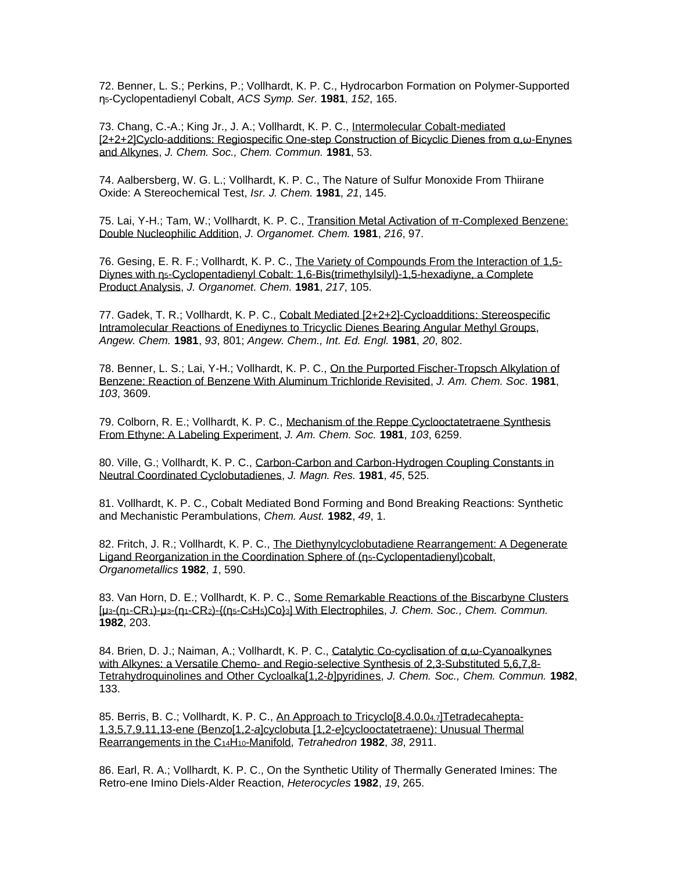72. Benner, L. S.; Perkins, P.; Vollhardt, K. P. C., Hydrocarbon Formation on Polymer-Supported η5-Cyclopentadienyl Cobalt, *ACS Symp. Ser.* **1981**, *152*, 165.

73. Chang, C.-A.; King Jr., J. A.; Vollhardt, K. P. C., [Intermolecular Cobalt-mediated](http://www.rsc.org/ejarchive/C3/1981/C39810000053.pdf)  [\[2+2+2\]Cyclo-additions: Regiospecific One-step Construction of Bicyclic Dienes from α,ω-Enynes](http://www.rsc.org/ejarchive/C3/1981/C39810000053.pdf)  [and Alkynes,](http://www.rsc.org/ejarchive/C3/1981/C39810000053.pdf) *J. Chem. Soc., Chem. Commun.* **1981**, 53.

74. Aalbersberg, W. G. L.; Vollhardt, K. P. C., The Nature of Sulfur Monoxide From Thiirane Oxide: A Stereochemical Test, *Isr. J. Chem.* **1981**, *21*, 145.

75. Lai, Y-H.; Tam, W.; Vollhardt, K. P. C., [Transition Metal Activation of π-Complexed Benzene:](http://www.sciencedirect.com/science/article/pii/S0022328X0084005X)  [Double Nucleophilic Addition,](http://www.sciencedirect.com/science/article/pii/S0022328X0084005X) *J. Organomet. Chem.* **1981**, *216*, 97.

76. Gesing, E. R. F.; Vollhardt, K. P. C., [The Variety of Compounds From the Interaction of 1,5-](http://www.sciencedirect.com/science?_ob=MImg&_imagekey=B6TGW-42VWD6B-36-1&_cdi=5265&_orig=search&_coverDate=09%2F01%2F1981&_sk=997829998&view=c&wchp=dGLbVzb-zSkzk&_acct=C000000152&_version=1&_userid=4420&md5=e0dbafee454d418b568ee7c44fc9ca01&ie=f.pdf) [Diynes with](http://www.sciencedirect.com/science?_ob=MImg&_imagekey=B6TGW-42VWD6B-36-1&_cdi=5265&_orig=search&_coverDate=09%2F01%2F1981&_sk=997829998&view=c&wchp=dGLbVzb-zSkzk&_acct=C000000152&_version=1&_userid=4420&md5=e0dbafee454d418b568ee7c44fc9ca01&ie=f.pdf) [η](http://pubs.acs.org/cgi-bin/sample.cgi/jacsat/1978/100/i11/pdf/ja00479a082.pdf)5[-Cyclopentadienyl Cobalt: 1,6-Bis\(trimethylsilyl\)-1,5-hexadiyne, a Complete](http://www.sciencedirect.com/science?_ob=MImg&_imagekey=B6TGW-42VWD6B-36-1&_cdi=5265&_orig=search&_coverDate=09%2F01%2F1981&_sk=997829998&view=c&wchp=dGLbVzb-zSkzk&_acct=C000000152&_version=1&_userid=4420&md5=e0dbafee454d418b568ee7c44fc9ca01&ie=f.pdf)  [Product Analysis,](http://www.sciencedirect.com/science?_ob=MImg&_imagekey=B6TGW-42VWD6B-36-1&_cdi=5265&_orig=search&_coverDate=09%2F01%2F1981&_sk=997829998&view=c&wchp=dGLbVzb-zSkzk&_acct=C000000152&_version=1&_userid=4420&md5=e0dbafee454d418b568ee7c44fc9ca01&ie=f.pdf) *J. Organomet. Chem.* **1981**, *217*, 105.

77. Gadek, T. R.; Vollhardt, K. P. C., Cobalt Mediated [2+2+2]-Cycloadditions: Stereospecific [Intramolecular Reactions of Enediynes to Tricyclic Dienes Bearing Angular Methyl Groups,](https://onlinelibrary.wiley.com/doi/abs/10.1002/anie.198108021)  *Angew. Chem.* **1981**, *93*, 801; *Angew. Chem., Int. Ed. Engl.* **1981**, *20*, 802.

78. Benner, L. S.; Lai, Y-H.; Vollhardt, K. P. C., [On the Purported Fischer-Tropsch Alkylation of](http://pubs.acs.org/cgi-bin/sample.cgi/jacsat/1981/103/i12/pdf/ja00402a077.pdf)  [Benzene: Reaction of Benzene With Aluminum Trichloride Revisited,](http://pubs.acs.org/cgi-bin/sample.cgi/jacsat/1981/103/i12/pdf/ja00402a077.pdf) *J. Am. Chem. Soc.* **1981**, *103*, 3609.

79. Colborn, R. E.; Vollhardt, K. P. C., [Mechanism of the Reppe Cyclooctatetraene Synthesis](http://pubs.acs.org/cgi-bin/sample.cgi/jacsat/1981/103/i20/pdf/ja00410a064.pdf)  [From Ethyne: A Labeling Experiment,](http://pubs.acs.org/cgi-bin/sample.cgi/jacsat/1981/103/i20/pdf/ja00410a064.pdf) *J. Am. Chem. Soc.* **1981**, *103*, 6259.

80. Ville, G.; Vollhardt, K. P. C., [Carbon-Carbon and Carbon-Hydrogen Coupling Constants in](http://www.sciencedirect.com/science/article/pii/0022236481901608)  [Neutral Coordinated Cyclobutadienes,](http://www.sciencedirect.com/science/article/pii/0022236481901608) *J. Magn. Res.* **1981**, *45*, 525.

81. Vollhardt, K. P. C., Cobalt Mediated Bond Forming and Bond Breaking Reactions: Synthetic and Mechanistic Perambulations, *Chem. Aust.* **1982**, *49*, 1.

82. Fritch, J. R.; Vollhardt, K. P. C., The Diethynylcyclobutadiene Rearrangement: A Degenerate [Ligand Reorganization in the Coordination Sphere of \(](http://pubs.acs.org/cgi-bin/sample.cgi/orgnd7/1982/1/i04/pdf/om00064a005.pdf)[η](http://pubs.acs.org/cgi-bin/sample.cgi/jacsat/1978/100/i11/pdf/ja00479a082.pdf)5[-Cyclopentadienyl\)cobalt,](http://pubs.acs.org/cgi-bin/sample.cgi/orgnd7/1982/1/i04/pdf/om00064a005.pdf) *Organometallics* **1982**, *1*, 590.

83. Van Horn, D. E.; Vollhardt, K. P. C., Some Remarkable Reactions of the Biscarbyne Clusters [\[μ](http://www.rsc.org/ejarchive/C3/1982/C39820000203.pdf)3[-\(](http://www.rsc.org/ejarchive/C3/1982/C39820000203.pdf)[η](http://pubs.acs.org/cgi-bin/sample.cgi/jacsat/1978/100/i11/pdf/ja00479a082.pdf)1[-CR](http://www.rsc.org/ejarchive/C3/1982/C39820000203.pdf)1)-μ3-[\(η](http://pubs.acs.org/cgi-bin/sample.cgi/jacsat/1978/100/i11/pdf/ja00479a082.pdf)1[-CR](http://www.rsc.org/ejarchive/C3/1982/C39820000203.pdf)2)-{[\(η](http://pubs.acs.org/cgi-bin/sample.cgi/jacsat/1978/100/i11/pdf/ja00479a082.pdf)5-C5H5)Co}3[\] With Electrophiles,](http://www.rsc.org/ejarchive/C3/1982/C39820000203.pdf) *J. Chem. Soc., Chem. Commun.* **1982**, 203.

84. Brien, D. J.; Naiman, A.; Vollhardt, K. P. C., [Catalytic Co-cyclisation of α,ω-Cyanoalkynes](http://www.rsc.org/ejarchive/C3/1982/C39820000133.pdf)  with Alkynes: a Versatile Chemo- [and Regio-selective Synthesis of 2,3-Substituted 5,6,7,8-](http://www.rsc.org/ejarchive/C3/1982/C39820000133.pdf) [Tetrahydroquinolines and Other](http://www.rsc.org/ejarchive/C3/1982/C39820000133.pdf) Cycloalka[1,2-*b*]pyridines, *J. Chem. Soc., Chem. Commun.* **1982**, 133.

85. Berris, B. C.; Vollhardt, K. P. C., [An Approach to Tricyclo\[8.4.0.0](http://www.sciencedirect.com/science?_ob=MImg&_imagekey=B6THR-431519K-1M-1&_cdi=5289&_orig=search&_coverDate=12%2F31%2F1982&_sk=999619980&view=c&wchp=dGLbVlz-zSkWW&_acct=C000000152&_version=1&_userid=4420&md5=ed1363ed3481b6f96318d1e3a2e3f4e0&ie=f.pdf)4,7]Tetradecahepta-1,3,5,7,9,11,13-ene (Benzo[1,2-*a*]cyclobuta [1,2-*e*[\]cyclooctatetraene\): Unusual Thermal](http://www.sciencedirect.com/science?_ob=MImg&_imagekey=B6THR-431519K-1M-1&_cdi=5289&_orig=search&_coverDate=12%2F31%2F1982&_sk=999619980&view=c&wchp=dGLbVlz-zSkWW&_acct=C000000152&_version=1&_userid=4420&md5=ed1363ed3481b6f96318d1e3a2e3f4e0&ie=f.pdf)  [Rearrangements in the C](http://www.sciencedirect.com/science?_ob=MImg&_imagekey=B6THR-431519K-1M-1&_cdi=5289&_orig=search&_coverDate=12%2F31%2F1982&_sk=999619980&view=c&wchp=dGLbVlz-zSkWW&_acct=C000000152&_version=1&_userid=4420&md5=ed1363ed3481b6f96318d1e3a2e3f4e0&ie=f.pdf)14H10-Manifold, *Tetrahedron* **1982**, *38*, 2911.

86. Earl, R. A.; Vollhardt, K. P. C., On the Synthetic Utility of Thermally Generated Imines: The Retro-ene Imino Diels-Alder Reaction, *Heterocycles* **1982**, *19*, 265.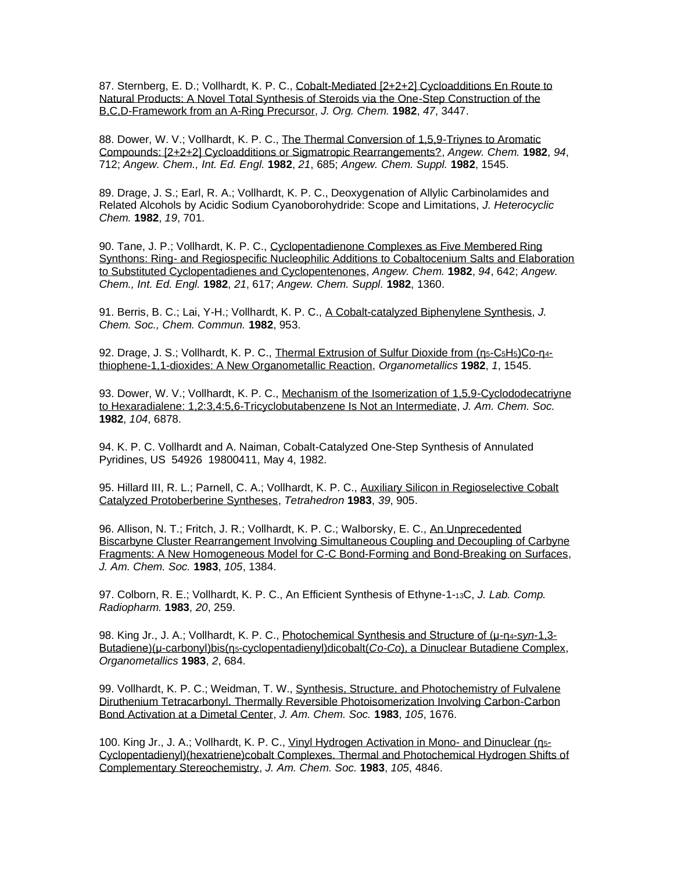87. Sternberg, E. D.; Vollhardt, K. P. C., [Cobalt-Mediated \[2+2+2\] Cycloadditions En Route to](http://pubs.acs.org/doi/pdf/10.1021/jo00139a012)  [Natural Products: A Novel Total Synthesis of Steroids via the One-Step Construction of the](http://pubs.acs.org/doi/pdf/10.1021/jo00139a012)  [B,C,D-Framework from an A-Ring Precursor,](http://pubs.acs.org/doi/pdf/10.1021/jo00139a012) *J. Org. Chem.* **1982**, *47*, 3447.

88. Dower, W. V.; Vollhardt, K. P. C., [The Thermal Conversion of 1,5,9-Triynes to Aromatic](http://www3.interscience.wiley.com/cgi-bin/fulltext/106583656/PDFSTART)  [Compounds: \[2+2+2\] Cycloadditions or Sigmatropic Rearrangements?,](http://www3.interscience.wiley.com/cgi-bin/fulltext/106583656/PDFSTART) *Angew. Chem.* **1982**, *94*, 712; *Angew. Chem., Int. Ed. Engl.* **1982**, *21*, 685; *Angew. Chem. Suppl.* **1982**, 1545.

89. Drage, J. S.; Earl, R. A.; Vollhardt, K. P. C., Deoxygenation of Allylic Carbinolamides and Related Alcohols by Acidic Sodium Cyanoborohydride: Scope and Limitations, *J. Heterocyclic Chem.* **1982**, *19*, 701.

90. Tane, J. P.; Vollhardt, K. P. C., [Cyclopentadienone Complexes as Five Membered Ring](http://www3.interscience.wiley.com/cgi-bin/fulltext/106583896/PDFSTART)  Synthons: Ring- [and Regiospecific Nucleophilic Additions to Cobaltocenium Salts and Elaboration](http://www3.interscience.wiley.com/cgi-bin/fulltext/106583896/PDFSTART)  [to Substituted Cyclopentadienes and Cyclopentenones,](http://www3.interscience.wiley.com/cgi-bin/fulltext/106583896/PDFSTART) *Angew. Chem.* **1982**, *94*, 642; *Angew. Chem., Int. Ed. Engl.* **1982**, *21*, 617; *Angew. Chem. Suppl.* **1982**, 1360.

91. Berris, B. C.; Lai, Y-H.; Vollhardt, K. P. C., [A Cobalt-catalyzed Biphenylene Synthesis,](http://www.rsc.org/ejarchive/C3/1982/C39820000953.pdf) *J. Chem. Soc., Chem. Commun.* **1982**, 953.

92. Drage, J. S.; Vollhardt, K. P. C., [Thermal Extrusion of Sulfur Dioxide from \(](http://pubs.acs.org/cgi-bin/sample.cgi/orgnd7/1982/1/i11/pdf/om00071a031.pdf)[η](http://pubs.acs.org/cgi-bin/sample.cgi/jacsat/1978/100/i11/pdf/ja00479a082.pdf)5-C5H5[\)Co-](http://pubs.acs.org/cgi-bin/sample.cgi/orgnd7/1982/1/i11/pdf/om00071a031.pdf)[η](http://pubs.acs.org/cgi-bin/sample.cgi/jacsat/1978/100/i11/pdf/ja00479a082.pdf)4 [thiophene-1,1-dioxides: A New Organometallic Reaction,](http://pubs.acs.org/cgi-bin/sample.cgi/orgnd7/1982/1/i11/pdf/om00071a031.pdf) *Organometallics* **1982**, *1*, 1545.

93. Dower, W. V.; Vollhardt, K. P. C., Mechanism of the Isomerization of 1,5,9-Cyclododecatriyne [to Hexaradialene: 1,2:3,4:5,6-Tricyclobutabenzene Is Not an Intermediate,](http://pubs.acs.org/cgi-bin/sample.cgi/jacsat/1982/104/i24/pdf/ja00388a111.pdf) *J. Am. Chem. Soc.* **1982**, *104*, 6878.

94. K. P. C. Vollhardt and A. Naiman, Cobalt-Catalyzed One-Step Synthesis of Annulated Pyridines, US 54926 19800411, May 4, 1982.

95. Hillard III, R. L.; Parnell, C. A.; Vollhardt, K. P. C., Auxiliary Silicon in Regioselective Cobalt [Catalyzed Protoberberine Syntheses,](http://www.sciencedirect.com/science?_ob=MImg&_imagekey=B6THR-42GF0F7-F4-1&_cdi=5289&_orig=search&_coverDate=12%2F31%2F1983&_sk=999609993&view=c&wchp=dGLbVlz-zSkWW&_acct=C000000152&_version=1&_userid=4420&md5=4c7e0db5625630430edc95b511395ca6&ie=f.pdf) *Tetrahedron* **1983**, *39*, 905.

96. Allison, N. T.; Fritch, J. R.; Vollhardt, K. P. C.; Walborsky, E. C., [An Unprecedented](http://pubs.acs.org/cgi-bin/sample.cgi/jacsat/1983/105/i05/pdf/ja00343a060.pdf)  [Biscarbyne Cluster Rearrangement Involving Simultaneous Coupling and Decoupling of Carbyne](http://pubs.acs.org/cgi-bin/sample.cgi/jacsat/1983/105/i05/pdf/ja00343a060.pdf)  [Fragments: A New Homogeneous Model for C-C Bond-Forming and](http://pubs.acs.org/cgi-bin/sample.cgi/jacsat/1983/105/i05/pdf/ja00343a060.pdf) Bond-Breaking on Surfaces, *J. Am. Chem. Soc.* **1983**, *105*, 1384.

97. Colborn, R. E.; Vollhardt, K. P. C., An Efficient Synthesis of Ethyne-1-13C, *J. Lab. Comp. Radiopharm.* **1983**, *20*, 259.

98. King Jr., J. A.; Vollhardt, K. P. C., [Photochemical Synthesis and Structure of \(μ-](http://pubs.acs.org/cgi-bin/sample.cgi/orgnd7/1983/2/i05/pdf/om00077a021.pdf)[η](http://pubs.acs.org/cgi-bin/sample.cgi/jacsat/1978/100/i11/pdf/ja00479a082.pdf)4-*syn*[-1,3-](http://pubs.acs.org/cgi-bin/sample.cgi/orgnd7/1983/2/i05/pdf/om00077a021.pdf) [Butadiene\)\(μ-carbonyl\)bis\(](http://pubs.acs.org/cgi-bin/sample.cgi/orgnd7/1983/2/i05/pdf/om00077a021.pdf)[η](http://pubs.acs.org/cgi-bin/sample.cgi/jacsat/1978/100/i11/pdf/ja00479a082.pdf)5-cyclopentadienyl)dicobalt(*Co-Co*[\), a Dinuclear Butadiene Complex,](http://pubs.acs.org/cgi-bin/sample.cgi/orgnd7/1983/2/i05/pdf/om00077a021.pdf) *Organometallics* **1983**, *2*, 684.

99. Vollhardt, K. P. C.; Weidman, T. W., Synthesis, Structure, and Photochemistry of Fulvalene [Diruthenium Tetracarbonyl. Thermally Reversible Photoisomerization Involving Carbon-Carbon](http://pubs.acs.org/cgi-bin/sample.cgi/jacsat/1983/105/i06/pdf/ja00344a056.pdf)  [Bond Activation at a Dimetal Center,](http://pubs.acs.org/cgi-bin/sample.cgi/jacsat/1983/105/i06/pdf/ja00344a056.pdf) *J. Am. Chem. Soc.* **1983**, *105*, 1676.

100. King Jr., J. A.; Vollhardt, K. P. C., [Vinyl Hydrogen Activation in Mono-](http://pubs.acs.org/cgi-bin/sample.cgi/jacsat/1983/105/i14/pdf/ja00352a060.pdf) and Dinuclear [\(η](http://pubs.acs.org/cgi-bin/sample.cgi/jacsat/1978/100/i11/pdf/ja00479a082.pdf)5[-](http://pubs.acs.org/cgi-bin/sample.cgi/jacsat/1983/105/i14/pdf/ja00352a060.pdf) [Cyclopentadienyl\)\(hexatriene\)cobalt Complexes. Thermal and Photochemical Hydrogen Shifts of](http://pubs.acs.org/cgi-bin/sample.cgi/jacsat/1983/105/i14/pdf/ja00352a060.pdf)  [Complementary Stereochemistry,](http://pubs.acs.org/cgi-bin/sample.cgi/jacsat/1983/105/i14/pdf/ja00352a060.pdf) *J. Am. Chem. Soc.* **1983**, *105*, 4846.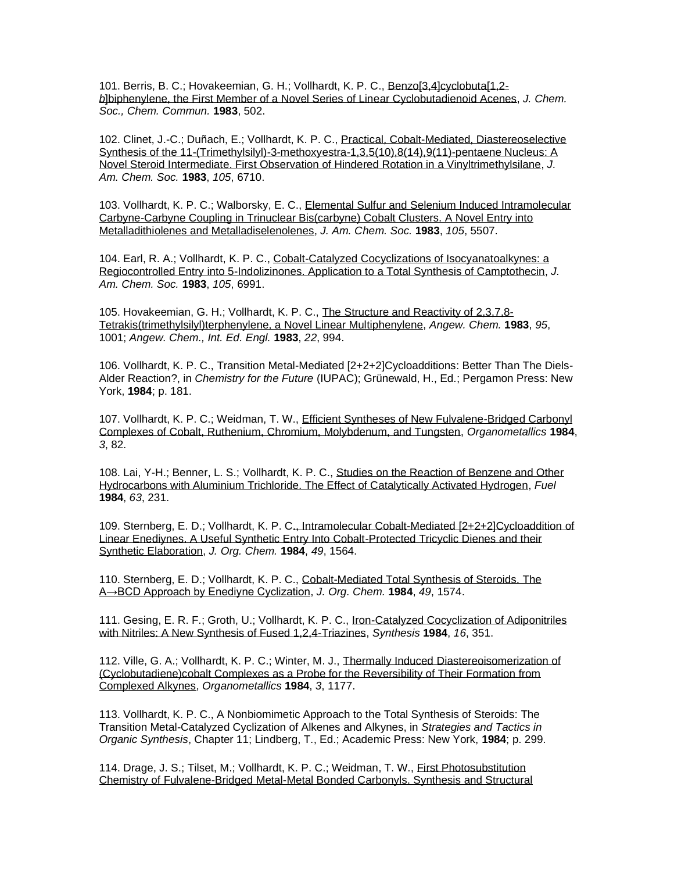101. Berris, B. C.; Hovakeemian, G. H.; Vollhardt, K. P. C., [Benzo\[3,4\]cyclobuta\[1,2](http://www.rsc.org/ejarchive/C3/1983/C39830000502.pdf) *b*[\]biphenylene, the First Member of a Novel Series of Linear Cyclobutadienoid Acenes,](http://www.rsc.org/ejarchive/C3/1983/C39830000502.pdf) *J. Chem. Soc., Chem. Commun.* **1983**, 502.

102. Clinet, J.-C.; Duñach, E.; Vollhardt, K. P. C., [Practical, Cobalt-Mediated, Diastereoselective](http://pubs.acs.org/doi/pdf/10.1021/ja00360a027)  [Synthesis of the 11-\(Trimethylsilyl\)-3-methoxyestra-1,3,5\(10\),8\(14\),9\(11\)-pentaene Nucleus: A](http://pubs.acs.org/doi/pdf/10.1021/ja00360a027)  Novel Steroid [Intermediate. First Observation of Hindered Rotation in a Vinyltrimethylsilane,](http://pubs.acs.org/doi/pdf/10.1021/ja00360a027) *J. Am. Chem. Soc.* **1983**, *105*, 6710.

103. Vollhardt, K. P. C.; Walborsky, E. C., [Elemental Sulfur and Selenium Induced Intramolecular](http://pubs.acs.org/cgi-bin/sample.cgi/jacsat/1983/105/i16/pdf/ja00354a070.pdf)  [Carbyne-Carbyne Coupling in Trinuclear Bis\(carbyne\) Cobalt Clusters. A Novel Entry into](http://pubs.acs.org/cgi-bin/sample.cgi/jacsat/1983/105/i16/pdf/ja00354a070.pdf)  [Metalladithiolenes and Metalladiselenolenes,](http://pubs.acs.org/cgi-bin/sample.cgi/jacsat/1983/105/i16/pdf/ja00354a070.pdf) *J. Am. Chem. Soc.* **1983**, *105*, 5507.

104. Earl, R. A.; Vollhardt, K. P. C., [Cobalt-Catalyzed Cocyclizations of Isocyanatoalkynes: a](http://pubs.acs.org/cgi-bin/sample.cgi/jacsat/1983/105/i23/pdf/ja00361a057.pdf)  [Regiocontrolled Entry into 5-Indolizinones. Application to a Total Synthesis of Camptothecin,](http://pubs.acs.org/cgi-bin/sample.cgi/jacsat/1983/105/i23/pdf/ja00361a057.pdf) *J. Am. Chem. Soc.* **1983**, *105*, 6991.

105. Hovakeemian, G. H.; Vollhardt, K. P. C., [The Structure and Reactivity of 2,3,7,8-](http://www3.interscience.wiley.com/cgi-bin/fulltext/106584051/PDFSTART) [Tetrakis\(trimethylsilyl\)terphenylene, a Novel Linear Multiphenylene,](http://www3.interscience.wiley.com/cgi-bin/fulltext/106584051/PDFSTART) *Angew. Chem.* **1983**, *95*, 1001; *Angew. Chem., Int. Ed. Engl.* **1983**, *22*, 994.

106. Vollhardt, K. P. C., Transition Metal-Mediated [2+2+2]Cycloadditions: Better Than The Diels-Alder Reaction?, in *Chemistry for the Future* (IUPAC); Grünewald, H., Ed.; Pergamon Press: New York, **1984**; p. 181.

107. Vollhardt, K. P. C.; Weidman, T. W., [Efficient Syntheses of New Fulvalene-Bridged Carbonyl](http://pubs.acs.org/cgi-bin/sample.cgi/orgnd7/1984/3/i01/pdf/om00079a016.pdf)  [Complexes of Cobalt, Ruthenium, Chromium, Molybdenum, and Tungsten,](http://pubs.acs.org/cgi-bin/sample.cgi/orgnd7/1984/3/i01/pdf/om00079a016.pdf) *Organometallics* **1984**, *3*, 82.

108. Lai, Y-H.; Benner, L. S.; Vollhardt, K. P. C., [Studies on the Reaction of Benzene and Other](http://www.sciencedirect.com/science?_ob=MImg&_imagekey=B6V3B-498TN6P-WW-1&_cdi=5726&_orig=search&_coverDate=02%2F29%2F1984&_sk=999369997&view=c&wchp=dGLbVlz-zSkWA&_acct=C000000152&_version=1&_userid=4420&md5=0237955a76e4deb99c38ad6d0fd00133&ie=f.pdf)  [Hydrocarbons with Aluminium Trichloride. The Effect of Catalytically Activated Hydrogen,](http://www.sciencedirect.com/science?_ob=MImg&_imagekey=B6V3B-498TN6P-WW-1&_cdi=5726&_orig=search&_coverDate=02%2F29%2F1984&_sk=999369997&view=c&wchp=dGLbVlz-zSkWA&_acct=C000000152&_version=1&_userid=4420&md5=0237955a76e4deb99c38ad6d0fd00133&ie=f.pdf) *Fuel* **1984**, *63*, 231.

109. Sternberg, E. D.; Vollhardt, K. P. [C., Intramolecular Cobalt-Mediated \[2+2+2\]Cycloaddition of](https://pubs.acs.org/doi/abs/10.1021/jo00183a017)  [Linear Enediynes. A Useful Synthetic Entry Into Cobalt-Protected Tricyclic Dienes and their](https://pubs.acs.org/doi/abs/10.1021/jo00183a017)  [Synthetic Elaboration,](https://pubs.acs.org/doi/abs/10.1021/jo00183a017) *J. Org. Chem.* **1984**, *49*, 1564.

110. Sternberg, E. D.; Vollhardt, K. P. C., [Cobalt-Mediated Total Synthesis of Steroids. The](https://pubs.acs.org/doi/abs/10.1021/jo00183a018)  [A→BCD Approach by Enediyne Cyclization,](https://pubs.acs.org/doi/abs/10.1021/jo00183a018) *J. Org. Chem.* **1984**, *49*, 1574.

111. Gesing, E. R. F.; Groth, U.; Vollhardt, K. P. C., [Iron-Catalyzed Cocyclization of Adiponitriles](http://www.thieme-connect.com/ejournals/pdf/synthesis/doi/10.1055/s-1984-30843.pdf)  [with Nitriles: A New Synthesis of Fused 1,2,4-Triazines,](http://www.thieme-connect.com/ejournals/pdf/synthesis/doi/10.1055/s-1984-30843.pdf) *Synthesis* **1984**, *16*, 351.

112. Ville, G. A.; Vollhardt, K. P. C.; Winter, M. J., [Thermally Induced Diastereoisomerization of](http://pubs.acs.org/cgi-bin/sample.cgi/orgnd7/1984/3/i08/pdf/om00086a007.pdf)  [\(Cyclobutadiene\)cobalt Complexes as a Probe for the Reversibility of Their Formation from](http://pubs.acs.org/cgi-bin/sample.cgi/orgnd7/1984/3/i08/pdf/om00086a007.pdf)  [Complexed Alkynes,](http://pubs.acs.org/cgi-bin/sample.cgi/orgnd7/1984/3/i08/pdf/om00086a007.pdf) *Organometallics* **1984**, *3*, 1177.

113. Vollhardt, K. P. C., A Nonbiomimetic Approach to the Total Synthesis of Steroids: The Transition Metal-Catalyzed Cyclization of Alkenes and Alkynes, in *Strategies and Tactics in Organic Synthesis*, Chapter 11; Lindberg, T., Ed.; Academic Press: New York, **1984**; p. 299.

114. Drage, J. S.; Tilset, M.; Vollhardt, K. P. C.; Weidman, T. W., [First Photosubstitution](http://pubs.acs.org/cgi-bin/sample.cgi/orgnd7/1984/3/i05/pdf/om00083a032.pdf)  [Chemistry of Fulvalene-Bridged Metal-Metal Bonded Carbonyls. Synthesis and Structural](http://pubs.acs.org/cgi-bin/sample.cgi/orgnd7/1984/3/i05/pdf/om00083a032.pdf)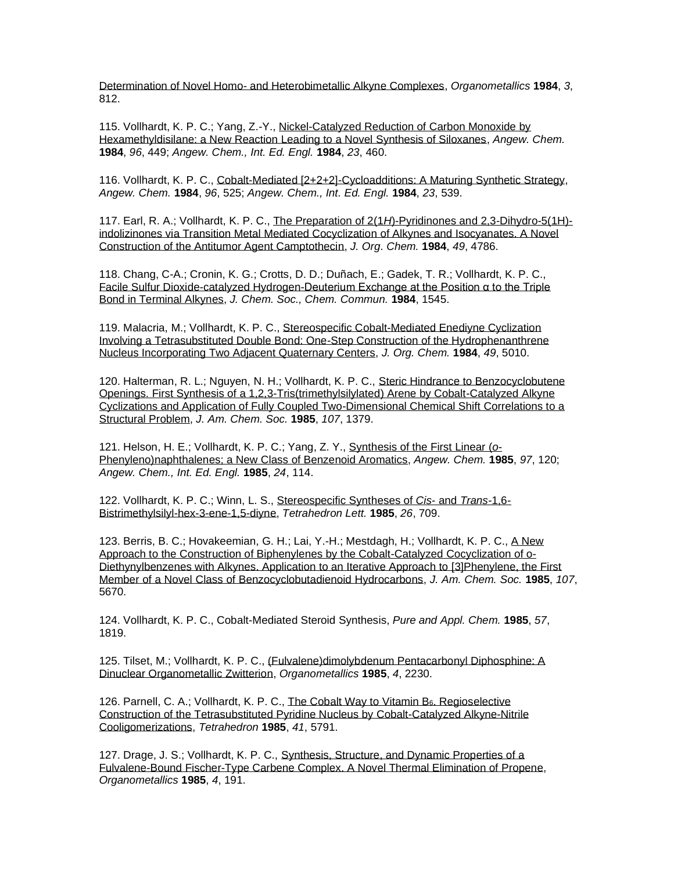Determination of Novel Homo- [and Heterobimetallic Alkyne Complexes,](http://pubs.acs.org/cgi-bin/sample.cgi/orgnd7/1984/3/i05/pdf/om00083a032.pdf) *Organometallics* **1984**, *3*, 812.

115. Vollhardt, K. P. C.; Yang, Z.-Y., [Nickel-Catalyzed Reduction of Carbon Monoxide by](http://www3.interscience.wiley.com/cgi-bin/fulltext/106584770/PDFSTART)  [Hexamethyldisilane: a New Reaction Leading to a Novel Synthesis of Siloxanes,](http://www3.interscience.wiley.com/cgi-bin/fulltext/106584770/PDFSTART) *Angew. Chem.* **1984**, *96*, 449; *Angew. Chem., Int. Ed. Engl.* **1984**, *23*, 460.

116. Vollhardt, K. P. C., [Cobalt-Mediated \[2+2+2\]-Cycloadditions: A Maturing Synthetic Strategy,](http://www3.interscience.wiley.com/cgi-bin/fulltext/106584815/PDFSTART) *Angew. Chem.* **1984**, *96*, 525; *Angew. Chem., Int. Ed. Engl.* **1984**, *23*, 539.

117. Earl, R. A.; Vollhardt, K. P. C., The Preparation of 2(1*H*[\)-Pyridinones and 2,3-Dihydro-5\(1H\)](http://pubs.acs.org/cgi-bin/sample.cgi/joceah/1984/49/i25/pdf/jo00199a009.pdf) [indolizinones via Transition Metal Mediated Cocyclization of Alkynes and Isocyanates. A Novel](http://pubs.acs.org/cgi-bin/sample.cgi/joceah/1984/49/i25/pdf/jo00199a009.pdf)  [Construction of the Antitumor Agent Camptothecin,](http://pubs.acs.org/cgi-bin/sample.cgi/joceah/1984/49/i25/pdf/jo00199a009.pdf) *J. Org. Chem.* **1984**, *49*, 4786.

118. Chang, C-A.; Cronin, K. G.; Crotts, D. D.; Duñach, E.; Gadek, T. R.; Vollhardt, K. P. C., [Facile Sulfur Dioxide-catalyzed Hydrogen-Deuterium Exchange at the Position α to the Triple](http://www.rsc.org/ejarchive/C3/1984/C39840001545.pdf)  [Bond in Terminal Alkynes,](http://www.rsc.org/ejarchive/C3/1984/C39840001545.pdf) *J. Chem. Soc., Chem. Commun.* **1984**, 1545.

119. Malacria, M.; Vollhardt, K. P. C., [Stereospecific Cobalt-Mediated Enediyne Cyclization](https://pubs.acs.org/doi/abs/10.1021/jo00199a056)  [Involving a Tetrasubstituted Double Bond: One-Step Construction of the Hydrophenanthrene](https://pubs.acs.org/doi/abs/10.1021/jo00199a056)  [Nucleus Incorporating Two Adjacent Quaternary Centers,](https://pubs.acs.org/doi/abs/10.1021/jo00199a056) *J. Org. Chem.* **1984**, *49*, 5010.

120. Halterman, R. L.; Nguyen, N. H.; Vollhardt, K. P. C., [Steric Hindrance to Benzocyclobutene](http://pubs.acs.org/doi/abs/10.1021/ja00291a045)  [Openings. First Synthesis of a 1,2,3-Tris\(trimethylsilylated\) Arene by Cobalt-Catalyzed Alkyne](http://pubs.acs.org/doi/abs/10.1021/ja00291a045)  [Cyclizations and Application of Fully Coupled Two-Dimensional Chemical Shift Correlations to a](http://pubs.acs.org/doi/abs/10.1021/ja00291a045)  [Structural Problem,](http://pubs.acs.org/doi/abs/10.1021/ja00291a045) *J. Am. Chem. Soc.* **1985**, *107*, 1379.

121. Helson, H. E.; Vollhardt, K. P. C.; Yang, Z. Y., [Synthesis of the First Linear \(](http://www3.interscience.wiley.com/cgi-bin/fulltext/106585051/PDFSTART)*o*-[Phenyleno\)naphthalenes; a New Class of Benzenoid Aromatics,](http://www3.interscience.wiley.com/cgi-bin/fulltext/106585051/PDFSTART) *Angew. Chem.* **1985**, *97*, 120; *Angew. Chem., Int. Ed. Engl.* **1985**, *24*, 114.

122. Vollhardt, K. P. C.; Winn, L. S., [Stereospecific Syntheses of](http://www.sciencedirect.com/science?_ob=MImg&_imagekey=B6THS-42HXY02-2PV-5&_cdi=5290&_orig=search&_coverDate=12%2F31%2F1985&_sk=999739993&view=c&wchp=dGLbVzz-zSkWA&_acct=C000000152&_version=1&_userid=4420&md5=4cce1516888ceb1fd7e65e2b4a3e597d&ie=f.pdf) *Cis*- and *Trans*-1,6- [Bistrimethylsilyl-hex-3-ene-1,5-diyne,](http://www.sciencedirect.com/science?_ob=MImg&_imagekey=B6THS-42HXY02-2PV-5&_cdi=5290&_orig=search&_coverDate=12%2F31%2F1985&_sk=999739993&view=c&wchp=dGLbVzz-zSkWA&_acct=C000000152&_version=1&_userid=4420&md5=4cce1516888ceb1fd7e65e2b4a3e597d&ie=f.pdf) *Tetrahedron Lett.* **1985**, *26*, 709.

123. Berris, B. C.; Hovakeemian, G. H.; Lai, Y.-H.; Mestdagh, H.; Vollhardt, K. P. C., [A New](http://pubs.acs.org/doi/pdf/10.1021/ja00306a013)  [Approach to the Construction of Biphenylenes by the Cobalt-Catalyzed Cocyclization of o-](http://pubs.acs.org/doi/pdf/10.1021/ja00306a013)[Diethynylbenzenes with Alkynes. Application to an Iterative Approach to \[3\]Phenylene, the First](http://pubs.acs.org/doi/pdf/10.1021/ja00306a013)  [Member of a Novel Class of Benzocyclobutadienoid Hydrocarbons,](http://pubs.acs.org/doi/pdf/10.1021/ja00306a013) *J. Am. Chem. Soc.* **1985**, *107*, 5670.

124. Vollhardt, K. P. C., Cobalt-Mediated Steroid Synthesis, *Pure and Appl. Chem.* **1985**, *57*, 1819.

125. Tilset, M.; Vollhardt, K. P. C., [\(Fulvalene\)dimolybdenum Pentacarbonyl Diphosphine: A](http://pubs.acs.org/cgi-bin/sample.cgi/orgnd7/1985/4/i12/pdf/om00131a033.pdf)  [Dinuclear Organometallic Zwitterion,](http://pubs.acs.org/cgi-bin/sample.cgi/orgnd7/1985/4/i12/pdf/om00131a033.pdf) *Organometallics* **1985**, *4*, 2230.

126. Parnell, C. A.; Vollhardt, K. P. C., [The Cobalt Way to Vitamin B](http://www.sciencedirect.com/science?_ob=MImg&_imagekey=B6THR-42H80FN-H1-1&_cdi=5289&_orig=search&_coverDate=12%2F31%2F1985&_sk=999589975&view=c&wchp=dGLbVlz-zSkWW&_acct=C000000152&_version=1&_userid=4420&md5=6d85a27482f1e93d1c0170c4eb8116cb&ie=f.pdf)6. Regioselective [Construction of the Tetrasubstituted Pyridine Nucleus by Cobalt-Catalyzed Alkyne-Nitrile](http://www.sciencedirect.com/science?_ob=MImg&_imagekey=B6THR-42H80FN-H1-1&_cdi=5289&_orig=search&_coverDate=12%2F31%2F1985&_sk=999589975&view=c&wchp=dGLbVlz-zSkWW&_acct=C000000152&_version=1&_userid=4420&md5=6d85a27482f1e93d1c0170c4eb8116cb&ie=f.pdf)  [Cooligomerizations,](http://www.sciencedirect.com/science?_ob=MImg&_imagekey=B6THR-42H80FN-H1-1&_cdi=5289&_orig=search&_coverDate=12%2F31%2F1985&_sk=999589975&view=c&wchp=dGLbVlz-zSkWW&_acct=C000000152&_version=1&_userid=4420&md5=6d85a27482f1e93d1c0170c4eb8116cb&ie=f.pdf) *Tetrahedron* **1985**, *41*, 5791.

127. Drage, J. S.; Vollhardt, K. P. C., [Synthesis, Structure, and Dynamic Properties of a](http://pubs.acs.org/cgi-bin/sample.cgi/orgnd7/1985/4/i01/pdf/om00120a031.pdf)  [Fulvalene-Bound Fischer-Type Carbene Complex. A Novel Thermal Elimination of](http://pubs.acs.org/cgi-bin/sample.cgi/orgnd7/1985/4/i01/pdf/om00120a031.pdf) Propene, *Organometallics* **1985**, *4*, 191.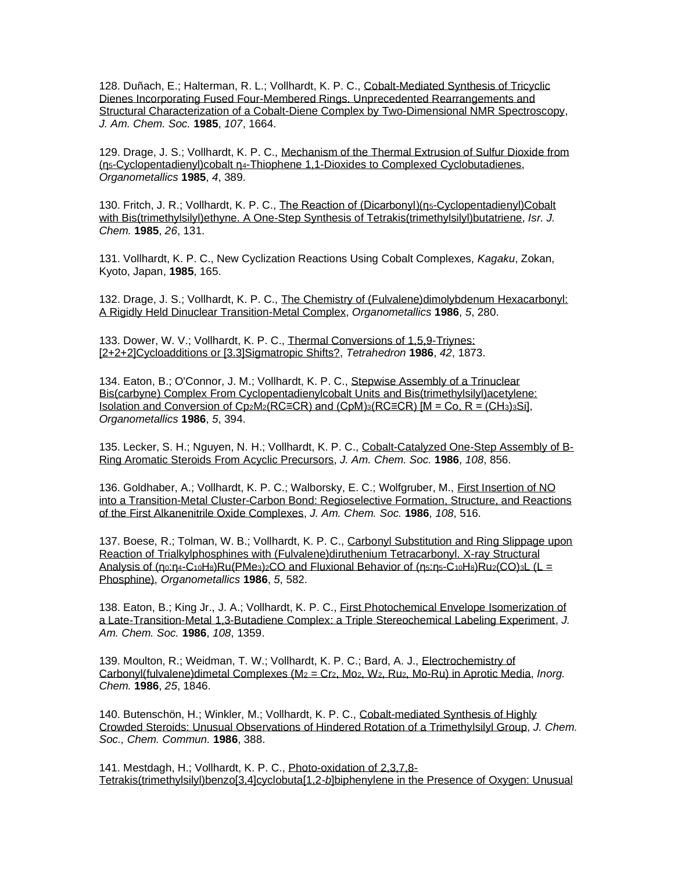128. Duñach, E.; Halterman, R. L.; Vollhardt, K. P. C., [Cobalt-Mediated Synthesis of Tricyclic](http://pubs.acs.org/doi/pdf/10.1021/ja00292a033)  [Dienes Incorporating Fused Four-Membered Rings. Unprecedented Rearrangements and](http://pubs.acs.org/doi/pdf/10.1021/ja00292a033)  [Structural Characterization of a Cobalt-Diene Complex by Two-Dimensional NMR Spectroscopy,](http://pubs.acs.org/doi/pdf/10.1021/ja00292a033) *J. Am. Chem. Soc.* **1985**, *107*, 1664.

129. Drage, J. S.; Vollhardt, K. P. C., [Mechanism of the Thermal Extrusion of Sulfur Dioxide from](http://pubs.acs.org/cgi-bin/sample.cgi/orgnd7/1985/4/i02/pdf/om00121a034.pdf)  (η5[-Cyclopentadienyl\)cobalt η](http://pubs.acs.org/cgi-bin/sample.cgi/orgnd7/1985/4/i02/pdf/om00121a034.pdf)4[-Thiophene 1,1-Dioxides to Complexed Cyclobutadienes,](http://pubs.acs.org/cgi-bin/sample.cgi/orgnd7/1985/4/i02/pdf/om00121a034.pdf) *Organometallics* **1985**, *4*, 389.

130. Fritch, J. R.; Vollhardt, K. P. C., [The Reaction of \(Dicarbonyl\)\(η](https://onlinelibrary.wiley.com/doi/pdf/10.1002/ijch.198500082#accessDenialLayout)5-Cyclopentadienyl)Cobalt [with Bis\(trimethylsilyl\)ethyne. A One-Step Synthesis of Tetrakis\(trimethylsilyl\)butatriene,](https://onlinelibrary.wiley.com/doi/pdf/10.1002/ijch.198500082#accessDenialLayout) *Isr. J. Chem.* **1985**, *26*, 131.

131. Vollhardt, K. P. C., New Cyclization Reactions Using Cobalt Complexes, *Kagaku*, Zokan, Kyoto, Japan, **1985**, 165.

132. Drage, J. S.; Vollhardt, K. P. C., [The Chemistry of \(Fulvalene\)dimolybdenum Hexacarbonyl:](http://pubs.acs.org/cgi-bin/sample.cgi/orgnd7/1986/5/i02/pdf/om00133a019.pdf)  [A Rigidly Held Dinuclear Transition-Metal Complex,](http://pubs.acs.org/cgi-bin/sample.cgi/orgnd7/1986/5/i02/pdf/om00133a019.pdf) *Organometallics* **1986**, *5*, 280.

133. Dower, W. V.; Vollhardt, K. P. C., [Thermal Conversions of 1,5,9-Triynes:](http://www.sciencedirect.com/science?_ob=MImg&_imagekey=B6THR-42M7KRS-3R-1&_cdi=5289&_orig=search&_coverDate=12%2F31%2F1986&_sk=999579993&view=c&wchp=dGLbVlz-zSkWW&_acct=C000000152&_version=1&_userid=4420&md5=0de90a88bb5f3ad30abcec0874b163cc&ie=f.pdf)  [\[2+2+2\]Cycloadditions or \[3.3\]Sigmatropic Shifts?,](http://www.sciencedirect.com/science?_ob=MImg&_imagekey=B6THR-42M7KRS-3R-1&_cdi=5289&_orig=search&_coverDate=12%2F31%2F1986&_sk=999579993&view=c&wchp=dGLbVlz-zSkWW&_acct=C000000152&_version=1&_userid=4420&md5=0de90a88bb5f3ad30abcec0874b163cc&ie=f.pdf) *Tetrahedron* **1986**, *42*, 1873.

134. Eaton, B.; O'Connor, J. M.; Vollhardt, K. P. C., [Stepwise Assembly of a Trinuclear](http://pubs.acs.org/cgi-bin/sample.cgi/orgnd7/1986/5/i02/pdf/om00133a039.pdf)  [Bis\(carbyne\) Complex From Cyclopentadienylcobalt Units and Bis\(trimethylsilyl\)acetylene:](http://pubs.acs.org/cgi-bin/sample.cgi/orgnd7/1986/5/i02/pdf/om00133a039.pdf)  [Isolation and Conversion of Cp](http://pubs.acs.org/cgi-bin/sample.cgi/orgnd7/1986/5/i02/pdf/om00133a039.pdf)2M2(RC≡CR) and (CpM)3(RC≡CR) [M = Co, R = (CH3)3Si], *Organometallics* **1986**, *5*, 394.

135. Lecker, S. H.; Nguyen, N. H.; Vollhardt, K. P. C., [Cobalt-Catalyzed One-Step Assembly of B-](http://pubs.acs.org/cgi-bin/sample.cgi/jacsat/1986/108/i04/pdf/ja00264a059.pdf)[Ring Aromatic Steroids From Acyclic Precursors,](http://pubs.acs.org/cgi-bin/sample.cgi/jacsat/1986/108/i04/pdf/ja00264a059.pdf) *J. Am. Chem. Soc.* **1986**, *108*, 856.

136. Goldhaber, A.; Vollhardt, K. P. C.; Walborsky, E. C.; Wolfgruber, M., [First Insertion of NO](http://pubs.acs.org/cgi-bin/sample.cgi/jacsat/1986/108/i03/pdf/ja00263a033.pdf)  [into a Transition-Metal Cluster-Carbon Bond: Regioselective Formation, Structure, and Reactions](http://pubs.acs.org/cgi-bin/sample.cgi/jacsat/1986/108/i03/pdf/ja00263a033.pdf)  [of the First Alkanenitrile Oxide Complexes,](http://pubs.acs.org/cgi-bin/sample.cgi/jacsat/1986/108/i03/pdf/ja00263a033.pdf) *J. Am. Chem. Soc.* **1986**, *108*, 516.

137. Boese, R.; Tolman, W. B.; Vollhardt, K. P. C., [Carbonyl Substitution and Ring Slippage upon](http://pubs.acs.org/cgi-bin/sample.cgi/orgnd7/1986/5/i03/pdf/om00134a029.pdf)  [Reaction of Trialkylphosphines with \(Fulvalene\)diruthenium Tetracarbonyl. X-ray Structural](http://pubs.acs.org/cgi-bin/sample.cgi/orgnd7/1986/5/i03/pdf/om00134a029.pdf)  [Analysis of \(](http://pubs.acs.org/cgi-bin/sample.cgi/orgnd7/1986/5/i03/pdf/om00134a029.pdf)[η](http://pubs.acs.org/cgi-bin/sample.cgi/orgnd7/1985/4/i02/pdf/om00121a034.pdf)0[:](http://pubs.acs.org/cgi-bin/sample.cgi/orgnd7/1986/5/i03/pdf/om00134a029.pdf)[η](http://pubs.acs.org/cgi-bin/sample.cgi/orgnd7/1985/4/i02/pdf/om00121a034.pdf)4-C10H8)Ru(PMe3)2[CO and Fluxional Behavior of \(](http://pubs.acs.org/cgi-bin/sample.cgi/orgnd7/1986/5/i03/pdf/om00134a029.pdf)[η](http://pubs.acs.org/cgi-bin/sample.cgi/orgnd7/1985/4/i02/pdf/om00121a034.pdf)5[:](http://pubs.acs.org/cgi-bin/sample.cgi/orgnd7/1986/5/i03/pdf/om00134a029.pdf)[η](http://pubs.acs.org/cgi-bin/sample.cgi/orgnd7/1985/4/i02/pdf/om00121a034.pdf)5[-C](http://pubs.acs.org/cgi-bin/sample.cgi/orgnd7/1986/5/i03/pdf/om00134a029.pdf)10H8)Ru2(CO)3[L \(L =](http://pubs.acs.org/cgi-bin/sample.cgi/orgnd7/1986/5/i03/pdf/om00134a029.pdf) [Phosphine\),](http://pubs.acs.org/cgi-bin/sample.cgi/orgnd7/1986/5/i03/pdf/om00134a029.pdf) *Organometallics* **1986**, *5*, 582.

138. Eaton, B.; King Jr., J. A.; Vollhardt, K. P. C., [First Photochemical Envelope Isomerization of](http://pubs.acs.org/cgi-bin/sample.cgi/jacsat/1986/108/i06/pdf/ja00266a073.pdf)  [a Late-Transition-Metal 1,3-Butadiene Complex: a Triple Stereochemical Labeling Experiment,](http://pubs.acs.org/cgi-bin/sample.cgi/jacsat/1986/108/i06/pdf/ja00266a073.pdf) *J. Am. Chem. Soc.* **1986**, *108*, 1359.

139. Moulton, R.; Weidman, T. W.; Vollhardt, K. P. C.; Bard, A. J., [Electrochemistry of](http://pubs.acs.org/doi/pdf/10.1021/ic00231a026)  [Carbonyl\(fulvalene\)dimetal Complexes \(M](http://pubs.acs.org/doi/pdf/10.1021/ic00231a026)<sup>2</sup> = Cr2, Mo2, W2, Ru2, Mo-Ru) in Aprotic Media, *Inorg. Chem.* **1986**, *25*, 1846.

140. Butenschön, H.; Winkler, M.; Vollhardt, K. P. C., [Cobalt-mediated Synthesis of Highly](http://www.rsc.org/ejarchive/C3/1986/C39860000388.pdf)  [Crowded Steroids: Unusual Observations of Hindered Rotation of a Trimethylsilyl Group,](http://www.rsc.org/ejarchive/C3/1986/C39860000388.pdf) *J. Chem. Soc., Chem. Commun.* **1986**, 388.

141. Mestdagh, H.; Vollhardt, K. P. C., [Photo-oxidation of 2,3,7,8-](http://www.rsc.org/ejarchive/C3/1986/C39860000281.pdf) Tetrakis(trimethylsilyl)benzo[3,4]cyclobuta[1,2-*b*[\]biphenylene in the Presence of Oxygen: Unusual](http://www.rsc.org/ejarchive/C3/1986/C39860000281.pdf)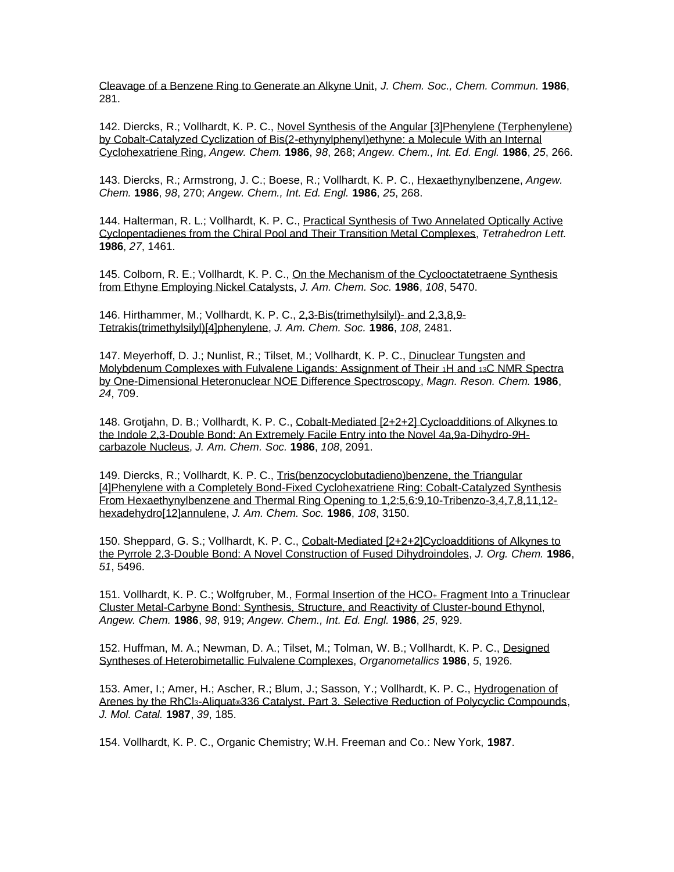[Cleavage of a Benzene Ring to Generate an Alkyne Unit,](http://www.rsc.org/ejarchive/C3/1986/C39860000281.pdf) *J. Chem. Soc., Chem. Commun.* **1986**, 281.

142. Diercks, R.; Vollhardt, K. P. C., [Novel Synthesis of the Angular \[3\]Phenylene \(Terphenylene\)](https://onlinelibrary.wiley.com/doi/epdf/10.1002/anie.198602661)  [by Cobalt-Catalyzed Cyclization of Bis\(2-ethynylphenyl\)ethyne: a Molecule With an Internal](https://onlinelibrary.wiley.com/doi/epdf/10.1002/anie.198602661)  [Cyclohexatriene Ring,](https://onlinelibrary.wiley.com/doi/epdf/10.1002/anie.198602661) *Angew. Chem.* **1986**, *98*, 268; *Angew. Chem., Int. Ed. Engl.* **1986**, *25*, 266.

143. Diercks, R.; Armstrong, J. C.; Boese, R.; Vollhardt, K. P. C., [Hexaethynylbenzene,](http://www3.interscience.wiley.com/cgi-bin/fulltext/106585542/PDFSTART) *Angew. Chem.* **1986**, *98*, 270; *Angew. Chem., Int. Ed. Engl.* **1986**, *25*, 268.

144. Halterman, R. L.; Vollhardt, K. P. C., [Practical Synthesis of Two Annelated Optically Active](http://www.sciencedirect.com/science?_ob=MImg&_imagekey=B6THS-42RVSGW-SS-2&_cdi=5290&_orig=search&_coverDate=12%2F31%2F1986&_sk=999729986&view=c&wchp=dGLbVzz-zSkWA&_acct=C000000152&_version=1&_userid=4420&md5=6a59015e8a2fb020102ef2824ff56d64&ie=f.pdf)  [Cyclopentadienes from the Chiral Pool and Their Transition Metal Complexes,](http://www.sciencedirect.com/science?_ob=MImg&_imagekey=B6THS-42RVSGW-SS-2&_cdi=5290&_orig=search&_coverDate=12%2F31%2F1986&_sk=999729986&view=c&wchp=dGLbVzz-zSkWA&_acct=C000000152&_version=1&_userid=4420&md5=6a59015e8a2fb020102ef2824ff56d64&ie=f.pdf) *Tetrahedron Lett.* **1986**, *27*, 1461.

145. Colborn, R. E.; Vollhardt, K. P. C., On the Mechanism of the Cyclooctatetraene Synthesis [from Ethyne Employing Nickel Catalysts,](http://pubs.acs.org/cgi-bin/sample.cgi/jacsat/1986/108/i18/pdf/ja00278a017.pdf) *J. Am. Chem. Soc.* **1986**, *108*, 5470.

146. Hirthammer, M.; Vollhardt, K. P. C., [2,3-Bis\(trimethylsilyl\)-](http://pubs.acs.org/cgi-bin/sample.cgi/jacsat/1986/108/i09/pdf/ja00269a076.pdf) and 2,3,8,9- [Tetrakis\(trimethylsilyl\)\[4\]phenylene,](http://pubs.acs.org/cgi-bin/sample.cgi/jacsat/1986/108/i09/pdf/ja00269a076.pdf) *J. Am. Chem. Soc.* **1986**, *108*, 2481.

147. Meyerhoff, D. J.; Nunlist, R.; Tilset, M.; Vollhardt, K. P. C., [Dinuclear Tungsten and](http://www3.interscience.wiley.com/cgi-bin/fulltext/110459725/PDFSTART)  [Molybdenum Complexes with Fulvalene Ligands: Assignment of Their](http://www3.interscience.wiley.com/cgi-bin/fulltext/110459725/PDFSTART) 1H and 13C NMR Spectra [by One-Dimensional Heteronuclear NOE Difference Spectroscopy,](http://www3.interscience.wiley.com/cgi-bin/fulltext/110459725/PDFSTART) *Magn. Reson. Chem.* **1986**, *24*, 709.

148. Grotjahn, D. B.; Vollhardt, K. P. C., [Cobalt-Mediated \[2+2+2\] Cycloadditions of Alkynes to](http://pubs.acs.org/doi/pdf/10.1021/ja00268a060)  [the Indole 2,3-Double Bond: An Extremely Facile Entry into the Novel 4a,9a-Dihydro-](http://pubs.acs.org/doi/pdf/10.1021/ja00268a060)*9*H[carbazole Nucleus,](http://pubs.acs.org/doi/pdf/10.1021/ja00268a060) *J. Am. Chem. Soc.* **1986**, *108*, 2091.

149. Diercks, R.; Vollhardt, K. P. C., [Tris\(benzocyclobutadieno\)benzene, the Triangular](http://pubs.acs.org/cgi-bin/sample.cgi/jacsat/1986/108/i11/pdf/ja00271a080.pdf)  [\[4\]Phenylene with a Completely Bond-Fixed Cyclohexatriene Ring: Cobalt-Catalyzed Synthesis](http://pubs.acs.org/cgi-bin/sample.cgi/jacsat/1986/108/i11/pdf/ja00271a080.pdf)  [From Hexaethynylbenzene and Thermal Ring Opening to 1,2:5,6:9,10-Tribenzo-3,4,7,8,11,12](http://pubs.acs.org/cgi-bin/sample.cgi/jacsat/1986/108/i11/pdf/ja00271a080.pdf) [hexadehydro\[12\]annulene,](http://pubs.acs.org/cgi-bin/sample.cgi/jacsat/1986/108/i11/pdf/ja00271a080.pdf) *J. Am. Chem. Soc.* **1986**, *108*, 3150.

150. Sheppard, G. S.; Vollhardt, K. P. C., [Cobalt-Mediated \[2+2+2\]Cycloadditions of Alkynes to](http://pubs.acs.org/cgi-bin/sample.cgi/joceah/1986/51/i26/pdf/jo00376a106.pdf)  [the Pyrrole 2,3-Double Bond: A Novel Construction of Fused Dihydroindoles,](http://pubs.acs.org/cgi-bin/sample.cgi/joceah/1986/51/i26/pdf/jo00376a106.pdf) *J. Org. Chem.* **1986**, *51*, 5496.

151. Vollhardt, K. P. C.; Wolfgruber, M., [Formal Insertion of the HCO](http://www3.interscience.wiley.com/cgi-bin/fulltext/106585393/PDFSTART)+ Fragment Into a Trinuclear [Cluster Metal-Carbyne Bond: Synthesis, Structure, and Reactivity of Cluster-bound Ethynol,](http://www3.interscience.wiley.com/cgi-bin/fulltext/106585393/PDFSTART) *Angew. Chem.* **1986**, *98*, 919; *Angew. Chem., Int. Ed. Engl.* **1986**, *25*, 929.

152. Huffman, M. A.; Newman, D. A.; Tilset, M.; Tolman, W. B.; Vollhardt, K. P. C., [Designed](http://pubs.acs.org/cgi-bin/sample.cgi/orgnd7/1986/5/i09/pdf/om00140a038.pdf)  [Syntheses of Heterobimetallic Fulvalene Complexes,](http://pubs.acs.org/cgi-bin/sample.cgi/orgnd7/1986/5/i09/pdf/om00140a038.pdf) *Organometallics* **1986**, *5*, 1926.

153. Amer, I.; Amer, H.; Ascher, R.; Blum, J.; Sasson, Y.; Vollhardt, K. P. C., [Hydrogenation of](http://www.sciencedirect.com/science?_ob=MImg&_imagekey=B6W91-441PDFM-7-1&_cdi=6669&_orig=search&_coverDate=02%2F28%2F1987&_sk=999609997&view=c&wchp=dGLbVtz-zSkWb&_acct=C000000152&_version=1&_userid=4420&md5=36c028d083246baa7f91f9e861ca7a29&ie=f.pdf)  Arenes by the RhCl<sub>3</sub>-Aliquat®[336 Catalyst. Part 3. Selective Reduction of Polycyclic Compounds,](http://www.sciencedirect.com/science?_ob=MImg&_imagekey=B6W91-441PDFM-7-1&_cdi=6669&_orig=search&_coverDate=02%2F28%2F1987&_sk=999609997&view=c&wchp=dGLbVtz-zSkWb&_acct=C000000152&_version=1&_userid=4420&md5=36c028d083246baa7f91f9e861ca7a29&ie=f.pdf) *J. Mol. Catal.* **1987**, *39*, 185.

154. Vollhardt, K. P. C., Organic Chemistry; W.H. Freeman and Co.: New York, **1987**.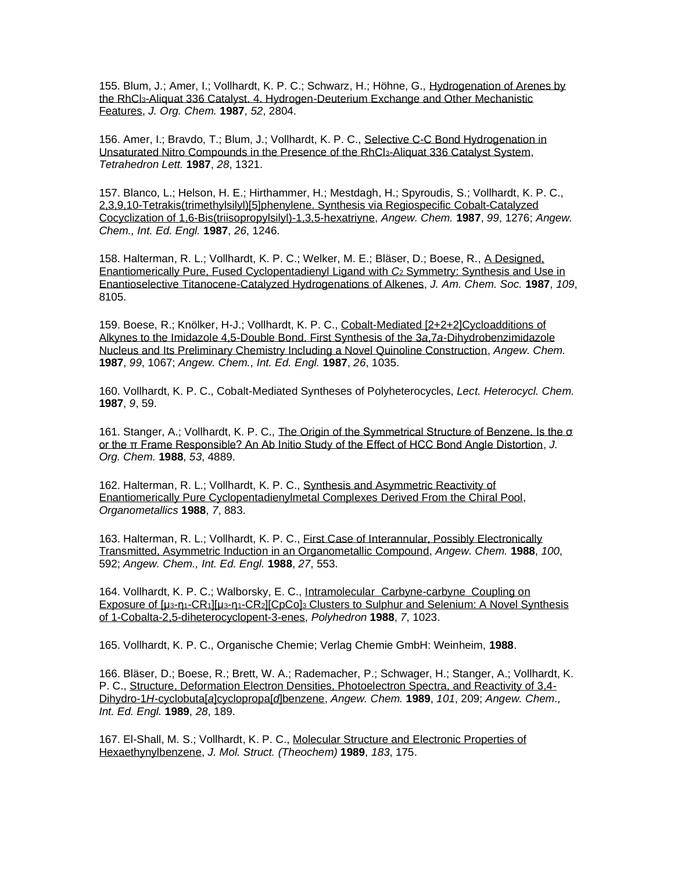155. Blum, J.; Amer, I.; Vollhardt, K. P. C.; Schwarz, H.; Höhne, G., [Hydrogenation of Arenes by](http://pubs.acs.org/cgi-bin/sample.cgi/joceah/1987/52/i13/pdf/jo00389a030.pdf)  the RhCl3[-Aliquat 336 Catalyst. 4. Hydrogen-Deuterium Exchange and Other Mechanistic](http://pubs.acs.org/cgi-bin/sample.cgi/joceah/1987/52/i13/pdf/jo00389a030.pdf)  [Features,](http://pubs.acs.org/cgi-bin/sample.cgi/joceah/1987/52/i13/pdf/jo00389a030.pdf) *J. Org. Chem.* **1987**, *52*, 2804.

156. Amer, I.; Bravdo, T.; Blum, J.; Vollhardt, K. P. C., [Selective C-C Bond Hydrogenation in](http://www.sciencedirect.com/science?_ob=MImg&_imagekey=B6THS-42HXMPF-W3-3&_cdi=5290&_orig=search&_coverDate=12%2F31%2F1987&_sk=999719987&view=c&wchp=dGLbVzz-zSkWA&_acct=C000000152&_version=1&_userid=4420&md5=a0681e207c5e17aa387117fe24d6b7c6&ie=f.pdf)  [Unsaturated Nitro Compounds in the Presence of the RhCl](http://www.sciencedirect.com/science?_ob=MImg&_imagekey=B6THS-42HXMPF-W3-3&_cdi=5290&_orig=search&_coverDate=12%2F31%2F1987&_sk=999719987&view=c&wchp=dGLbVzz-zSkWA&_acct=C000000152&_version=1&_userid=4420&md5=a0681e207c5e17aa387117fe24d6b7c6&ie=f.pdf)3-Aliquat 336 Catalyst System, *Tetrahedron Lett.* **1987**, *28*, 1321.

157. Blanco, L.; Helson, H. E.; Hirthammer, H.; Mestdagh, H.; Spyroudis, S.; Vollhardt, K. P. C., [2,3,9,10-Tetrakis\(trimethylsilyl\)\[5\]phenylene. Synthesis via Regiospecific](http://www3.interscience.wiley.com/cgi-bin/fulltext/106585938/PDFSTART) Cobalt-Catalyzed [Cocyclization of 1,6-Bis\(triisopropylsilyl\)-1,3,5-hexatriyne,](http://www3.interscience.wiley.com/cgi-bin/fulltext/106585938/PDFSTART) *Angew. Chem.* **1987**, *99*, 1276; *Angew. Chem., Int. Ed. Engl.* **1987**, *26*, 1246.

158. Halterman, R. L.; Vollhardt, K. P. C.; Welker, M. E.; Bläser, D.; Boese, R., [A Designed,](http://pubs.acs.org/cgi-bin/sample.cgi/jacsat/1987/109/i26/pdf/ja00260a037.pdf)  [Enantiomerically Pure, Fused Cyclopentadienyl Ligand with](http://pubs.acs.org/cgi-bin/sample.cgi/jacsat/1987/109/i26/pdf/ja00260a037.pdf) *C*<sup>2</sup> Symmetry: Synthesis and Use in [Enantioselective Titanocene-Catalyzed Hydrogenations of Alkenes,](http://pubs.acs.org/cgi-bin/sample.cgi/jacsat/1987/109/i26/pdf/ja00260a037.pdf) *J. Am. Chem. Soc.* **1987**, *109*, 8105.

159. Boese, R.; Knölker, H-J.; Vollhardt, K. P. C., [Cobalt-Mediated \[2+2+2\]Cycloadditions of](https://onlinelibrary.wiley.com/doi/epdf/10.1002/anie.198710351)  [Alkynes to the Imidazole 4,5-Double Bond. First Synthesis of](https://onlinelibrary.wiley.com/doi/epdf/10.1002/anie.198710351) the 3*a*,7*a*-Dihydrobenzimidazole [Nucleus and Its Preliminary Chemistry Including a Novel Quinoline Construction,](https://onlinelibrary.wiley.com/doi/epdf/10.1002/anie.198710351) *Angew. Chem.* **1987**, *99*, 1067; *Angew. Chem., Int. Ed. Engl.* **1987**, *26*, 1035.

160. Vollhardt, K. P. C., Cobalt-Mediated Syntheses of Polyheterocycles, *Lect. Heterocycl. Chem.* **1987**, *9*, 59.

161. Stanger, A.; Vollhardt, K. P. C., [The Origin of the Symmetrical Structure of Benzene. Is the σ](http://pubs.acs.org/cgi-bin/sample.cgi/joceah/1988/53/i20/pdf/jo00255a049.pdf)  [or the π Frame Responsible? An Ab Initio Study of the Effect of HCC Bond Angle Distortion,](http://pubs.acs.org/cgi-bin/sample.cgi/joceah/1988/53/i20/pdf/jo00255a049.pdf) *J. Org. Chem.* **1988**, *53*, 4889.

162. Halterman, R. L.; Vollhardt, K. P. C., [Synthesis and Asymmetric Reactivity of](http://pubs.acs.org/cgi-bin/sample.cgi/orgnd7/1988/7/i04/pdf/om00094a015.pdf)  [Enantiomerically Pure Cyclopentadienylmetal Complexes Derived From the Chiral Pool,](http://pubs.acs.org/cgi-bin/sample.cgi/orgnd7/1988/7/i04/pdf/om00094a015.pdf) *Organometallics* **1988**, *7*, 883.

163. Halterman, R. L.; Vollhardt, K. P. C., [First Case of Interannular, Possibly Electronically](http://www3.interscience.wiley.com/cgi-bin/fulltext/106598154/PDFSTART)  [Transmitted, Asymmetric Induction in an Organometallic Compound,](http://www3.interscience.wiley.com/cgi-bin/fulltext/106598154/PDFSTART) *Angew. Chem.* **1988**, *100*, 592; *Angew. Chem., Int. Ed. Engl.* **1988**, *27*, 553.

164. Vollhardt, K. P. C.; Walborsky, E. C., Intramolecular [Carbyne-carbyne](http://www.sciencedirect.com/science?_ob=MImg&_imagekey=B6TH8-42SR1R8-TY-1&_cdi=5276&_orig=search&_coverDate=12%2F31%2F1988&_sk=999929989&view=c&wchp=dGLbVtz-zSkzk&_acct=C000000152&_version=1&_userid=4420&md5=c3707d56649773b8a30689123bed041e&ie=f.pdf) Coupling on [Exposure of \[](http://www.sciencedirect.com/science?_ob=MImg&_imagekey=B6TH8-42SR1R8-TY-1&_cdi=5276&_orig=search&_coverDate=12%2F31%2F1988&_sk=999929989&view=c&wchp=dGLbVtz-zSkzk&_acct=C000000152&_version=1&_userid=4420&md5=c3707d56649773b8a30689123bed041e&ie=f.pdf)μ3-η1[-CR](http://www.sciencedirect.com/science?_ob=MImg&_imagekey=B6TH8-42SR1R8-TY-1&_cdi=5276&_orig=search&_coverDate=12%2F31%2F1988&_sk=999929989&view=c&wchp=dGLbVtz-zSkzk&_acct=C000000152&_version=1&_userid=4420&md5=c3707d56649773b8a30689123bed041e&ie=f.pdf)1][μ3-η1-CR2][CpCo]<sup>3</sup> [Clusters to Sulphur and Selenium: A Novel Synthesis](http://www.sciencedirect.com/science?_ob=MImg&_imagekey=B6TH8-42SR1R8-TY-1&_cdi=5276&_orig=search&_coverDate=12%2F31%2F1988&_sk=999929989&view=c&wchp=dGLbVtz-zSkzk&_acct=C000000152&_version=1&_userid=4420&md5=c3707d56649773b8a30689123bed041e&ie=f.pdf)  [of 1-Cobalta-2,5-diheterocyclopent-3-enes,](http://www.sciencedirect.com/science?_ob=MImg&_imagekey=B6TH8-42SR1R8-TY-1&_cdi=5276&_orig=search&_coverDate=12%2F31%2F1988&_sk=999929989&view=c&wchp=dGLbVtz-zSkzk&_acct=C000000152&_version=1&_userid=4420&md5=c3707d56649773b8a30689123bed041e&ie=f.pdf) *Polyhedron* **1988**, *7*, 1023.

165. Vollhardt, K. P. C., Organische Chemie; Verlag Chemie GmbH: Weinheim, **1988**.

166. Bläser, D.; Boese, R.; Brett, W. A.; Rademacher, P.; Schwager, H.; Stanger, A.; Vollhardt, K. P. C., [Structure, Deformation Electron Densities, Photoelectron Spectra, and Reactivity of 3,4-](http://www3.interscience.wiley.com/cgi-bin/fulltext/106598665/PDFSTART) Dihydro-1*H*-cyclobuta[*a*[\]cyclopropa\[](http://www3.interscience.wiley.com/cgi-bin/fulltext/106598665/PDFSTART)*d*]benzene, *Angew. Chem.* **1989**, *101*, 209; *Angew. Chem., Int. Ed. Engl.* **1989**, *28*, 189.

167. El-Shall, M. S.; Vollhardt, K. P. C., [Molecular Structure and Electronic Properties of](http://www.sciencedirect.com/science?_ob=MImg&_imagekey=B6TGT-44HTF3N-88-1&_cdi=5263&_orig=search&_coverDate=01%2F31%2F1989&_sk=998169998&view=c&wchp=dGLbVzb-zSkzV&_acct=C000000152&_version=1&_userid=4420&md5=6e5f7836bccbbca53e8bbed6d4d4eddd&ie=f.pdf)  [Hexaethynylbenzene,](http://www.sciencedirect.com/science?_ob=MImg&_imagekey=B6TGT-44HTF3N-88-1&_cdi=5263&_orig=search&_coverDate=01%2F31%2F1989&_sk=998169998&view=c&wchp=dGLbVzb-zSkzV&_acct=C000000152&_version=1&_userid=4420&md5=6e5f7836bccbbca53e8bbed6d4d4eddd&ie=f.pdf) *J. Mol. Struct. (Theochem)* **1989**, *183*, 175.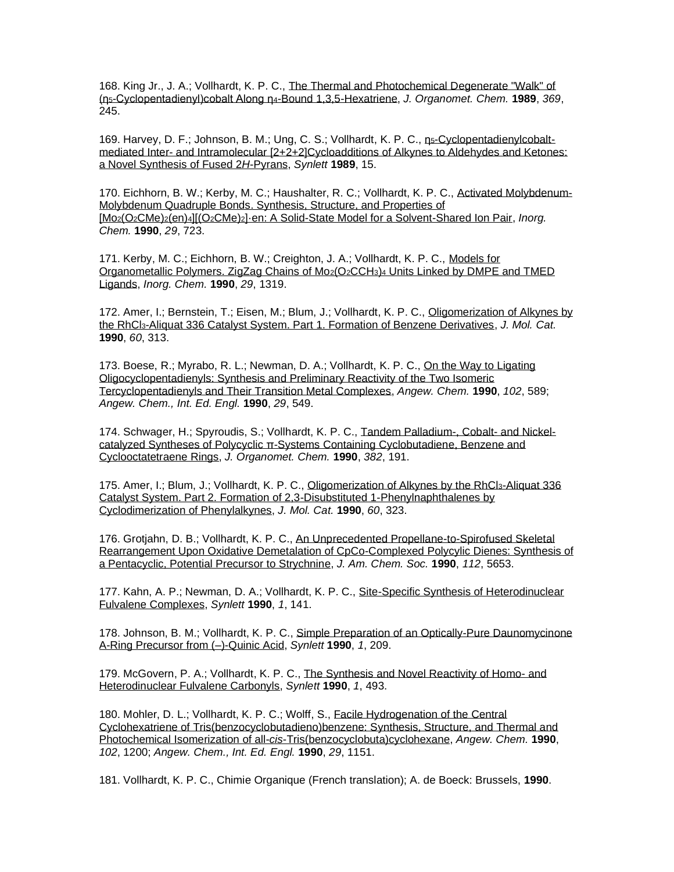168. King Jr., J. A.; Vollhardt, K. P. C., [The Thermal and Photochemical Degenerate "Walk" of](https://www.sciencedirect.com/journal/journal-of-organometallic-chemistry/vol/369/issue/2)  (η5[-Cyclopentadienyl\)cobalt Along η](https://www.sciencedirect.com/journal/journal-of-organometallic-chemistry/vol/369/issue/2)4-Bound 1,3,5-Hexatriene, *J. Organomet. Chem.* **1989**, *369*, 245.

169. Harvey, D. F.; Johnson, B. M.; Ung, C. S.; Vollhardt, K. P. C., n<sub>5</sub>[-Cyclopentadienylcobalt](http://www.thieme-connect.com/ejournals/pdf/synlett/doi/10.1055/s-1989-34701.pdf)mediated Inter- [and Intramolecular \[2+2+2\]Cycloadditions of Alkynes](http://www.thieme-connect.com/ejournals/pdf/synlett/doi/10.1055/s-1989-34701.pdf) to Aldehydes and Ketones: [a Novel Synthesis of Fused 2](http://www.thieme-connect.com/ejournals/pdf/synlett/doi/10.1055/s-1989-34701.pdf)*H*-Pyrans, *Synlett* **1989**, 15.

170. Eichhorn, B. W.; Kerby, M. C.; Haushalter, R. C.; Vollhardt, K. P. C., [Activated Molybdenum-](http://pubs.acs.org/cgi-bin/sample.cgi/inocaj/1990/29/i04/pdf/ic00329a030.pdf)[Molybdenum Quadruple Bonds. Synthesis, Structure, and Properties of](http://pubs.acs.org/cgi-bin/sample.cgi/inocaj/1990/29/i04/pdf/ic00329a030.pdf)  [Mo2(O2CMe)2(en)4][(O2CMe)2[\]·en: A Solid-State Model for a Solvent-Shared Ion Pair,](http://pubs.acs.org/cgi-bin/sample.cgi/inocaj/1990/29/i04/pdf/ic00329a030.pdf) *Inorg. Chem.* **1990**, *29*, 723.

171. Kerby, M. C.; Eichhorn, B. W.; Creighton, J. A.; Vollhardt, K. P. C., [Models for](http://pubs.acs.org/cgi-bin/sample.cgi/inocaj/1990/29/i07/pdf/ic00332a006.pdf)  [Organometallic Polymers. ZigZag Chains of Mo](http://pubs.acs.org/cgi-bin/sample.cgi/inocaj/1990/29/i07/pdf/ic00332a006.pdf)2(O2CCH3)<sup>4</sup> Units Linked by DMPE and TMED [Ligands,](http://pubs.acs.org/cgi-bin/sample.cgi/inocaj/1990/29/i07/pdf/ic00332a006.pdf) *Inorg. Chem.* **1990**, *29*, 1319.

172. Amer, I.; Bernstein, T.; Eisen, M.; Blum, J.; Vollhardt, K. P. C., [Oligomerization of Alkynes by](http://www.sciencedirect.com/science?_ob=MImg&_imagekey=B6W91-4406RDP-HG-1&_cdi=6669&_orig=search&_coverDate=07%2F01%2F1990&_sk=999399996&view=c&wchp=dGLbVzz-zSkzS&_acct=C000000152&_version=1&_userid=4420&md5=6aa0fb4e232849a8f98e657365cd0253&ie=f.pdf)  the RhCl3[-Aliquat 336 Catalyst System. Part 1. Formation of Benzene Derivatives,](http://www.sciencedirect.com/science?_ob=MImg&_imagekey=B6W91-4406RDP-HG-1&_cdi=6669&_orig=search&_coverDate=07%2F01%2F1990&_sk=999399996&view=c&wchp=dGLbVzz-zSkzS&_acct=C000000152&_version=1&_userid=4420&md5=6aa0fb4e232849a8f98e657365cd0253&ie=f.pdf) *J. Mol. Cat.* **1990**, *60*, 313.

173. Boese, R.; Myrabo, R. L.; Newman, D. A.; Vollhardt, K. P. C., [On the Way to Ligating](http://www3.interscience.wiley.com/cgi-bin/fulltext/106586938/PDFSTART)  [Oligocyclopentadienyls: Synthesis and Preliminary Reactivity of the Two Isomeric](http://www3.interscience.wiley.com/cgi-bin/fulltext/106586938/PDFSTART)  [Tercyclopentadienyls and Their Transition Metal Complexes,](http://www3.interscience.wiley.com/cgi-bin/fulltext/106586938/PDFSTART) *Angew. Chem.* **1990**, *102*, 589; *Angew. Chem., Int. Ed. Engl.* **1990**, *29*, 549.

174. Schwager, H.; Spyroudis, S.; Vollhardt, K. P. C., [Tandem Palladium-, Cobalt-](http://www.sciencedirect.com/science?_ob=MImg&_imagekey=B6TGW-43B9GFM-KV-1&_cdi=5265&_orig=search&_coverDate=02%2F06%2F1990&_sk=996179998&view=c&wchp=dGLbVzb-zSkzk&_acct=C000000152&_version=1&_userid=4420&md5=585036a7a5a30d24d3df89f5534f17ab&ie=f.pdf) and Nickel[catalyzed Syntheses of Polycyclic](http://www.sciencedirect.com/science?_ob=MImg&_imagekey=B6TGW-43B9GFM-KV-1&_cdi=5265&_orig=search&_coverDate=02%2F06%2F1990&_sk=996179998&view=c&wchp=dGLbVzb-zSkzk&_acct=C000000152&_version=1&_userid=4420&md5=585036a7a5a30d24d3df89f5534f17ab&ie=f.pdf) [π](http://pubs.acs.org/cgi-bin/sample.cgi/jacsat/1992/114/i21/pdf/ja00047a042.pdf)[-Systems Containing Cyclobutadiene, Benzene and](http://www.sciencedirect.com/science?_ob=MImg&_imagekey=B6TGW-43B9GFM-KV-1&_cdi=5265&_orig=search&_coverDate=02%2F06%2F1990&_sk=996179998&view=c&wchp=dGLbVzb-zSkzk&_acct=C000000152&_version=1&_userid=4420&md5=585036a7a5a30d24d3df89f5534f17ab&ie=f.pdf)  [Cyclooctatetraene Rings,](http://www.sciencedirect.com/science?_ob=MImg&_imagekey=B6TGW-43B9GFM-KV-1&_cdi=5265&_orig=search&_coverDate=02%2F06%2F1990&_sk=996179998&view=c&wchp=dGLbVzb-zSkzk&_acct=C000000152&_version=1&_userid=4420&md5=585036a7a5a30d24d3df89f5534f17ab&ie=f.pdf) *J. Organomet. Chem.* **1990**, *382*, 191.

175. Amer, I.; Blum, J.; Vollhardt, K. P. C., [Oligomerization of Alkynes by the RhCl](http://www.sciencedirect.com/science?_ob=MImg&_imagekey=B6W91-4406RDP-HH-1&_cdi=6669&_orig=search&_coverDate=07%2F01%2F1990&_sk=999399996&view=c&wchp=dGLbVzz-zSkzS&_acct=C000000152&_version=1&_userid=4420&md5=4d963415fd31ecaa68ce46f417053cdc&ie=f.pdf)<sub>3</sub>-Aliquat 336 [Catalyst System. Part 2. Formation of 2,3-Disubstituted 1-Phenylnaphthalenes by](http://www.sciencedirect.com/science?_ob=MImg&_imagekey=B6W91-4406RDP-HH-1&_cdi=6669&_orig=search&_coverDate=07%2F01%2F1990&_sk=999399996&view=c&wchp=dGLbVzz-zSkzS&_acct=C000000152&_version=1&_userid=4420&md5=4d963415fd31ecaa68ce46f417053cdc&ie=f.pdf)  [Cyclodimerization of Phenylalkynes,](http://www.sciencedirect.com/science?_ob=MImg&_imagekey=B6W91-4406RDP-HH-1&_cdi=6669&_orig=search&_coverDate=07%2F01%2F1990&_sk=999399996&view=c&wchp=dGLbVzz-zSkzS&_acct=C000000152&_version=1&_userid=4420&md5=4d963415fd31ecaa68ce46f417053cdc&ie=f.pdf) *J. Mol. Cat.* **1990**, *60*, 323.

176. Grotjahn, D. B.; Vollhardt, K. P. C., [An Unprecedented Propellane-to-Spirofused Skeletal](http://pubs.acs.org/cgi-bin/sample.cgi/jacsat/1990/112/i14/pdf/ja00170a047.pdf)  [Rearrangement Upon Oxidative Demetalation of CpCo-Complexed Polycylic Dienes: Synthesis of](http://pubs.acs.org/cgi-bin/sample.cgi/jacsat/1990/112/i14/pdf/ja00170a047.pdf)  [a Pentacyclic, Potential Precursor to Strychnine,](http://pubs.acs.org/cgi-bin/sample.cgi/jacsat/1990/112/i14/pdf/ja00170a047.pdf) *J. Am. Chem. Soc.* **1990**, *112*, 5653.

177. Kahn, A. P.; Newman, D. A.; Vollhardt, K. P. C., [Site-Specific Synthesis of Heterodinuclear](https://www.thieme-connect.com/products/ejournals/abstract/10.1055/s-1990-21012)  [Fulvalene Complexes,](https://www.thieme-connect.com/products/ejournals/abstract/10.1055/s-1990-21012) *Synlett* **1990**, *1*, 141.

178. Johnson, B. M.; Vollhardt, K. P. C., [Simple Preparation of an Optically-Pure Daunomycinone](http://www.thieme-connect.com/ejournals/pdf/synlett/doi/10.1055/s-1990-21036.pdf)  [A-Ring Precursor from \(–\)-Quinic Acid,](http://www.thieme-connect.com/ejournals/pdf/synlett/doi/10.1055/s-1990-21036.pdf) *Synlett* **1990**, *1*, 209.

179. McGovern, P. A.; Vollhardt, K. P. C., [The Synthesis and Novel Reactivity of Homo-](https://www.thieme-connect.com/ejournals/abstract/10.1055/s-1990-21140) and [Heterodinuclear Fulvalene Carbonyls,](https://www.thieme-connect.com/ejournals/abstract/10.1055/s-1990-21140) *Synlett* **1990**, *1*, 493.

180. Mohler, D. L.; Vollhardt, K. P. C.; Wolff, S., [Facile Hydrogenation of the Central](http://www3.interscience.wiley.com/cgi-bin/fulltext/106586689/PDFSTART)  [Cyclohexatriene of Tris\(benzocyclobutadieno\)benzene: Synthesis, Structure, and Thermal and](http://www3.interscience.wiley.com/cgi-bin/fulltext/106586689/PDFSTART)  [Photochemical Isomerization of all-](http://www3.interscience.wiley.com/cgi-bin/fulltext/106586689/PDFSTART)*cis*-Tris(benzocyclobuta)cyclohexane, *Angew. Chem.* **1990**, *102*, 1200; *Angew. Chem., Int. Ed. Engl.* **1990**, *29*, 1151.

181. Vollhardt, K. P. C., Chimie Organique (French translation); A. de Boeck: Brussels, **1990**.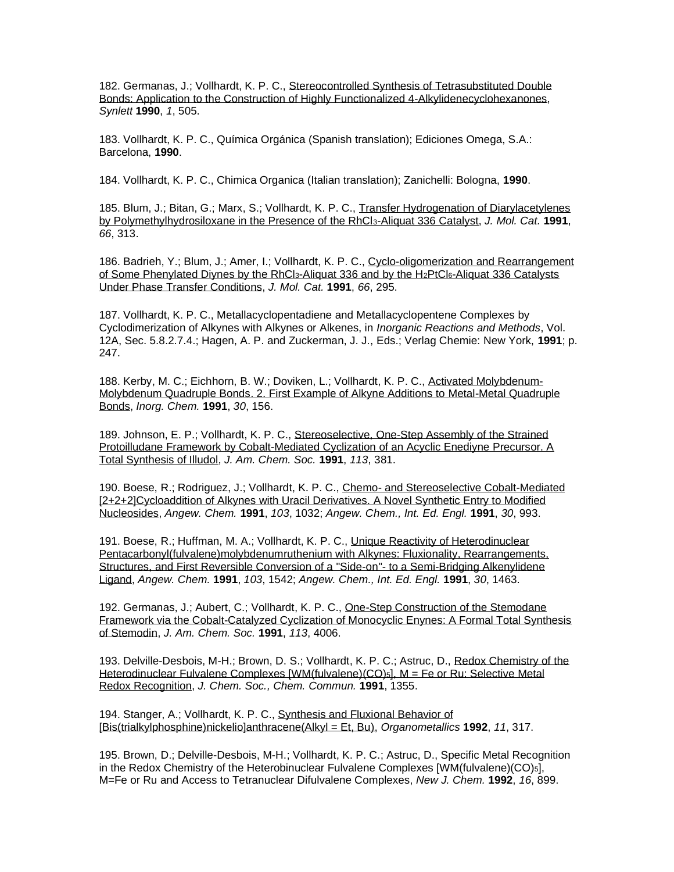182. Germanas, J.; Vollhardt, K. P. C., [Stereocontrolled Synthesis of Tetrasubstituted Double](http://www.thieme-connect.com/ejournals/pdf/synlett/doi/10.1055/s-1990-21143.pdf)  [Bonds: Application to the Construction of Highly Functionalized 4-Alkylidenecyclohexanones,](http://www.thieme-connect.com/ejournals/pdf/synlett/doi/10.1055/s-1990-21143.pdf) *Synlett* **1990**, *1*, 505.

183. Vollhardt, K. P. C., Química Orgánica (Spanish translation); Ediciones Omega, S.A.: Barcelona, **1990**.

184. Vollhardt, K. P. C., Chimica Organica (Italian translation); Zanichelli: Bologna, **1990**.

185. Blum, J.; Bitan, G.; Marx, S.; Vollhardt, K. P. C., [Transfer Hydrogenation of Diarylacetylenes](http://www.sciencedirect.com/science?_ob=MImg&_imagekey=B6W91-4406WND-P2-1&_cdi=6669&_orig=search&_coverDate=06%2F15%2F1991&_sk=999339996&view=c&wchp=dGLbVzz-zSkzS&_acct=C000000152&_version=1&_userid=4420&md5=6875cc7e3a8f303cf937beecf9582780&ie=f.pdf)  [by Polymethylhydrosiloxane in the Presence of the RhCl](http://www.sciencedirect.com/science?_ob=MImg&_imagekey=B6W91-4406WND-P2-1&_cdi=6669&_orig=search&_coverDate=06%2F15%2F1991&_sk=999339996&view=c&wchp=dGLbVzz-zSkzS&_acct=C000000152&_version=1&_userid=4420&md5=6875cc7e3a8f303cf937beecf9582780&ie=f.pdf)3-Aliquat 336 Catalyst, *J. Mol. Cat.* **1991**, *66*, 313.

186. Badrieh, Y.; Blum, J.; Amer, I.; Vollhardt, K. P. C., [Cyclo-oligomerization and Rearrangement](http://www.sciencedirect.com/science?_ob=MImg&_imagekey=B6W91-4406WND-P1-1&_cdi=6669&_orig=search&_coverDate=06%2F15%2F1991&_sk=999339996&view=c&wchp=dGLbVzz-zSkzS&_acct=C000000152&_version=1&_userid=4420&md5=6c9a2778eb0ebaec33a205959082caba&ie=f.pdf)  [of Some Phenylated Diynes by the RhCl](http://www.sciencedirect.com/science?_ob=MImg&_imagekey=B6W91-4406WND-P1-1&_cdi=6669&_orig=search&_coverDate=06%2F15%2F1991&_sk=999339996&view=c&wchp=dGLbVzz-zSkzS&_acct=C000000152&_version=1&_userid=4420&md5=6c9a2778eb0ebaec33a205959082caba&ie=f.pdf)3-Aliquat 336 and by the H2PtCl6-Aliquat 336 Catalysts [Under Phase Transfer Conditions,](http://www.sciencedirect.com/science?_ob=MImg&_imagekey=B6W91-4406WND-P1-1&_cdi=6669&_orig=search&_coverDate=06%2F15%2F1991&_sk=999339996&view=c&wchp=dGLbVzz-zSkzS&_acct=C000000152&_version=1&_userid=4420&md5=6c9a2778eb0ebaec33a205959082caba&ie=f.pdf) *J. Mol. Cat.* **1991**, *66*, 295.

187. Vollhardt, K. P. C., Metallacyclopentadiene and Metallacyclopentene Complexes by Cyclodimerization of Alkynes with Alkynes or Alkenes, in *Inorganic Reactions and Methods*, Vol. 12A, Sec. 5.8.2.7.4.; Hagen, A. P. and Zuckerman, J. J., Eds.; Verlag Chemie: New York, **1991**; p. 247.

188. Kerby, M. C.; Eichhorn, B. W.; Doviken, L.; Vollhardt, K. P. C., [Activated Molybdenum-](http://pubs.acs.org/cgi-bin/sample.cgi/inocaj/1991/30/i02/pdf/ic00002a003.pdf)[Molybdenum Quadruple Bonds. 2. First Example of Alkyne Additions to Metal-Metal Quadruple](http://pubs.acs.org/cgi-bin/sample.cgi/inocaj/1991/30/i02/pdf/ic00002a003.pdf)  [Bonds,](http://pubs.acs.org/cgi-bin/sample.cgi/inocaj/1991/30/i02/pdf/ic00002a003.pdf) *Inorg. Chem.* **1991**, *30*, 156.

189. Johnson, E. P.; Vollhardt, K. P. C., [Stereoselective, One-Step Assembly of the Strained](http://pubs.acs.org/cgi-bin/sample.cgi/jacsat/1991/113/i01/pdf/ja00001a067.pdf)  [Protoilludane Framework by Cobalt-Mediated Cyclization of an Acyclic Enediyne Precursor. A](http://pubs.acs.org/cgi-bin/sample.cgi/jacsat/1991/113/i01/pdf/ja00001a067.pdf)  [Total Synthesis of Illudol,](http://pubs.acs.org/cgi-bin/sample.cgi/jacsat/1991/113/i01/pdf/ja00001a067.pdf) *J. Am. Chem. Soc.* **1991**, *113*, 381.

190. Boese, R.; Rodriguez, J.; Vollhardt, K. P. C., Chemo- [and Stereoselective Cobalt-Mediated](http://www3.interscience.wiley.com/cgi-bin/fulltext/106587594/PDFSTART)  [\[2+2+2\]Cycloaddition of Alkynes with Uracil Derivatives. A Novel Synthetic Entry to Modified](http://www3.interscience.wiley.com/cgi-bin/fulltext/106587594/PDFSTART)  [Nucleosides,](http://www3.interscience.wiley.com/cgi-bin/fulltext/106587594/PDFSTART) *Angew. Chem.* **1991**, *103*, 1032; *Angew. Chem., Int. Ed. Engl.* **1991**, *30*, 993.

191. Boese, R.; Huffman, M. A.; Vollhardt, K. P. C., [Unique Reactivity of Heterodinuclear](http://www3.interscience.wiley.com/cgi-bin/fulltext/106587234/PDFSTART)  [Pentacarbonyl\(fulvalene\)molybdenumruthenium with Alkynes: Fluxionality, Rearrangements,](http://www3.interscience.wiley.com/cgi-bin/fulltext/106587234/PDFSTART) [Structures, and First Reversible Conversion of a "Side-on"-](http://www3.interscience.wiley.com/cgi-bin/fulltext/106587234/PDFSTART) to a Semi-Bridging Alkenylidene [Ligand,](http://www3.interscience.wiley.com/cgi-bin/fulltext/106587234/PDFSTART) *Angew. Chem.* **1991**, *103*, 1542; *Angew. Chem., Int. Ed. Engl.* **1991**, *30*, 1463.

192. Germanas, J.; Aubert, C.; Vollhardt, K. P. C., [One-Step Construction of the Stemodane](http://pubs.acs.org/doi/pdf/10.1021/ja00001a067)  [Framework via the Cobalt-Catalyzed Cyclization of Monocyclic Enynes: A Formal Total Synthesis](http://pubs.acs.org/doi/pdf/10.1021/ja00001a067)  [of Stemodin,](http://pubs.acs.org/doi/pdf/10.1021/ja00001a067) *J. Am. Chem. Soc.* **1991**, *113*, 4006.

193. Delville-Desbois, M-H.; Brown, D. S.; Vollhardt, K. P. C.; Astruc, D., [Redox Chemistry of the](http://www.rsc.org/ejarchive/C3/1991/C39910001355.pdf)  [Heterodinuclear Fulvalene Complexes \[WM\(fulvalene\)\(CO\)](http://www.rsc.org/ejarchive/C3/1991/C39910001355.pdf)<sub>5</sub>], M = Fe or Ru: Selective Metal [Redox Recognition,](http://www.rsc.org/ejarchive/C3/1991/C39910001355.pdf) *J. Chem. Soc., Chem. Commun.* **1991**, 1355.

194. Stanger, A.; Vollhardt, K. P. C., [Synthesis and Fluxional Behavior of](http://pubs.acs.org/cgi-bin/sample.cgi/orgnd7/1992/11/i01/pdf/om00037a054.pdf)  [\[Bis\(trialkylphosphine\)nickelio\]anthracene\(Alkyl = Et, Bu\),](http://pubs.acs.org/cgi-bin/sample.cgi/orgnd7/1992/11/i01/pdf/om00037a054.pdf) *Organometallics* **1992**, *11*, 317.

195. Brown, D.; Delville-Desbois, M-H.; Vollhardt, K. P. C.; Astruc, D., Specific Metal Recognition in the Redox Chemistry of the Heterobinuclear Fulvalene Complexes [WM(fulvalene)(CO)5], M=Fe or Ru and Access to Tetranuclear Difulvalene Complexes, *New J. Chem.* **1992**, *16*, 899.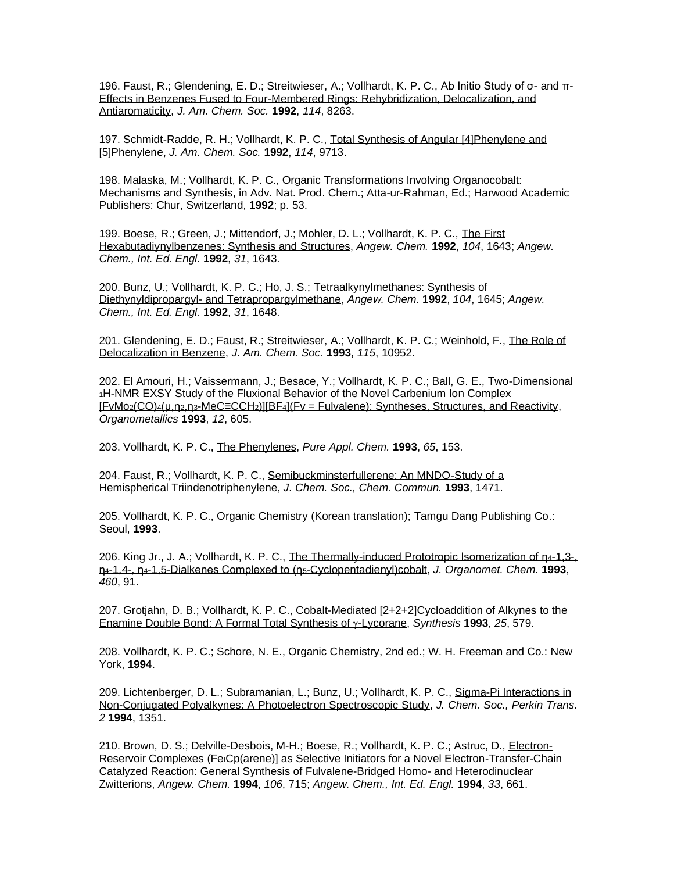196. Faust, R.; Glendening, E. D.; Streitwieser, A.; Vollhardt, K. P. C., [Ab Initio Study of σ-](http://pubs.acs.org/cgi-bin/sample.cgi/jacsat/1992/114/i21/pdf/ja00047a042.pdf) and [π-](http://pubs.acs.org/cgi-bin/sample.cgi/jacsat/1992/114/i21/pdf/ja00047a042.pdf)[Effects in Benzenes Fused to Four-Membered Rings: Rehybridization, Delocalization, and](http://pubs.acs.org/cgi-bin/sample.cgi/jacsat/1992/114/i21/pdf/ja00047a042.pdf)  [Antiaromaticity,](http://pubs.acs.org/cgi-bin/sample.cgi/jacsat/1992/114/i21/pdf/ja00047a042.pdf) *J. Am. Chem. Soc.* **1992**, *114*, 8263.

197. Schmidt-Radde, R. H.; Vollhardt, K. P. C., [Total Synthesis of Angular \[4\]Phenylene and](http://pubs.acs.org/cgi-bin/sample.cgi/jacsat/1992/114/i24/pdf/ja00050a091.pdf)  [\[5\]Phenylene,](http://pubs.acs.org/cgi-bin/sample.cgi/jacsat/1992/114/i24/pdf/ja00050a091.pdf) *J. Am. Chem. Soc.* **1992**, *114*, 9713.

198. Malaska, M.; Vollhardt, K. P. C., Organic Transformations Involving Organocobalt: Mechanisms and Synthesis, in Adv. Nat. Prod. Chem.; Atta-ur-Rahman, Ed.; Harwood Academic Publishers: Chur, Switzerland, **1992**; p. 53.

199. Boese, R.; Green, J.; Mittendorf, J.; Mohler, D. L.; Vollhardt, K. P. C., [The First](http://www3.interscience.wiley.com/cgi-bin/fulltext/106587860/PDFSTART)  [Hexabutadiynylbenzenes: Synthesis and Structures,](http://www3.interscience.wiley.com/cgi-bin/fulltext/106587860/PDFSTART) *Angew. Chem.* **1992**, *104*, 1643; *Angew. Chem., Int. Ed. Engl.* **1992**, *31*, 1643.

200. Bunz, U.; Vollhardt, K. P. C.; Ho, J. S.; [Tetraalkynylmethanes: Synthesis of](http://www3.interscience.wiley.com/cgi-bin/fulltext/106587863/PDFSTART)  Diethynyldipropargyl- [and Tetrapropargylmethane,](http://www3.interscience.wiley.com/cgi-bin/fulltext/106587863/PDFSTART) *Angew. Chem.* **1992**, *104*, 1645; *Angew. Chem., Int. Ed. Engl.* **1992**, *31*, 1648.

201. Glendening, E. D.; Faust, R.; Streitwieser, A.; Vollhardt, K. P. C.; Weinhold, F., [The Role of](http://pubs.acs.org/cgi-bin/sample.cgi/jacsat/1993/115/i23/pdf/ja00076a061.pdf)  [Delocalization in Benzene,](http://pubs.acs.org/cgi-bin/sample.cgi/jacsat/1993/115/i23/pdf/ja00076a061.pdf) *J. Am. Chem. Soc.* **1993**, *115*, 10952.

202. El Amouri, H.; Vaissermann, J.; Besace, Y.; Vollhardt, K. P. C.; Ball, G. E., [Two-Dimensional](http://pubs.acs.org/cgi-bin/sample.cgi/orgnd7/1993/12/i03/pdf/om00027a005.pdf)  <sup>1</sup>[H-NMR EXSY Study of the Fluxional Behavior of the Novel Carbenium Ion Complex](http://pubs.acs.org/cgi-bin/sample.cgi/orgnd7/1993/12/i03/pdf/om00027a005.pdf)  [FvMo2(CO)4(µ,η2,η3-MeC≡CCH2)][BF4[\]\(Fv = Fulvalene\): Syntheses, Structures, and Reactivity,](http://pubs.acs.org/cgi-bin/sample.cgi/orgnd7/1993/12/i03/pdf/om00027a005.pdf) *Organometallics* **1993**, *12*, 605.

203. Vollhardt, K. P. C., [The Phenylenes,](http://publications.iupac.org/pac/65/1/0153/index.html) *Pure Appl. Chem.* **1993**, *65*, 153.

204. Faust, R.; Vollhardt, K. P. C., Semibuckminsterfullerene: An MNDO-Study of a [Hemispherical Triindenotriphenylene,](http://www.rsc.org/ejarchive/C3/1993/C39930001471.pdf) *J. Chem. Soc., Chem. Commun.* **1993**, 1471.

205. Vollhardt, K. P. C., Organic Chemistry (Korean translation); Tamgu Dang Publishing Co.: Seoul, **1993**.

206. King Jr., J. A.; Vollhardt, K. P. C., [The Thermally-induced Prototropic Isomerization of η](https://www.sciencedirect.com/journal/journal-of-organometallic-chemistry/vol/460/issue/1)4-1,3-, η4-1,4-, η4[-1,5-Dialkenes Complexed to \(η](https://www.sciencedirect.com/journal/journal-of-organometallic-chemistry/vol/460/issue/1)5-Cyclopentadienyl)cobalt, *J. Organomet. Chem.* **1993**, *460*, 91.

207. Grotjahn, D. B.; Vollhardt, K. P. C., [Cobalt-Mediated \[2+2+2\]Cycloaddition of Alkynes to the](https://www.thieme-connect.de/products/ejournals/abstract/10.1055/s-1993-25910)  [Enamine Double Bond: A Formal Total Synthesis of](https://www.thieme-connect.de/products/ejournals/abstract/10.1055/s-1993-25910) γ-Lycorane, *Synthesis* **1993**, 25, 579.

208. Vollhardt, K. P. C.; Schore, N. E., Organic Chemistry, 2nd ed.; W. H. Freeman and Co.: New York, **1994**.

209. Lichtenberger, D. L.; Subramanian, L.; Bunz, U.; Vollhardt, K. P. C., [Sigma-Pi Interactions in](http://www.rsc.org/ejarchive/P2/1994/P29940001351.pdf)  [Non-Conjugated Polyalkynes: A Photoelectron Spectroscopic Study,](http://www.rsc.org/ejarchive/P2/1994/P29940001351.pdf) *J. Chem. Soc., Perkin Trans. 2* **1994**, 1351.

210. Brown, D. S.; Delville-Desbois, M-H.; Boese, R.; Vollhardt, K. P. C.; Astruc, D., [Electron-](http://www3.interscience.wiley.com/cgi-bin/fulltext/106589578/PDFSTART)Reservoir Complexes (FeiCp(arene)] as Selective Initiators for a Novel Electron-Transfer-Chain [Catalyzed Reaction: General Synthesis of Fulvalene-Bridged Homo-](http://www3.interscience.wiley.com/cgi-bin/fulltext/106589578/PDFSTART) and Heterodinuclear [Zwitterions,](http://www3.interscience.wiley.com/cgi-bin/fulltext/106589578/PDFSTART) *Angew. Chem.* **1994**, *106*, 715; *Angew. Chem., Int. Ed. Engl.* **1994**, *33*, 661.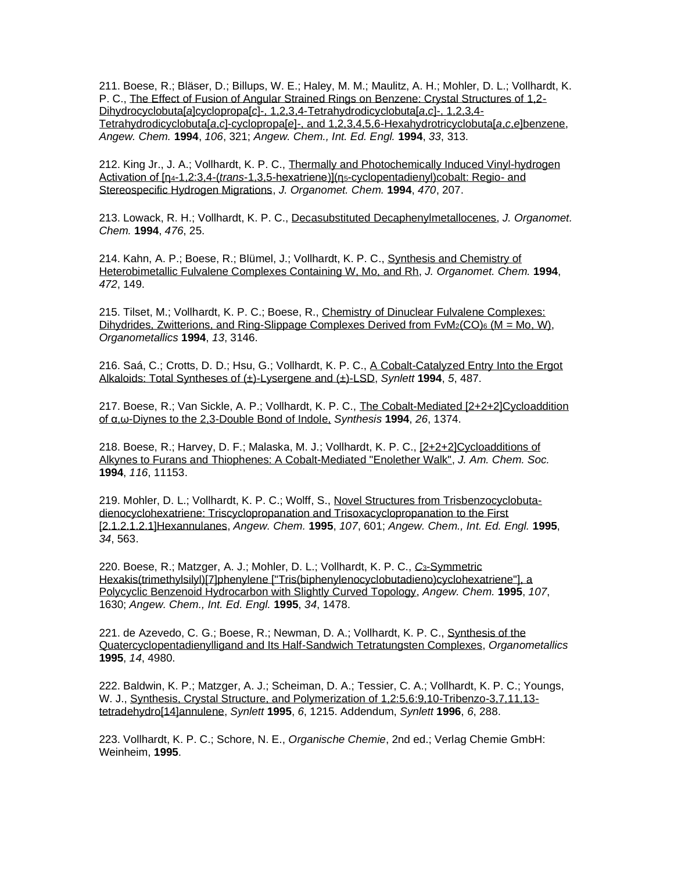211. Boese, R.; Bläser, D.; Billups, W. E.; Haley, M. M.; Maulitz, A. H.; Mohler, D. L.; Vollhardt, K. P. C., [The Effect of Fusion of Angular Strained Rings on Benzene: Crystal Structures of 1,2-](http://www3.interscience.wiley.com/cgi-bin/fulltext/106589467/PDFSTART) Dihydrocyclobuta[*a*]cyclopropa[*c*[\]-, 1,2,3,4-Tetrahydrodicyclobuta\[](http://www3.interscience.wiley.com/cgi-bin/fulltext/106589467/PDFSTART)*a*,*c*]-, 1,2,3,4- Tetrahydrodicyclobuta[*a*,*c*]-cyclopropa[*e*[\]-, and 1,2,3,4,5,6-Hexahydrotricyclobuta\[](http://www3.interscience.wiley.com/cgi-bin/fulltext/106589467/PDFSTART)*a*,*c*,*e*]benzene, *Angew. Chem.* **1994**, *106*, 321; *Angew. Chem., Int. Ed. Engl.* **1994**, *33*, 313.

212. King Jr., J. A.; Vollhardt, K. P. C., [Thermally and Photochemically Induced Vinyl-hydrogen](http://www.sciencedirect.com/science?_ob=MImg&_imagekey=B6TGW-42T5VM7-CB-1&_cdi=5265&_orig=search&_coverDate=05%2F17%2F1994&_sk=995299998&view=c&wchp=dGLbVzb-zSkzk&_acct=C000000152&_version=1&_userid=4420&md5=68084b1abee816f2237313c65c6e6e59&ie=f.pdf)  Activation of [η4-1,2:3,4-(*trans*-1,3,5-hexatriene)](η5[-cyclopentadienyl\)cobalt: Regio-](http://www.sciencedirect.com/science?_ob=MImg&_imagekey=B6TGW-42T5VM7-CB-1&_cdi=5265&_orig=search&_coverDate=05%2F17%2F1994&_sk=995299998&view=c&wchp=dGLbVzb-zSkzk&_acct=C000000152&_version=1&_userid=4420&md5=68084b1abee816f2237313c65c6e6e59&ie=f.pdf) and [Stereospecific Hydrogen Migrations,](http://www.sciencedirect.com/science?_ob=MImg&_imagekey=B6TGW-42T5VM7-CB-1&_cdi=5265&_orig=search&_coverDate=05%2F17%2F1994&_sk=995299998&view=c&wchp=dGLbVzb-zSkzk&_acct=C000000152&_version=1&_userid=4420&md5=68084b1abee816f2237313c65c6e6e59&ie=f.pdf) *J. Organomet. Chem.* **1994**, *470*, 207.

213. Lowack, R. H.; Vollhardt, K. P. C., [Decasubstituted Decaphenylmetallocenes,](http://www.sciencedirect.com/science?_ob=MImg&_imagekey=B6TGW-42T5VYR-FV-1&_cdi=5265&_orig=search&_coverDate=08%2F09%2F1994&_sk=995239998&view=c&wchp=dGLbVzb-zSkzk&_acct=C000000152&_version=1&_userid=4420&md5=f6292d0acf704452b758538d2888d325&ie=f.pdf) *J. Organomet. Chem.* **1994**, *476*, 25.

214. Kahn, A. P.; Boese, R.; Blümel, J.; Vollhardt, K. P. C., [Synthesis and Chemistry of](https://www.sciencedirect.com/science/article/pii/0022328X94802025)  [Heterobimetallic Fulvalene Complexes Containing W, Mo, and Rh,](https://www.sciencedirect.com/science/article/pii/0022328X94802025) *J. Organomet. Chem.* **1994**, *472*, 149.

215. Tilset, M.; Vollhardt, K. P. C.; Boese, R., [Chemistry of Dinuclear Fulvalene Complexes:](http://pubs.acs.org/cgi-bin/sample.cgi/orgnd7/1994/13/i08/pdf/om00020a032.pdf)  Dihydrides, Zwitterions, and Ring-Slippage Complexes Derived from  $FvM_2(CO)$ 6 (M = Mo, W), *Organometallics* **1994**, *13*, 3146.

216. Saá, C.; Crotts, D. D.; Hsu, G.; Vollhardt, K. P. C., [A Cobalt-Catalyzed Entry Into the Ergot](http://www.thieme-connect.com/ejournals/pdf/synlett/doi/10.1055/s-1994-22898.pdf)  [Alkaloids: Total Syntheses of \(±\)-Lysergene and \(±\)-LSD,](http://www.thieme-connect.com/ejournals/pdf/synlett/doi/10.1055/s-1994-22898.pdf) *Synlett* **1994**, *5*, 487.

217. Boese, R.; Van Sickle, A. P.; Vollhardt, K. P. C., [The Cobalt-Mediated \[2+2+2\]Cycloaddition](https://www.thieme-connect.de/products/ejournals/abstract/10.1055/s-1994-25696)  of α,ω-Diynes [to the 2,3-Double Bond of Indole,](https://www.thieme-connect.de/products/ejournals/abstract/10.1055/s-1994-25696) *Synthesis* **1994**, *26*, 1374.

218. Boese, R.; Harvey, D. F.; Malaska, M. J.; Vollhardt, K. P. C., [\[2+2+2\]Cycloadditions of](http://pubs.acs.org/doi/pdf/10.1021/ja00103a039)  [Alkynes to Furans and Thiophenes: A Cobalt-Mediated "Enolether Walk",](http://pubs.acs.org/doi/pdf/10.1021/ja00103a039) *J. Am. Chem. Soc.* **1994**, *116*, 11153.

219. Mohler, D. L.; Vollhardt, K. P. C.; Wolff, S., [Novel Structures from Trisbenzocyclobuta](http://www3.interscience.wiley.com/cgi-bin/fulltext/106590335/PDFSTART)[dienocyclohexatriene: Triscyclopropanation and Trisoxacyclopropanation to the First](http://www3.interscience.wiley.com/cgi-bin/fulltext/106590335/PDFSTART)  [\[2.1.2.1.2.1\]Hexannulanes,](http://www3.interscience.wiley.com/cgi-bin/fulltext/106590335/PDFSTART) *Angew. Chem.* **1995**, *107*, 601; *Angew. Chem., Int. Ed. Engl.* **1995**, *34*, 563.

220. Boese, R.; Matzger, A. J.; Mohler, D. L.; Vollhardt, K. P. C., *C*3[-Symmetric](http://www3.interscience.wiley.com/cgi-bin/fulltext/106589861/PDFSTART)  [Hexakis\(trimethylsilyl\)\[7\]phenylene \["Tris\(biphenylenocyclobutadieno\)cyclohexatriene"\], a](http://www3.interscience.wiley.com/cgi-bin/fulltext/106589861/PDFSTART)  [Polycyclic Benzenoid Hydrocarbon with Slightly Curved Topology,](http://www3.interscience.wiley.com/cgi-bin/fulltext/106589861/PDFSTART) *Angew. Chem.* **1995**, *107*, 1630; *Angew. Chem., Int. Ed. Engl.* **1995**, *34*, 1478.

221. de Azevedo, C. G.; Boese, R.; Newman, D. A.; Vollhardt, K. P. C., [Synthesis of the](http://pubs.acs.org/doi/abs/10.1021/om00011a005)  [Quatercyclopentadienylligand and Its Half-Sandwich Tetratungsten Complexes,](http://pubs.acs.org/doi/abs/10.1021/om00011a005) *Organometallics* **1995**, *14*, 4980.

222. Baldwin, K. P.; Matzger, A. J.; Scheiman, D. A.; Tessier, C. A.; Vollhardt, K. P. C.; Youngs, W. J., [Synthesis, Crystal Structure, and Polymerization of 1,2:5,6:9,10-Tribenzo-3,7,11,13](http://www.thieme-connect.com/ejournals/pdf/synlett/doi/10.1055/s-1995-5247.pdf) [tetradehydro\[14\]annulene,](http://www.thieme-connect.com/ejournals/pdf/synlett/doi/10.1055/s-1995-5247.pdf) *Synlett* **1995**, *6*, 1215. Addendum, *Synlett* **1996**, *6*, 288.

223. Vollhardt, K. P. C.; Schore, N. E., *Organische Chemie*, 2nd ed.; Verlag Chemie GmbH: Weinheim, **1995**.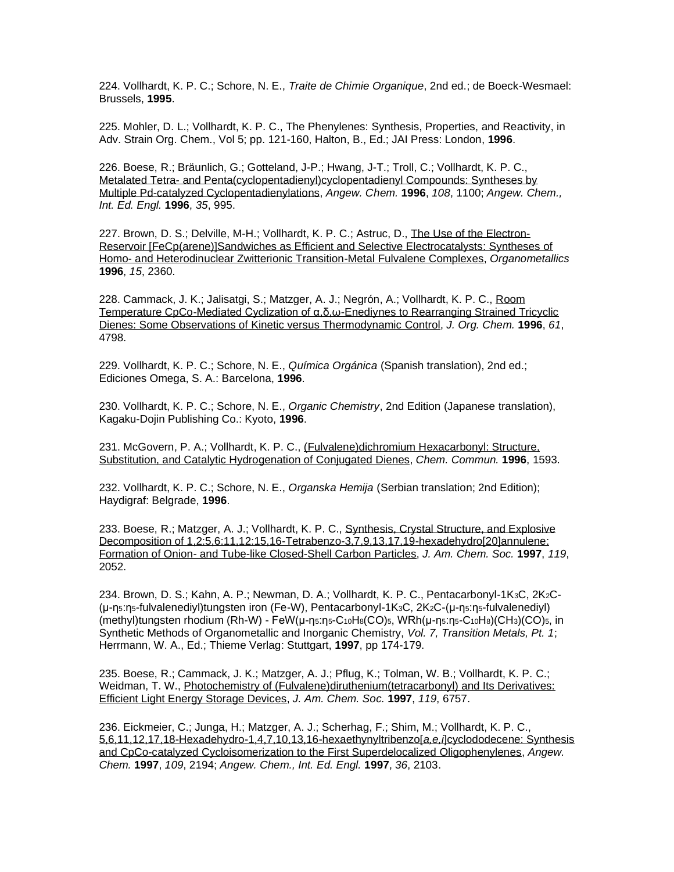224. Vollhardt, K. P. C.; Schore, N. E., *Traite de Chimie Organique*, 2nd ed.; de Boeck-Wesmael: Brussels, **1995**.

225. Mohler, D. L.; Vollhardt, K. P. C., The Phenylenes: Synthesis, Properties, and Reactivity, in Adv. Strain Org. Chem., Vol 5; pp. 121-160, Halton, B., Ed.; JAI Press: London, **1996**.

226. Boese, R.; Bräunlich, G.; Gotteland, J-P.; Hwang, J-T.; Troll, C.; Vollhardt, K. P. C., Metalated Tetra- [and Penta\(cyclopentadienyl\)cyclopentadienyl Compounds: Syntheses by](http://www3.interscience.wiley.com/cgi-bin/fulltext/106591190/PDFSTART)  [Multiple Pd-catalyzed Cyclopentadienylations,](http://www3.interscience.wiley.com/cgi-bin/fulltext/106591190/PDFSTART) *Angew. Chem.* **1996**, *108*, 1100; *Angew. Chem., Int. Ed. Engl.* **1996**, *35*, 995.

227. Brown, D. S.; Delville, M-H.; Vollhardt, K. P. C.; Astruc, D., [The Use of the Electron-](http://pubs.acs.org/cgi-bin/sample.cgi/orgnd7/1996/15/i09/pdf/om960003d.pdf)[Reservoir \[FeCp\(arene\)\]Sandwiches as Efficient and Selective Electrocatalysts: Syntheses of](http://pubs.acs.org/cgi-bin/sample.cgi/orgnd7/1996/15/i09/pdf/om960003d.pdf)  Homo- [and Heterodinuclear Zwitterionic Transition-Metal Fulvalene Complexes,](http://pubs.acs.org/cgi-bin/sample.cgi/orgnd7/1996/15/i09/pdf/om960003d.pdf) *Organometallics* **1996**, *15*, 2360.

228. Cammack, J. K.; Jalisatgi, S.; Matzger, A. J.; Negrón, A.; Vollhardt, K. P. C., [Room](https://pubs.acs.org/doi/abs/10.1021/jo960143x)  [Temperature CpCo-Mediated Cyclization of α,δ,ω-Enediynes to Rearranging Strained Tricyclic](https://pubs.acs.org/doi/abs/10.1021/jo960143x)  [Dienes: Some Observations of Kinetic versus Thermodynamic Control,](https://pubs.acs.org/doi/abs/10.1021/jo960143x) *J. Org. Chem.* **1996**, *61*, 4798.

229. Vollhardt, K. P. C.; Schore, N. E., *Química Orgánica* (Spanish translation), 2nd ed.; Ediciones Omega, S. A.: Barcelona, **1996**.

230. Vollhardt, K. P. C.; Schore, N. E., *Organic Chemistry*, 2nd Edition (Japanese translation), Kagaku-Dojin Publishing Co.: Kyoto, **1996**.

231. McGovern, P. A.; Vollhardt, K. P. C., [\(Fulvalene\)dichromium Hexacarbonyl: Structure,](http://www.rsc.org/ejarchive/CC/1996/CC9960001593.pdf)  [Substitution, and Catalytic Hydrogenation of](http://www.rsc.org/ejarchive/CC/1996/CC9960001593.pdf) Conjugated Dienes, *Chem. Commun.* **1996**, 1593.

232. Vollhardt, K. P. C.; Schore, N. E., *Organska Hemija* (Serbian translation; 2nd Edition); Haydigraf: Belgrade, **1996**.

233. Boese, R.; Matzger, A. J.; Vollhardt, K. P. C., [Synthesis, Crystal Structure, and Explosive](http://pubs.acs.org/cgi-bin/sample.cgi/jacsat/1997/119/i08/pdf/ja963845c.pdf)  [Decomposition of 1,2:5,6:11,12:15,16-Tetrabenzo-3,7,9,13,17,19-hexadehydro\[20\]annulene:](http://pubs.acs.org/cgi-bin/sample.cgi/jacsat/1997/119/i08/pdf/ja963845c.pdf)  Formation of Onion- [and Tube-like Closed-Shell Carbon Particles,](http://pubs.acs.org/cgi-bin/sample.cgi/jacsat/1997/119/i08/pdf/ja963845c.pdf) *J. Am. Chem. Soc.* **1997**, *119*, 2052.

234. Brown, D. S.; Kahn, A. P.; Newman, D. A.; Vollhardt, K. P. C., Pentacarbonyl-1K3C, 2K2C- (μ-η5:η5-fulvalenediyl)tungsten iron (Fe-W), Pentacarbonyl-1K3C, 2K2C-(μ-η5:η5-fulvalenediyl) (methyl)tungsten rhodium (Rh-W) - FeW(μ-η5:η5-C10H8(CO)5, WRh(μ-η5:η5-C10H8)(CH3)(CO)5, in Synthetic Methods of Organometallic and Inorganic Chemistry, *Vol. 7, Transition Metals, Pt. 1*; Herrmann, W. A., Ed.; Thieme Verlag: Stuttgart, **1997**, pp 174-179.

235. Boese, R.; Cammack, J. K.; Matzger, A. J.; Pflug, K.; Tolman, W. B.; Vollhardt, K. P. C.; Weidman, T. W., [Photochemistry of \(Fulvalene\)diruthenium\(tetracarbonyl\) and Its Derivatives:](https://pubs.acs.org/doi/abs/10.1021/ja9707062)  [Efficient Light Energy Storage Devices,](https://pubs.acs.org/doi/abs/10.1021/ja9707062) *J. Am. Chem. Soc.* **1997**, *119*, 6757.

236. Eickmeier, C.; Junga, H.; Matzger, A. J.; Scherhag, F.; Shim, M.; Vollhardt, K. P. C., [5,6,11,12,17,18-Hexadehydro-1,4,7,10,13,16-hexaethynyltribenzo\[](https://onlinelibrary.wiley.com/doi/abs/10.1002/anie.199721031)*a,e,i*]cyclododecene: Synthesis [and CpCo-catalyzed Cycloisomerization to the First Superdelocalized Oligophenylenes,](https://onlinelibrary.wiley.com/doi/abs/10.1002/anie.199721031) *Angew. Chem.* **1997**, *109*, 2194; *Angew. Chem., Int. Ed. Engl.* **1997**, *36*, 2103.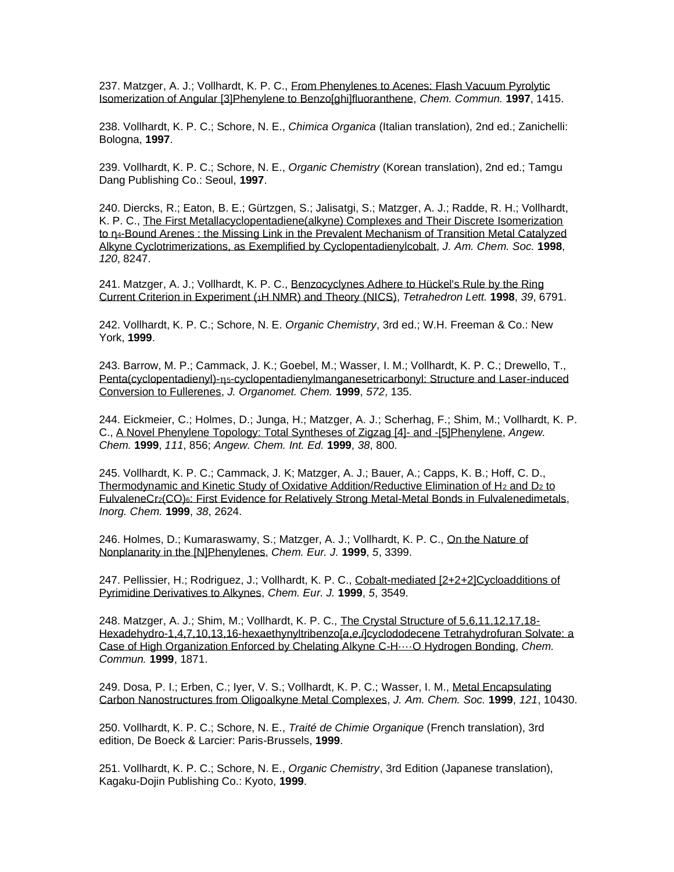237. Matzger, A. J.; Vollhardt, K. P. C., [From Phenylenes to Acenes: Flash Vacuum Pyrolytic](http://www.rsc.org/CFCart/displayarticlefree.cfm?article=8%2D9%223%24%5DV%5CB%218%27%5D%5C%21%28%3E%3C%23%5C5%3DT2S0D%3D29%23%3C%0A)  [Isomerization of Angular \[3\]Phenylene to Benzo\[ghi\]fluoranthene,](http://www.rsc.org/CFCart/displayarticlefree.cfm?article=8%2D9%223%24%5DV%5CB%218%27%5D%5C%21%28%3E%3C%23%5C5%3DT2S0D%3D29%23%3C%0A) *Chem. Commun.* **1997**, 1415.

238. Vollhardt, K. P. C.; Schore, N. E., *Chimica Organica* (Italian translation), 2nd ed.; Zanichelli: Bologna, **1997**.

239. Vollhardt, K. P. C.; Schore, N. E., *Organic Chemistry* (Korean translation), 2nd ed.; Tamgu Dang Publishing Co.: Seoul, **1997**.

240. Diercks, R.; Eaton, B. E.; Gürtzgen, S.; Jalisatgi, S.; Matzger, A. J.; Radde, R. H.; Vollhardt, K. P. C., [The First Metallacyclopentadiene\(alkyne\) Complexes and Their Discrete Isomerization](http://pubs.acs.org/doi/pdf/10.1021/ja981766q)  to n<sub>4</sub>-Bound Arenes : the Missing Link in the Prevalent Mechanism of Transition Metal Catalyzed [Alkyne Cyclotrimerizations, as Exemplified by Cyclopentadienylcobalt,](http://pubs.acs.org/doi/pdf/10.1021/ja981766q) *J. Am. Chem. Soc.* **1998**, *120*, 8247.

241. Matzger, A. J.; Vollhardt, K. P. C., [Benzocyclynes Adhere to Hückel's Rule by the Ring](https://reader.elsevier.com/reader/sd/pii/S0040403998014415?token=5AFD389F03D7C541F8EA89F6E328CDAADDF9F1888D2BBD7C26DC7118AB6958A3858837FAFB9DDCCDE7D7BBCB667C5630)  [Current Criterion in Experiment \(](https://reader.elsevier.com/reader/sd/pii/S0040403998014415?token=5AFD389F03D7C541F8EA89F6E328CDAADDF9F1888D2BBD7C26DC7118AB6958A3858837FAFB9DDCCDE7D7BBCB667C5630)1H NMR) and Theory (NICS), *Tetrahedron Lett.* **1998**, *39*, 6791.

242. Vollhardt, K. P. C.; Schore, N. E. *Organic Chemistry*, 3rd ed.; W.H. Freeman & Co.: New York, **1999**.

243. Barrow, M. P.; Cammack, J. K.; Goebel, M.; Wasser, I. M.; Vollhardt, K. P. C.; Drewello, T., [Penta\(cyclopentadienyl\)-](http://www.sciencedirect.com/science?_ob=MImg&_imagekey=B6TGW-3WGRGRB-K-8&_cdi=5265&_orig=search&_coverDate=01%2F05%2F1999&_sk=994279998&view=c&wchp=dGLbVzb-zSkzk&_acct=C000000152&_version=1&_userid=4420&md5=8e78b4d5f0117d210f17cd453845bd0a&ie=f.pdf)ns-cyclopentadienylmanganesetricarbonyl: Structure and Laser-induced [Conversion to Fullerenes,](http://www.sciencedirect.com/science?_ob=MImg&_imagekey=B6TGW-3WGRGRB-K-8&_cdi=5265&_orig=search&_coverDate=01%2F05%2F1999&_sk=994279998&view=c&wchp=dGLbVzb-zSkzk&_acct=C000000152&_version=1&_userid=4420&md5=8e78b4d5f0117d210f17cd453845bd0a&ie=f.pdf) *J. Organomet. Chem.* **1999**, *572*, 135.

244. Eickmeier, C.; Holmes, D.; Junga, H.; Matzger, A. J.; Scherhag, F.; Shim, M.; Vollhardt, K. P. C., [A Novel Phenylene Topology: Total Syntheses of Zigzag \[4\]-](http://onlinelibrary.wiley.com/doi/10.1002/%28SICI%291521-3773%2819990315%2938:6%3C800::AID-ANIE800%3E3.0.CO;2-M/pdf) and -[5]Phenylene, *Angew. Chem.* **1999**, *111*, 856; *Angew. Chem. Int. Ed.* **1999**, *38*, 800.

245. Vollhardt, K. P. C.; Cammack, J. K; Matzger, A. J.; Bauer, A.; Capps, K. B.; Hoff, C. D., [Thermodynamic and Kinetic Study of Oxidative Addition/Reductive Elimination of H](http://pubs.acs.org/doi/pdf/10.1021/ic981360e)<sub>2</sub> and D<sub>2</sub> to FulvaleneCr<sub>2</sub>(CO)<sub>6</sub>[: First Evidence for Relatively Strong Metal-Metal Bonds in Fulvalenedimetals,](http://pubs.acs.org/doi/pdf/10.1021/ic981360e) *Inorg. Chem.* **1999**, *38*, 2624.

246. Holmes, D.; Kumaraswamy, S.; Matzger, A. J.; Vollhardt, K. P. C., On the Nature of [Nonplanarity in the \[N\]Phenylenes,](http://www3.interscience.wiley.com/cgi-bin/fulltext/66004900/PDFSTART) *Chem. Eur. J.* **1999**, *5*, 3399.

247. Pellissier, H.; Rodriguez, J.; Vollhardt, K. P. C., [Cobalt-mediated \[2+2+2\]Cycloadditions of](https://onlinelibrary.wiley.com/doi/abs/10.1002/%28SICI%291521-3765%2819991203%295%3A12%3C3549%3A%3AAID-CHEM3549%3E3.0.CO%3B2-V)  [Pyrimidine Derivatives to Alkynes,](https://onlinelibrary.wiley.com/doi/abs/10.1002/%28SICI%291521-3765%2819991203%295%3A12%3C3549%3A%3AAID-CHEM3549%3E3.0.CO%3B2-V) *Chem. Eur. J.* **1999**, *5*, 3549.

248. Matzger, A. J.; Shim, M.; Vollhardt, K. P. C., [The Crystal Structure of 5,6,11,12,17,18-](http://pubs.rsc.org/en/content/articlelanding/1999/cc/a905312c#!divAbstract) [Hexadehydro-1,4,7,10,13,16-hexaethynyltribenzo\[](http://pubs.rsc.org/en/content/articlelanding/1999/cc/a905312c#!divAbstract)*a*,*e*,*i*]cyclododecene Tetrahydrofuran Solvate: a [Case of High Organization Enforced by Chelating Alkyne C-H····O Hydrogen Bonding,](http://pubs.rsc.org/en/content/articlelanding/1999/cc/a905312c#!divAbstract) *Chem. Commun.* **1999**, 1871.

249. Dosa, P. I.; Erben, C.; Iyer, V. S.; Vollhardt, K. P. C.; Wasser, I. M., [Metal Encapsulating](http://pubs.acs.org/doi/pdf/10.1021/ja9924602)  [Carbon Nanostructures from Oligoalkyne Metal Complexes,](http://pubs.acs.org/doi/pdf/10.1021/ja9924602) *J. Am. Chem. Soc.* **1999**, *121*, 10430.

250. Vollhardt, K. P. C.; Schore, N. E., *Traité de Chimie Organique* (French translation), 3rd edition, De Boeck & Larcier: Paris-Brussels, **1999**.

251. Vollhardt, K. P. C.; Schore, N. E., *Organic Chemistry*, 3rd Edition (Japanese translation), Kagaku-Dojin Publishing Co.: Kyoto, **1999**.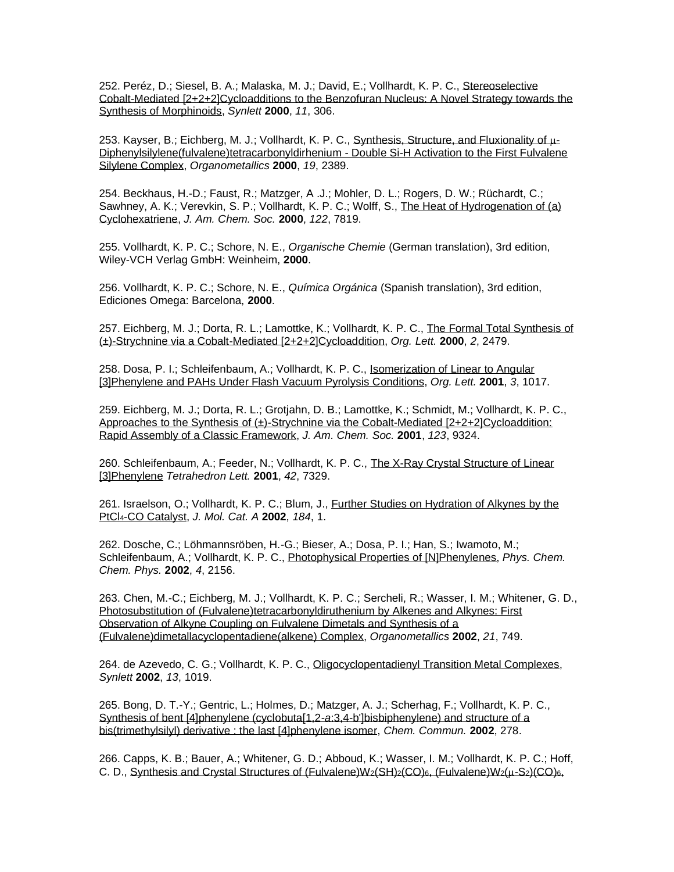252. Peréz, D.; Siesel, B. A.; Malaska, M. J.; David, E.; Vollhardt, K. P. C., Stereoselective [Cobalt-Mediated \[2+2+2\]Cycloadditions to the Benzofuran Nucleus: A Novel Strategy towards the](https://www.thieme-connect.com/products/ejournals/abstract/10.1055/s-2000-6545)  Synthesis of [Morphinoids,](https://www.thieme-connect.com/products/ejournals/abstract/10.1055/s-2000-6545) *Synlett* **2000**, *11*, 306.

253. Kayser, B.; Eichberg, M. J.; Vollhardt, K. P. C., [Synthesis, Structure, and Fluxionality of](http://pubs.acs.org/doi/pdf/10.1021/om000022u)  $\mu$ -[Diphenylsilylene\(fulvalene\)tetracarbonyldirhenium -](http://pubs.acs.org/doi/pdf/10.1021/om000022u) Double Si-H Activation to the First Fulvalene [Silylene Complex,](http://pubs.acs.org/doi/pdf/10.1021/om000022u) *Organometallics* **2000**, *19*, 2389.

254. Beckhaus, H.-D.; Faust, R.; Matzger, A .J.; Mohler, D. L.; Rogers, D. W.; Rüchardt, C.; Sawhney, A. K.; Verevkin, S. P.; Vollhardt, K. P. C.; Wolff, S., The Heat of Hydrogenation of (a) [Cyclohexatriene,](http://pubs.acs.org/cgi-bin/sample.cgi/jacsat/2000/122/i32/pdf/ja001274p.pdf) *J. Am. Chem. Soc.* **2000**, *122*, 7819.

255. Vollhardt, K. P. C.; Schore, N. E., *Organische Chemie* (German translation), 3rd edition, Wiley-VCH Verlag GmbH: Weinheim, **2000**.

256. Vollhardt, K. P. C.; Schore, N. E., *Química Orgánica* (Spanish translation), 3rd edition, Ediciones Omega: Barcelona, **2000**.

257. Eichberg, M. J.; Dorta, R. L.; Lamottke, K.; Vollhardt, K. P. C., [The Formal Total Synthesis of](http://pubs.acs.org/cgi-bin/sample.cgi/orlef7/2000/2/i16/pdf/ol006131m.pdf)  [\(±\)-Strychnine via a Cobalt-Mediated \[2+2+2\]Cycloaddition,](http://pubs.acs.org/cgi-bin/sample.cgi/orlef7/2000/2/i16/pdf/ol006131m.pdf) *Org. Lett.* **2000**, *2*, 2479.

258. Dosa, P. I.; Schleifenbaum, A.; Vollhardt, K. P. C., [Isomerization of Linear to Angular](http://pubs.acs.org/cgi-bin/sample.cgi/orlef7/2001/3/i07/pdf/ol015519u.pdf)  [\[3\]Phenylene and PAHs Under Flash Vacuum Pyrolysis Conditions,](http://pubs.acs.org/cgi-bin/sample.cgi/orlef7/2001/3/i07/pdf/ol015519u.pdf) *Org. Lett.* **2001**, *3*, 1017.

259. Eichberg, M. J.; Dorta, R. L.; Grotjahn, D. B.; Lamottke, K.; Schmidt, M.; Vollhardt, K. P. C., [Approaches to the Synthesis of \(±\)-Strychnine via the Cobalt-Mediated \[2+2+2\]Cycloaddition:](http://pubs.acs.org/doi/pdf/10.1021/ja016333t)  [Rapid Assembly of a Classic Framework,](http://pubs.acs.org/doi/pdf/10.1021/ja016333t) *J. Am. Chem. Soc.* **2001**, *123*, 9324.

260. Schleifenbaum, A.; Feeder, N.; Vollhardt, K. P. C., The X-Ray Crystal Structure of Linear [\[3\]Phenylene](http://ac.els-cdn.com/S0040403901014253/1-s2.0-S0040403901014253-main.pdf?_tid=ce5dc0f8-9bb8-11e2-aaf8-00000aab0f01&acdnat=1364923061_c4234455eddc0fe61edacea09429ff26) *Tetrahedron Lett.* **2001**, *42*, 7329.

261. Israelson, O.; Vollhardt, K. P. C.; Blum, J., [Further Studies on Hydration of Alkynes by the](http://www.sciencedirect.com/science?_ob=MImg&_imagekey=B6TGM-44J6K2H-1-M&_cdi=5258&_orig=search&_coverDate=06%2F17%2F2002&_sk=998159998&view=c&wchp=dGLbVzb-zSkzk&_acct=C000000152&_version=1&_userid=4420&md5=2a19a4186389e58a4d8814e1403de3af&ie=f.pdf)  PtCl4[-CO Catalyst,](http://www.sciencedirect.com/science?_ob=MImg&_imagekey=B6TGM-44J6K2H-1-M&_cdi=5258&_orig=search&_coverDate=06%2F17%2F2002&_sk=998159998&view=c&wchp=dGLbVzb-zSkzk&_acct=C000000152&_version=1&_userid=4420&md5=2a19a4186389e58a4d8814e1403de3af&ie=f.pdf) *J. Mol. Cat. A* **2002**, *184*, 1.

262. Dosche, C.; Löhmannsröben, H.-G.; Bieser, A.; Dosa, P. I.; Han, S.; Iwamoto, M.; Schleifenbaum, A.; Vollhardt, K. P. C., [Photophysical Properties of \[N\]Phenylenes,](http://www.rsc.org/delivery/_ArticleLinking/DisplayArticleForFree.cfm?doi=b109342h&JournalCode=CP) *Phys. Chem. Chem. Phys.* **2002**, *4*, 2156.

263. Chen, M.-C.; Eichberg, M. J.; Vollhardt, K. P. C.; Sercheli, R.; Wasser, I. M.; Whitener, G. D., [Photosubstitution of \(Fulvalene\)tetracarbonyldiruthenium by Alkenes and Alkynes: First](http://pubs.acs.org/cgi-bin/sample.cgi/orgnd7/2002/21/i04/pdf/om0108797.pdf)  [Observation of Alkyne Coupling on Fulvalene Dimetals and Synthesis of a](http://pubs.acs.org/cgi-bin/sample.cgi/orgnd7/2002/21/i04/pdf/om0108797.pdf)  [\(Fulvalene\)dimetallacyclopentadiene\(alkene\) Complex,](http://pubs.acs.org/cgi-bin/sample.cgi/orgnd7/2002/21/i04/pdf/om0108797.pdf) *Organometallics* **2002**, *21*, 749.

264. de Azevedo, C. G.; Vollhardt, K. P. C., [Oligocyclopentadienyl Transition Metal Complexes,](https://www.thieme-connect.de/products/ejournals/html/10.1055/s-2002-32572) *Synlett* **2002**, *13*, 1019.

265. Bong, D. T.-Y.; Gentric, L.; Holmes, D.; Matzger, A. J.; Scherhag, F.; Vollhardt, K. P. C., [Synthesis of bent \[4\]phenylene \(cyclobuta\[1,2-](http://pubs.rsc.org/en/content/articlepdf/2002/cc/b109789j?page=search)*a*:3,4-b']bisbiphenylene) and structure of a [bis\(trimethylsilyl\) derivative : the](http://pubs.rsc.org/en/content/articlepdf/2002/cc/b109789j?page=search) last [4]phenylene isomer, *Chem. Commun.* **2002**, 278.

266. Capps, K. B.; Bauer, A.; Whitener, G. D.; Abboud, K.; Wasser, I. M.; Vollhardt, K. P. C.; Hoff, C. D., [Synthesis and Crystal Structures of \(Fulvalene\)W](http://pubs.acs.org/cgi-bin/sample.cgi/inocaj/2002/41/i12/pdf/ic025590b.pdf)2(SH)2(CO)6, (Fulvalene)W2(u-S2)(CO)6,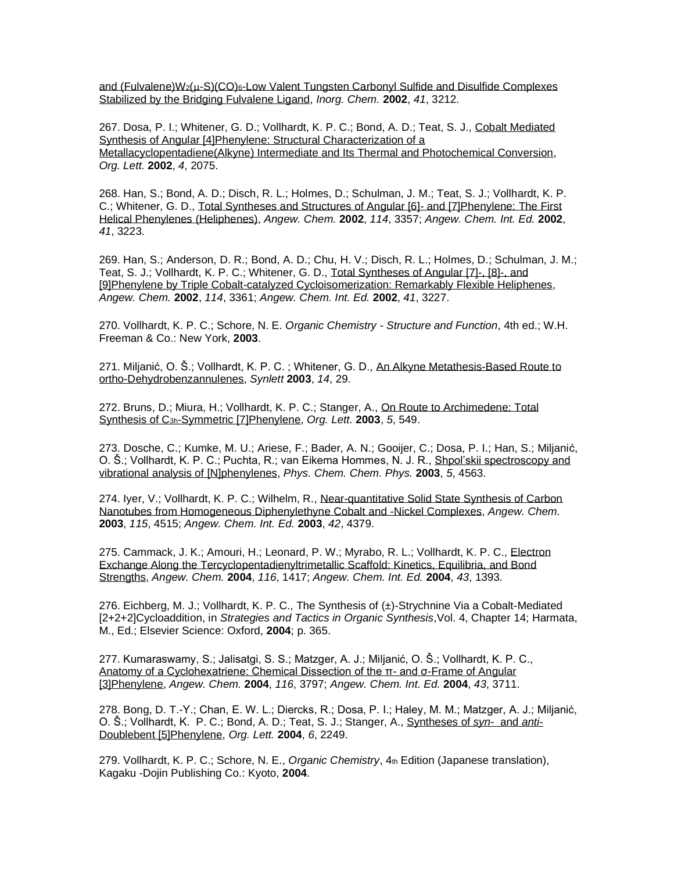and (Fulvalene) $W_2(\mu-S)(CO)_6$ -Low Valent Tungsten Carbonyl Sulfide and Disulfide Complexes [Stabilized by the Bridging Fulvalene Ligand,](http://pubs.acs.org/cgi-bin/sample.cgi/inocaj/2002/41/i12/pdf/ic025590b.pdf) *Inorg. Chem.* **2002**, *41*, 3212.

267. Dosa, P. I.; Whitener, G. D.; Vollhardt, K. P. C.; Bond, A. D.; Teat, S. J., [Cobalt Mediated](http://pubs.acs.org/doi/pdf/10.1021/ol025956o)  [Synthesis of Angular \[4\]Phenylene: Structural Characterization of a](http://pubs.acs.org/doi/pdf/10.1021/ol025956o)  [Metallacyclopentadiene\(Alkyne\) Intermediate and Its Thermal and Photochemical Conversion,](http://pubs.acs.org/doi/pdf/10.1021/ol025956o) *Org. Lett.* **2002**, *4*, 2075.

268. Han, S.; Bond, A. D.; Disch, R. L.; Holmes, D.; Schulman, J. M.; Teat, S. J.; Vollhardt, K. P. C.; Whitener, G. D., [Total Syntheses and Structures of Angular \[6\]-](http://www3.interscience.wiley.com/cgi-bin/fulltext/98017505/PDFSTART) and [7]Phenylene: The First [Helical Phenylenes \(Heliphenes\),](http://www3.interscience.wiley.com/cgi-bin/fulltext/98017505/PDFSTART) *Angew. Chem.* **2002**, *114*, 3357; *Angew. Chem. Int. Ed.* **2002**, *41*, 3223.

269. Han, S.; Anderson, D. R.; Bond, A. D.; Chu, H. V.; Disch, R. L.; Holmes, D.; Schulman, J. M.; Teat, S. J.; Vollhardt, K. P. C.; Whitener, G. D., [Total Syntheses of Angular \[7\]-, \[8\]-, and](http://www3.interscience.wiley.com/cgi-bin/fulltext/98017506/PDFSTART)  [\[9\]Phenylene by Triple Cobalt-catalyzed Cycloisomerization: Remarkably Flexible Heliphenes,](http://www3.interscience.wiley.com/cgi-bin/fulltext/98017506/PDFSTART) *Angew. Chem.* **2002**, *114*, 3361; *Angew. Chem. Int. Ed.* **2002**, *41*, 3227.

270. Vollhardt, K. P. C.; Schore, N. E. *Organic Chemistry - Structure and Function*, 4th ed.; W.H. Freeman & Co.: New York, **2003**.

271. Miljanić, O. Š.; Vollhardt, K. P. C. ; Whitener, G. D., [An Alkyne Metathesis-Based Route to](http://www.thieme-connect.com/ejournals/pdf/synlett/doi/10.1055/s-2003-36233.pdf)  [ortho-Dehydrobenzannulenes,](http://www.thieme-connect.com/ejournals/pdf/synlett/doi/10.1055/s-2003-36233.pdf) *Synlett* **2003**, *14*, 29.

272. Bruns, D.; Miura, H.; Vollhardt, K. P. C.; Stanger, A., [On Route to Archimedene: Total](http://pubs.acs.org/cgi-bin/sample.cgi/orlef7/2003/5/i04/pdf/ol027482z.pdf)  Synthesis of C3h[-Symmetric \[7\]Phenylene,](http://pubs.acs.org/cgi-bin/sample.cgi/orlef7/2003/5/i04/pdf/ol027482z.pdf) *Org. Lett.* **2003**, *5*, 549.

273. Dosche, C.; Kumke, M. U.; Ariese, F.; Bader, A. N.; Gooijer, C.; Dosa, P. I.; Han, S.; Miljanić, O. Š.; Vollhardt, K. P. C.; Puchta, R.; van Eikema Hommes, N. J. R., [Shpol'skii spectroscopy and](http://www.rsc.org/delivery/_ArticleLinking/DisplayArticleForFree.cfm?doi=b308036f&JournalCode=CP)  [vibrational analysis of \[N\]phenylenes,](http://www.rsc.org/delivery/_ArticleLinking/DisplayArticleForFree.cfm?doi=b308036f&JournalCode=CP) *Phys. Chem. Chem. Phys.* **2003**, *5*, 4563.

274. Iyer, V.; Vollhardt, K. P. C.; Wilhelm, R., [Near-quantitative Solid State Synthesis of Carbon](http://www3.interscience.wiley.com/cgi-bin/fulltext/104557711/PDFSTART)  [Nanotubes from Homogeneous Diphenylethyne Cobalt and](http://www3.interscience.wiley.com/cgi-bin/fulltext/104557711/PDFSTART) -Nickel Complexes, *Angew. Chem.* **2003**, *115*, 4515; *Angew. Chem. Int. Ed.* **2003**, *42*, 4379.

275. Cammack, J. K.; Amouri, H.; Leonard, P. W.; Myrabo, R. L.; Vollhardt, K. P. C., [Electron](http://www3.interscience.wiley.com/cgi-bin/fulltext/107613156/PDFSTART)  [Exchange Along the Tercyclopentadienyltrimetallic Scaffold: Kinetics, Equilibria, and Bond](http://www3.interscience.wiley.com/cgi-bin/fulltext/107613156/PDFSTART)  [Strengths,](http://www3.interscience.wiley.com/cgi-bin/fulltext/107613156/PDFSTART) *Angew. Chem.* **2004**, *116*, 1417; *Angew. Chem. Int. Ed.* **2004**, *43*, 1393.

276. Eichberg, M. J.; Vollhardt, K. P. C., The Synthesis of (±)-Strychnine Via a Cobalt-Mediated [2+2+2]Cycloaddition, in *Strategies and Tactics in Organic Synthesis*,Vol. 4, Chapter 14; Harmata, M., Ed.; Elsevier Science: Oxford, **2004**; p. 365.

277. Kumaraswamy, S.; Jalisatgi, S. S.; Matzger, A. J.; Miljanić, O. Š.; Vollhardt, K. P. C., [Anatomy of a Cyclohexatriene: Chemical Dissection of the π-](http://www3.interscience.wiley.com/cgi-bin/fulltext/109087573/PDFSTART) and σ-Frame of Angular [\[3\]Phenylene,](http://www3.interscience.wiley.com/cgi-bin/fulltext/109087573/PDFSTART) *Angew. Chem.* **2004**, *116*, 3797; *Angew. Chem. Int. Ed.* **2004**, *43*, 3711.

278. Bong, D. T.-Y.; Chan, E. W. L.; Diercks, R.; Dosa, P. I.; Haley, M. M.; Matzger, A. J.; Miljanić, O. Š.; Vollhardt, K. P. C.; Bond, A. D.; Teat, S. J.; Stanger, A., [Syntheses of](http://pubs.acs.org/cgi-bin/sample.cgi/orlef7/2004/6/i13/pdf/ol049225v.pdf) *syn*- and *anti*-[Doublebent \[5\]Phenylene,](http://pubs.acs.org/cgi-bin/sample.cgi/orlef7/2004/6/i13/pdf/ol049225v.pdf) *Org. Lett.* **2004**, *6*, 2249.

279. Vollhardt, K. P. C.; Schore, N. E., *Organic Chemistry*, 4th Edition (Japanese translation), Kagaku -Dojin Publishing Co.: Kyoto, **2004**.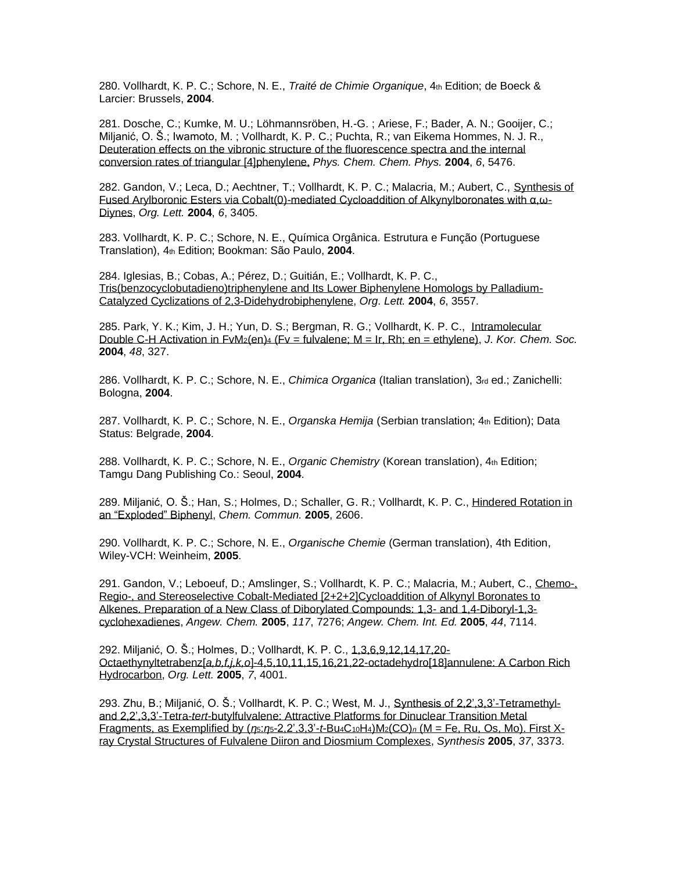280. Vollhardt, K. P. C.; Schore, N. E., *Traité de Chimie Organique*, 4th Edition; de Boeck & Larcier: Brussels, **2004**.

281. Dosche, C.; Kumke, M. U.; Löhmannsröben, H.-G. ; Ariese, F.; Bader, A. N.; Gooijer, C.; Miljanić, O. Š.; Iwamoto, M. ; Vollhardt, K. P. C.; Puchta, R.; van Eikema Hommes, N. J. R., [Deuteration effects on the vibronic structure of the fluorescence spectra and the internal](http://www.rsc.org/delivery/_ArticleLinking/DisplayArticleForFree.cfm?doi=b414545c&JournalCode=CP)  [conversion rates of triangular](http://www.rsc.org/delivery/_ArticleLinking/DisplayArticleForFree.cfm?doi=b414545c&JournalCode=CP) [4]phenylene, *Phys. Chem. Chem. Phys.* **2004**, *6*, 5476.

282. Gandon, V.; Leca, D.; Aechtner, T.; Vollhardt, K. P. C.; Malacria, M.; Aubert, C., [Synthesis of](http://pubs.acs.org/doi/pdfplus/10.1021/ol0485823)  [Fused Arylboronic Esters via Cobalt\(0\)-mediated Cycloaddition of Alkynylboronates with α,ω-](http://pubs.acs.org/doi/pdfplus/10.1021/ol0485823)[Diynes,](http://pubs.acs.org/doi/pdfplus/10.1021/ol0485823) *Org. Lett.* **2004**, *6*, 3405.

283. Vollhardt, K. P. C.; Schore, N. E., Química Orgânica. Estrutura e Função (Portuguese Translation), 4th Edition; Bookman: São Paulo, **2004**.

284. Iglesias, B.; Cobas, A.; Pérez, D.; Guitián, E.; Vollhardt, K. P. C., [Tris\(benzocyclobutadieno\)triphenylene and Its Lower Biphenylene Homologs by Palladium-](http://pubs.acs.org/cgi-bin/sample.cgi/orlef7/2004/6/i20/pdf/ol048548o.pdf)[Catalyzed Cyclizations of 2,3-Didehydrobiphenylene,](http://pubs.acs.org/cgi-bin/sample.cgi/orlef7/2004/6/i20/pdf/ol048548o.pdf) *Org. Lett.* **2004**, *6*, 3557.

285. Park, Y. K.; Kim, J. H.; Yun, D. S.; Bergman, R. G.; Vollhardt, K. P. C., [Intramolecular](http://newjournal.kcsnet.or.kr/main/j_search/j_view.htm?code=K040314&cpage=1&journal=K&vol=48&no=&page=327&fields=&keyword1=&year1=1949&year2=2006&research=&aorder1=&aorder2=&fields2=none&keyword2=&fields3=&keyword3=&fields4=&keyword4=&research=&view=10&b)  Double C-H Activation in FvM2(en)<sup>4</sup> [\(Fv = fulvalene; M = Ir, Rh; en = ethylene\),](http://newjournal.kcsnet.or.kr/main/j_search/j_view.htm?code=K040314&cpage=1&journal=K&vol=48&no=&page=327&fields=&keyword1=&year1=1949&year2=2006&research=&aorder1=&aorder2=&fields2=none&keyword2=&fields3=&keyword3=&fields4=&keyword4=&research=&view=10&b) *J. Kor. Chem. Soc.* **2004**, *48*, 327.

286. Vollhardt, K. P. C.; Schore, N. E., *Chimica Organica* (Italian translation), 3rd ed.; Zanichelli: Bologna, **2004**.

287. Vollhardt, K. P. C.; Schore, N. E., *Organska Hemija* (Serbian translation; 4th Edition); Data Status: Belgrade, **2004**.

288. Vollhardt, K. P. C.; Schore, N. E., *Organic Chemistry* (Korean translation), 4th Edition; Tamgu Dang Publishing Co.: Seoul, **2004**.

289. Miljanić, O. Š.; Han, S.; Holmes, D.; Schaller, G. R.; Vollhardt, K. P. C., [Hindered Rotation in](http://www.rsc.org/ej/CC/2005/b503173g.pdf)  [an "Exploded" Biphenyl,](http://www.rsc.org/ej/CC/2005/b503173g.pdf) *Chem. Commun.* **2005**, 2606.

290. Vollhardt, K. P. C.; Schore, N. E., *Organische Chemie* (German translation), 4th Edition, Wiley-VCH: Weinheim, **2005**.

291. Gandon, V.; Leboeuf, D.; Amslinger, S.; Vollhardt, K. P. C.; Malacria, M.; Aubert, C., [Chemo-,](https://onlinelibrary.wiley.com/doi/full/10.1002/anie.200502038)  [Regio-, and Stereoselective Cobalt-Mediated \[2+2+2\]Cycloaddition of Alkynyl Boronates to](https://onlinelibrary.wiley.com/doi/full/10.1002/anie.200502038)  [Alkenes. Preparation of a New Class of Diborylated Compounds: 1,3-](https://onlinelibrary.wiley.com/doi/full/10.1002/anie.200502038) and 1,4-Diboryl-1,3 [cyclohexadienes,](https://onlinelibrary.wiley.com/doi/full/10.1002/anie.200502038) *Angew. Chem.* **2005**, *117*, 7276; *Angew. Chem. Int. Ed.* **2005**, *44*, 7114.

292. Miljanić, O. Š.; Holmes, D.; Vollhardt, K. P. C., [1,3,6,9,12,14,17,20-](https://pubs.acs.org/doi/10.1021/ol051572x) Octaethynyltetrabenz[*a,b,f,j,k,o*[\]-4,5,10,11,15,16,21,22-octadehydro\[18\]annulene: A](https://pubs.acs.org/doi/10.1021/ol051572x) Carbon Rich [Hydrocarbon,](https://pubs.acs.org/doi/10.1021/ol051572x) *Org. Lett.* **2005**, *7*, 4001.

293. Zhu, B.; Miljanić, O. Š.; Vollhardt, K. P. C.; West, M. J., [Synthesis of 2,2',3,3'-Tetramethyl](http://www.thieme-connect.com/ejournals/pdf/synthesis/doi/10.1055/s-2005-918438.pdf)and 2,2',3,3'-Tetra-*tert*[-butylfulvalene: Attractive Platforms for Dinuclear Transition Metal](http://www.thieme-connect.com/ejournals/pdf/synthesis/doi/10.1055/s-2005-918438.pdf)  [Fragments, as Exemplified by \(](http://www.thieme-connect.com/ejournals/pdf/synthesis/doi/10.1055/s-2005-918438.pdf)*η*5:*η*5-2,2',3,3'-*t*-Bu4C10H4)M2(CO)*<sup>n</sup>* (M = Fe, Ru, Os, Mo). First X[ray Crystal Structures of Fulvalene Diiron and Diosmium Complexes,](http://www.thieme-connect.com/ejournals/pdf/synthesis/doi/10.1055/s-2005-918438.pdf) *Synthesis* **2005**, *37*, 3373.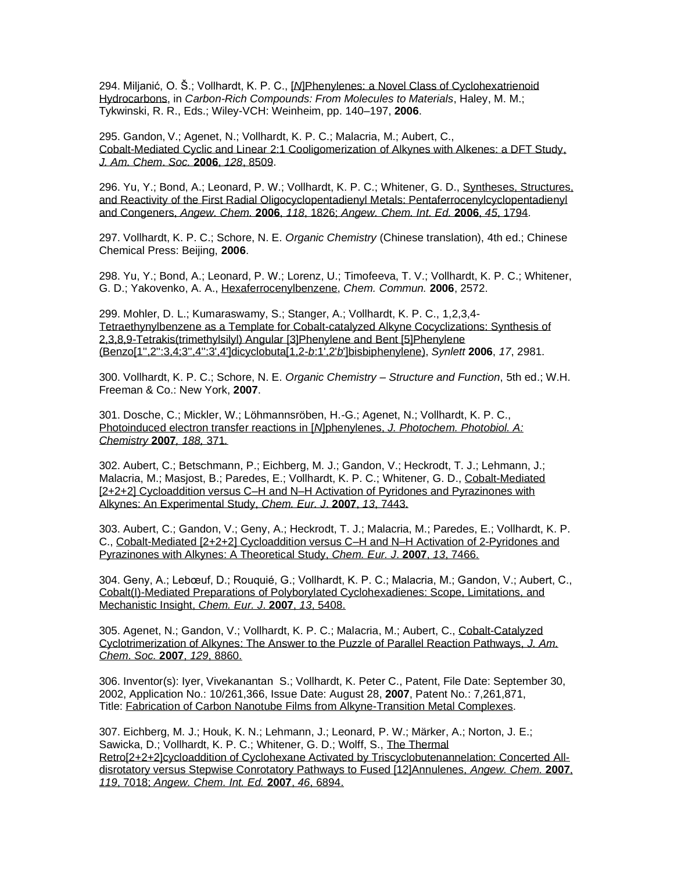294. Miljanić, O. Š.; Vollhardt, K. P. C., [*N*[\]Phenylenes: a Novel Class of Cyclohexatrienoid](https://onlinelibrary.wiley.com/doi/10.1002/3527607994.ch4)  [Hydrocarbons,](https://onlinelibrary.wiley.com/doi/10.1002/3527607994.ch4) in *Carbon-Rich Compounds: From Molecules to Materials*, Haley, M. M.; Tykwinski, R. R., Eds.; Wiley-VCH: Weinheim, pp. 140–197, **2006**.

295. Gandon, V.; Agenet, N.; Vollhardt, K. P. C.; Malacria, M.; Aubert, C., [Cobalt-Mediated Cyclic and Linear 2:1 Cooligomerization of Alkynes with Alkenes: a DFT Study,](http://pubs.acs.org/cgi-bin/article.cgi/jacsat/2006/128/i26/pdf/ja060756j.pdf)  *[J. Am. Chem](http://pubs.acs.org/cgi-bin/article.cgi/jacsat/2006/128/i26/pdf/ja060756j.pdf)*. *Soc.* **2006**, *128*, 8509.

296. Yu, Y.; Bond, A.; Leonard, P. W.; Vollhardt, K. P. C.; Whitener, G. D., [Syntheses, Structures,](http://www3.interscience.wiley.com/cgi-bin/fulltext/112405738/PDFSTART)  [and Reactivity of the First Radial Oligocyclopentadienyl Metals: Pentaferrocenylcyclopentadienyl](http://www3.interscience.wiley.com/cgi-bin/fulltext/112405738/PDFSTART)  [and Congeners,](http://www3.interscience.wiley.com/cgi-bin/fulltext/112405738/PDFSTART) *Angew. Chem.* **2006**, *118*, 1826; *Angew. Chem. Int. Ed.* **2006**, *45*, 1794.

297. Vollhardt, K. P. C.; Schore, N. E. *Organic Chemistry* (Chinese translation), 4th ed.; Chinese Chemical Press: Beijing, **2006**.

298. Yu, Y.; Bond, A.; Leonard, P. W.; Lorenz, U.; Timofeeva, T. V.; Vollhardt, K. P. C.; Whitener, G. D.; Yakovenko, A. A., [Hexaferrocenylbenzene,](http://www.rsc.org/delivery/_ArticleLinking/DisplayArticleForFree.cfm?doi=b604844g&JournalCode=CC) *Chem. Commun.* **2006**, 2572.

299. Mohler, D. L.; Kumaraswamy, S.; Stanger, A.; Vollhardt, K. P. C., 1,2,3,4- [Tetraethynylbenzene as a Template for Cobalt-catalyzed Alkyne Cocyclizations: Synthesis of](https://www.thieme-connect.com/products/ejournals/html/10.1055/s-2006-947329)  [2,3,8,9-Tetrakis\(trimethylsilyl\) Angular \[3\]Phenylene and Bent \[5\]Phenylene](https://www.thieme-connect.com/products/ejournals/html/10.1055/s-2006-947329)  [\(Benzo\[1'',2'':3,4;3'',4'':3',4'\]dicyclobuta\[1,2-](https://www.thieme-connect.com/products/ejournals/html/10.1055/s-2006-947329)*b*:1',2'*b*']bisbiphenylene), *Synlett* **2006**, *17*, 2981.

300. Vollhardt, K. P. C.; Schore, N. E. *Organic Chemistry* – *Structure and Function*, 5th ed.; W.H. Freeman & Co.: New York, **2007**.

301. Dosche, C.; Mickler, W.; Löhmannsröben, H.-G.; Agenet, N.; Vollhardt, K. P. C., [Photoinduced electron transfer reactions in \[](http://www.sciencedirect.com/science?_ob=MImg&_imagekey=B6TGY-4MP5695-1-24&_cdi=5267&_user=4420&_pii=S1010603006006952&_orig=browse&_coverDate=05%2F20%2F2007&_sk=998119997&view=c&wchp=dGLzVlb-zSkWb&md5=621611beb2901a94d6aa41f3c83305ae&ie=/sdarticle.pdf)*N*]phenylenes, *J. Photochem. Photobiol. A: [Chemistry](http://www.sciencedirect.com/science?_ob=MImg&_imagekey=B6TGY-4MP5695-1-24&_cdi=5267&_user=4420&_pii=S1010603006006952&_orig=browse&_coverDate=05%2F20%2F2007&_sk=998119997&view=c&wchp=dGLzVlb-zSkWb&md5=621611beb2901a94d6aa41f3c83305ae&ie=/sdarticle.pdf)* **2007***, 188,* 371*.*

302. Aubert, C.; Betschmann, P.; Eichberg, M. J.; Gandon, V.; Heckrodt, T. J.; Lehmann, J.; Malacria, M.; Masjost, B.; Paredes, E.; Vollhardt, K. P. C.; Whitener, G. D., [Cobalt-Mediated](http://www3.interscience.wiley.com/cgi-bin/fulltext/114281192/PDFSTART)  [\[2+2+2\] Cycloaddition versus C–H and N–H Activation of Pyridones and Pyrazinones with](http://www3.interscience.wiley.com/cgi-bin/fulltext/114281192/PDFSTART)  [Alkynes: An Experimental Study,](http://www3.interscience.wiley.com/cgi-bin/fulltext/114281192/PDFSTART) *Chem. Eur. J*. **2007**, *13*, 7443.

303. Aubert, C.; Gandon, V.; Geny, A.; Heckrodt, T. J.; Malacria, M.; Paredes, E.; Vollhardt, K. P. C., [Cobalt-Mediated \[2+2+2\] Cycloaddition versus C–H and N–H Activation of 2-Pyridones and](https://onlinelibrary.wiley.com/doi/epdf/10.1002/chem.200601822)  [Pyrazinones with Alkynes: A Theoretical Study,](https://onlinelibrary.wiley.com/doi/epdf/10.1002/chem.200601822) *Chem. Eur. J*. **2007**, *13*, 7466.

304. Geny, A.; Lebœuf, D.; Rouquié, G.; Vollhardt, K. P. C.; Malacria, M.; Gandon, V.; Aubert, C., [Cobalt\(I\)-Mediated Preparations of Polyborylated Cyclohexadienes: Scope, Limitations, and](https://onlinelibrary.wiley.com/doi/epdf/10.1002/chem.200700337)  [Mechanistic Insight,](https://onlinelibrary.wiley.com/doi/epdf/10.1002/chem.200700337) *Chem. Eur. J*. **2007**, *13*, 5408.

305. Agenet, N.; Gandon, V.; Vollhardt, K. P. C.; Malacria, M.; Aubert, C., [Cobalt-Catalyzed](http://pubs.acs.org/cgi-bin/article.cgi/jacsat/2007/129/i28/pdf/ja072208r.pdf)  [Cyclotrimerization of Alkynes: The Answer to the Puzzle of Parallel Reaction Pathways,](http://pubs.acs.org/cgi-bin/article.cgi/jacsat/2007/129/i28/pdf/ja072208r.pdf) *J. Am. Chem*. *Soc.* **2007**, *129*[, 8860.](http://pubs.acs.org/cgi-bin/article.cgi/jacsat/2007/129/i28/pdf/ja072208r.pdf)

306. Inventor(s): Iyer, Vivekanantan S.; Vollhardt, K. Peter C., Patent, File Date: September 30, 2002, Application No.: 10/261,366, Issue Date: August 28, **2007**, Patent No.: 7,261,871, Title: [Fabrication of Carbon Nanotube Films from Alkyne-Transition Metal Complexes.](http://www.freepatentsonline.com/7261871.html)

307. Eichberg, M. J.; Houk, K. N.; Lehmann, J.; Leonard, P. W.; Märker, A.; Norton, J. E.; Sawicka, D.; Vollhardt, K. P. C.; Whitener, G. D.; Wolff, S., [The Thermal](http://www3.interscience.wiley.com/cgi-bin/fulltext/114801349/PDFSTART)  [Retro\[2+2+2\]cycloaddition of Cyclohexane Activated by Triscyclobutenannelation: Concerted All](http://www3.interscience.wiley.com/cgi-bin/fulltext/114801349/PDFSTART)[disrotatory versus Stepwise Conrotatory Pathways to Fused \[12\]Annulenes,](http://www3.interscience.wiley.com/cgi-bin/fulltext/114801349/PDFSTART) *Angew. Chem.* **2007**, *119*, 7018; *[Angew. Chem.](http://www3.interscience.wiley.com/cgi-bin/fulltext/114801349/PDFSTART) Int. Ed.* **2007**, *46*, 6894.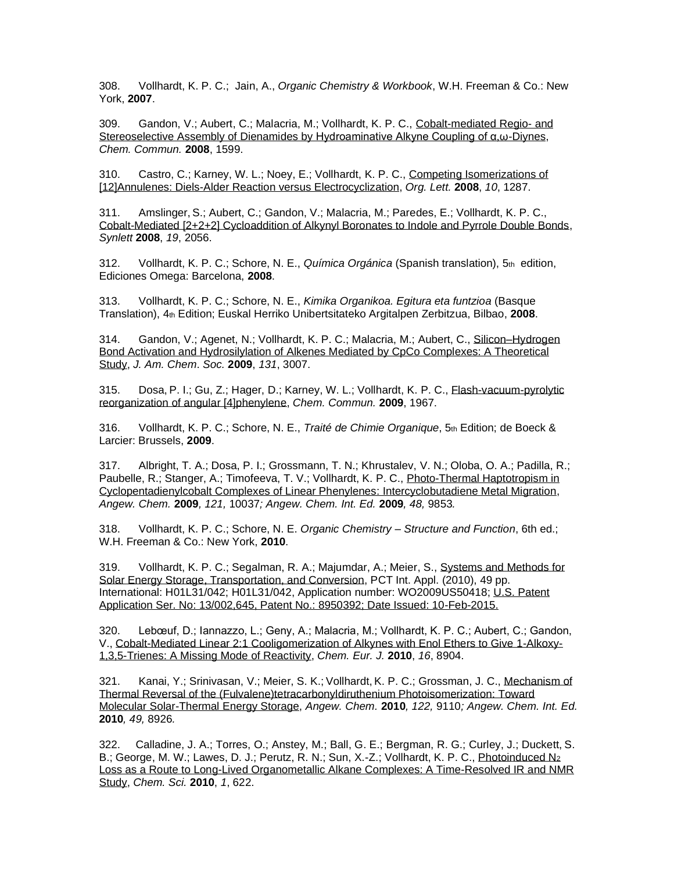308. Vollhardt, K. P. C.; Jain, A., *Organic Chemistry & Workbook*, W.H. Freeman & Co.: New York, **2007**.

309. Gandon, V.; Aubert, C.; Malacria, M.; Vollhardt, K. P. C., [Cobalt-mediated Regio-](http://www.rsc.org/ej/CC/2008/b716841a.pdf) and [Stereoselective Assembly of Dienamides by Hydroaminative Alkyne Coupling of α,ω-Diynes,](http://www.rsc.org/ej/CC/2008/b716841a.pdf) *Chem. Commun.* **2008**, 1599.

310. Castro, C.; Karney, W. L.; Noey, E.; Vollhardt, K. P. C., [Competing Isomerizations of](http://pubs.acs.org/cgi-bin/article.cgi/orlef7/2008/10/i06/pdf/ol8001915.pdf)  [\[12\]Annulenes: Diels-Alder Reaction versus Electrocyclization,](http://pubs.acs.org/cgi-bin/article.cgi/orlef7/2008/10/i06/pdf/ol8001915.pdf) *Org. Lett.* **2008**, *10*, 1287.

311. Amslinger, S.; Aubert, C.; Gandon, V.; Malacria, M.; Paredes, E.; Vollhardt, K. P. C., [Cobalt-Mediated \[2+2+2\] Cycloaddition of Alkynyl Boronates to Indole and Pyrrole Double Bonds,](https://www.thieme-connect.com/products/ejournals/html/10.1055/s-2008-1077950) *Synlett* **2008**, *19*, 2056.

312. Vollhardt, K. P. C.; Schore, N. E., *Química Orgánica* (Spanish translation), 5th edition, Ediciones Omega: Barcelona, **2008**.

313. Vollhardt, K. P. C.; Schore, N. E., *Kimika Organikoa. Egitura eta funtzioa* (Basque Translation), 4th Edition; Euskal Herriko Unibertsitateko Argitalpen Zerbitzua, Bilbao, **2008**.

314. Gandon, V.; Agenet, N.; Vollhardt, K. P. C.; Malacria, M.; Aubert, C., [Silicon–Hydrogen](http://pubs.acs.org/doi/pdf/10.1021/ja809100t)  [Bond Activation and Hydrosilylation of Alkenes Mediated by CpCo Complexes: A Theoretical](http://pubs.acs.org/doi/pdf/10.1021/ja809100t)  [Study,](http://pubs.acs.org/doi/pdf/10.1021/ja809100t) *J. Am. Chem*. *Soc.* **2009**, *131*, 3007.

315. Dosa, P. I.; Gu, Z.; Hager, D.; Karney, W. L.; Vollhardt, K. P. C., [Flash-vacuum-pyrolytic](http://www.rsc.org/ej/CC/2009/b902648g.pdf)  [reorganization of angular \[4\]phenylene,](http://www.rsc.org/ej/CC/2009/b902648g.pdf) *Chem. Commun.* **2009**, 1967.

316. Vollhardt, K. P. C.; Schore, N. E., *Traité de Chimie Organique*, 5th Edition; de Boeck & Larcier: Brussels, **2009**.

317. Albright, T. A.; Dosa, P. I.; Grossmann, T. N.; Khrustalev, V. N.; Oloba, O. A.; Padilla, R.; Paubelle, R.; Stanger, A.; Timofeeva, T. V.; Vollhardt, K. P. C., Photo-Thermal Haptotropism in [Cyclopentadienylcobalt Complexes of Linear Phenylenes: Intercyclobutadiene Metal Migration,](http://www3.interscience.wiley.com/cgi-bin/fulltext/123192949/PDFSTART) *Angew. Chem.* **2009***, 121,* 10037*; Angew. Chem. Int. Ed.* **2009***, 48,* 9853*.*

318. Vollhardt, K. P. C.; Schore, N. E. *Organic Chemistry* – *Structure and Function*, 6th ed.; W.H. Freeman & Co.: New York, **2010**.

319. Vollhardt, K. P. C.; Segalman, R. A.; Majumdar, A.; Meier, S., [Systems and Methods for](http://v3.espacenet.com/publicationDetails/biblio?DB=EPODOC&adjacent=true&locale=en_ep&FT=D&date=20100121&CC=WO&NR=2010009052A2&KC=A2)  [Solar Energy Storage, Transportation, and Conversion,](http://v3.espacenet.com/publicationDetails/biblio?DB=EPODOC&adjacent=true&locale=en_ep&FT=D&date=20100121&CC=WO&NR=2010009052A2&KC=A2) PCT Int. Appl. (2010), 49 pp. International: H01L31/042; H01L31/042, Application number: WO2009US50418; [U.S. Patent](http://pdfpiw.uspto.gov/.piw?PageNum=0&docid=08950392&IDKey=49A6746CFFD0%0D%0A&HomeUrl=http%3A%2F%2Fpatft.uspto.gov%2Fnetahtml%2FPTO%2Fpatimg.htm)  [Application Ser. No: 13/002,645, Patent No.: 8950392; Date Issued: 10-Feb-2015.](http://pdfpiw.uspto.gov/.piw?PageNum=0&docid=08950392&IDKey=49A6746CFFD0%0D%0A&HomeUrl=http%3A%2F%2Fpatft.uspto.gov%2Fnetahtml%2FPTO%2Fpatimg.htm)

320. Lebœuf, D.; Iannazzo, L.; Geny, A.; Malacria, M.; Vollhardt, K. P. C.; Aubert, C.; Gandon, V., [Cobalt-Mediated Linear 2:1 Cooligomerization of Alkynes with Enol Ethers to Give 1-Alkoxy-](http://onlinelibrary.wiley.com/doi/10.1002/chem.201000486/pdf)[1,3,5-Trienes: A Missing Mode of Reactivity,](http://onlinelibrary.wiley.com/doi/10.1002/chem.201000486/pdf) *Chem. Eur. J.* **2010**, *16*, 8904.

321. Kanai, Y.; Srinivasan, V.; Meier, S. K.; Vollhardt, K. P. C.; Grossman, J. C., [Mechanism of](http://onlinelibrary.wiley.com/doi/10.1002/anie.201002994/pdf)  [Thermal Reversal of the \(Fulvalene\)tetracarbonyldiruthenium Photoisomerization: Toward](http://onlinelibrary.wiley.com/doi/10.1002/anie.201002994/pdf)  [Molecular Solar-Thermal Energy Storage,](http://onlinelibrary.wiley.com/doi/10.1002/anie.201002994/pdf) *Angew. Chem.* **2010***, 122,* 9110*; Angew. Chem. Int. Ed.*  **2010***, 49,* 8926*.*

322. Calladine, J. A.; Torres, O.; Anstey, M.; Ball, G. E.; Bergman, R. G.; Curley, J.; Duckett, S. B.; George, M. W.; Lawes, D. J.; Perutz, R. N.; Sun, X.-Z.; Vollhardt, K. P. C., [Photoinduced N](http://pubs.rsc.org/en/Content/ArticlePDF/2010/SC/C0SC00311E/2010-08-27?page=Search)<sup>2</sup> [Loss as a Route to Long-Lived Organometallic Alkane Complexes: A Time-Resolved IR and NMR](http://pubs.rsc.org/en/Content/ArticlePDF/2010/SC/C0SC00311E/2010-08-27?page=Search)  [Study,](http://pubs.rsc.org/en/Content/ArticlePDF/2010/SC/C0SC00311E/2010-08-27?page=Search) *Chem. Sci.* **2010**, *1*, 622.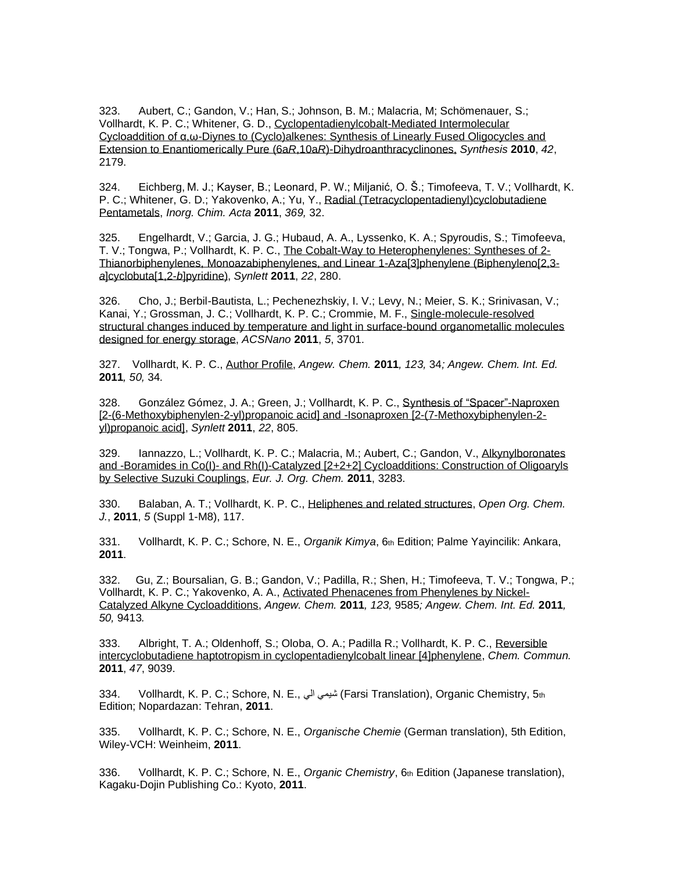323. Aubert, C.; Gandon, V.; Han, S.; Johnson, B. M.; Malacria, M; Schömenauer, S.; Vollhardt, K. P. C.; Whitener, G. D., [Cyclopentadienylcobalt-Mediated Intermolecular](https://www.thieme-connect.com/products/ejournals/abstract/10.1055/s-0029-1220007)  [Cycloaddition of α,ω-Diynes to \(Cyclo\)alkenes: Synthesis of Linearly Fused Oligocycles and](https://www.thieme-connect.com/products/ejournals/abstract/10.1055/s-0029-1220007)  [Extension to Enantiomerically Pure \(6a](https://www.thieme-connect.com/products/ejournals/abstract/10.1055/s-0029-1220007)*R*,10a*R*)-Dihydroanthracyclinones, *Synthesis* **2010**, *42*, 2179.

324. Eichberg, M. J.; Kayser, B.; Leonard, P. W.; Miljanić, O. Š.; Timofeeva, T. V.; Vollhardt, K. P. C.; Whitener, G. D.; Yakovenko, A.; Yu, Y., [Radial \(Tetracyclopentadienyl\)cyclobutadiene](http://www.sciencedirect.com/science?_ob=MImg&_imagekey=B6TG5-518TYDH-2-4&_cdi=5245&_user=4420&_pii=S0020169310006912&_origin=gateway&_coverDate=04%2F15%2F2011&_sk=996309998&view=c&wchp=dGLbVlz-zSkzV&md5=d0d6ff33b022238f480f6a4d0d35d9de&ie=/sdarticle.pdf)  [Pentametals,](http://www.sciencedirect.com/science?_ob=MImg&_imagekey=B6TG5-518TYDH-2-4&_cdi=5245&_user=4420&_pii=S0020169310006912&_origin=gateway&_coverDate=04%2F15%2F2011&_sk=996309998&view=c&wchp=dGLbVlz-zSkzV&md5=d0d6ff33b022238f480f6a4d0d35d9de&ie=/sdarticle.pdf) *Inorg. Chim. Acta* **2011**, *369,* 32.

325. Engelhardt, V.; Garcia, J. G.; Hubaud, A. A., Lyssenko, K. A.; Spyroudis, S.; Timofeeva, T. V.; Tongwa, P.; Vollhardt, K. P. C., [The Cobalt-Way to Heterophenylenes: Syntheses of 2-](https://www.thieme-connect.com/ejournals/pdf/synlett/doi/10.1055/s-0030-1259087.pdf) [Thianorbiphenylenes, Monoazabiphenylenes, and Linear 1-Aza\[3\]phenylene \(Biphenyleno\[2,3](https://www.thieme-connect.com/ejournals/pdf/synlett/doi/10.1055/s-0030-1259087.pdf) *a*[\]cyclobuta\[1,2-](https://www.thieme-connect.com/ejournals/pdf/synlett/doi/10.1055/s-0030-1259087.pdf)*b*]pyridine), *Synlett* **2011**, *22*, 280.

326. Cho, J.; Berbil-Bautista, L.; Pechenezhskiy, I. V.; Levy, N.; Meier, S. K.; Srinivasan, V.; Kanai, Y.; Grossman, J. C.; Vollhardt, K. P. C.; Crommie, M. F., [Single-molecule-resolved](http://pubs.acs.org/doi/pdf/10.1021/nn2000367)  [structural changes induced by temperature and light in surface-bound organometallic molecules](http://pubs.acs.org/doi/pdf/10.1021/nn2000367)  [designed for energy storage,](http://pubs.acs.org/doi/pdf/10.1021/nn2000367) *ACSNano* **2011**, *5*, 3701.

327. Vollhardt, K. P. C., [Author Profile,](http://onlinelibrary.wiley.com/doi/10.1002/anie.201007503/pdf) *Angew. Chem.* **2011***, 123,* 34*; Angew. Chem. Int. Ed.*  **2011***, 50,* 34*.*

328. González Gómez, J. A.; Green, J.; Vollhardt, K. P. C., [Synthesis of "Spacer"-Naproxen](https://www.thieme-connect.com/ejournals/pdf/synlett/doi/10.1055/s-0030-1259718.pdf)  [\[2-\(6-Methoxybiphenylen-2-yl\)propanoic acid\] and -Isonaproxen \[2-\(7-Methoxybiphenylen-2](https://www.thieme-connect.com/ejournals/pdf/synlett/doi/10.1055/s-0030-1259718.pdf) [yl\)propanoic acid\],](https://www.thieme-connect.com/ejournals/pdf/synlett/doi/10.1055/s-0030-1259718.pdf) *Synlett* **2011**, *22*, 805.

329. Iannazzo, L.; Vollhardt, K. P. C.; Malacria, M.; Aubert, C.; Gandon, V., [Alkynylboronates](http://onlinelibrary.wiley.com/doi/10.1002/ejoc.201100371/pdf)  and -Boramides in Co(I)- [and Rh\(I\)-Catalyzed \[2+2+2\] Cycloadditions: Construction of Oligoaryls](http://onlinelibrary.wiley.com/doi/10.1002/ejoc.201100371/pdf)  [by Selective Suzuki Couplings,](http://onlinelibrary.wiley.com/doi/10.1002/ejoc.201100371/pdf) *Eur. J. Org. Chem.* **2011**, 3283.

330. Balaban, A. T.; Vollhardt, K. P. C., [Heliphenes and related structures,](http://benthamscience.com/open/toocj/articles/V005/SI0009TOOCJ/117TOOCJ.pdf) *Open Org. Chem. J.*, **2011**, *5* (Suppl 1-M8), 117.

331. Vollhardt, K. P. C.; Schore, N. E., *Organik Kimya*, 6th Edition; Palme Yayincilik: Ankara, **2011**.

332. Gu, Z.; Boursalian, G. B.; Gandon, V.; Padilla, R.; Shen, H.; Timofeeva, T. V.; Tongwa, P.; Vollhardt, K. P. C.; Yakovenko, A. A., [Activated Phenacenes from Phenylenes by Nickel-](http://onlinelibrary.wiley.com/doi/10.1002/anie.201103428/pdf)[Catalyzed Alkyne Cycloadditions,](http://onlinelibrary.wiley.com/doi/10.1002/anie.201103428/pdf) *Angew. Chem.* **2011***, 123,* 9585*; Angew. Chem. Int. Ed.* **2011***, 50,* 9413*.*

333. Albright, T. A.; Oldenhoff, S.; Oloba, O. A.; Padilla R.; Vollhardt, K. P. C., [Reversible](http://pubs.rsc.org/en/content/articlepdf/2011/cc/c1cc13405a?page=search)  [intercyclobutadiene haptotropism in cyclopentadienylcobalt linear \[4\]phenylene,](http://pubs.rsc.org/en/content/articlepdf/2011/cc/c1cc13405a?page=search) *Chem. Commun.* **2011**, *47*, 9039.

334. Vollhardt, K. P. C.; Schore, N. E., الي شيمي) Farsi Translation), Organic Chemistry, 5th Edition; Nopardazan: Tehran, **2011**.

335. Vollhardt, K. P. C.; Schore, N. E., *Organische Chemie* (German translation), 5th Edition, Wiley-VCH: Weinheim, **2011**.

336. Vollhardt, K. P. C.; Schore, N. E., *Organic Chemistry*, 6th Edition (Japanese translation), Kagaku-Dojin Publishing Co.: Kyoto, **2011**.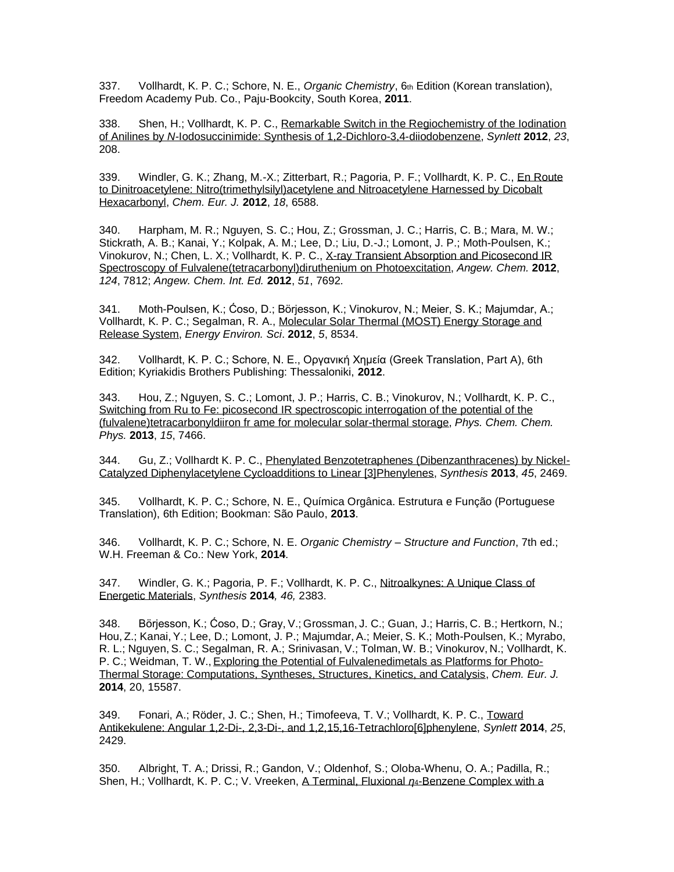337. Vollhardt, K. P. C.; Schore, N. E., *Organic Chemistry*, 6th Edition (Korean translation), Freedom Academy Pub. Co., Paju-Bookcity, South Korea, **2011**.

338. Shen, H.; Vollhardt, K. P. C., Remarkable Switch in the Regiochemistry of the Iodination of Anilines by *N*[-Iodosuccinimide: Synthesis of 1,2-Dichloro-3,4-diiodobenzene,](https://www.thieme-connect.com/ejournals/pdf/synlett/doi/10.1055/s-0031-1290118.pdf) *Synlett* **2012**, *23*, 208.

339. Windler, G. K.; Zhang, M.-X.; Zitterbart, R.; Pagoria, P. F.; Vollhardt, K. P. C., [En Route](http://onlinelibrary.wiley.com/doi/10.1002/chem.201200473/pdf)  [to Dinitroacetylene: Nitro\(trimethylsilyl\)acetylene and Nitroacetylene Harnessed by Dicobalt](http://onlinelibrary.wiley.com/doi/10.1002/chem.201200473/pdf)  [Hexacarbonyl,](http://onlinelibrary.wiley.com/doi/10.1002/chem.201200473/pdf) *Chem. Eur. J.* **2012**, *18*, 6588.

340. Harpham, M. R.; Nguyen, S. C.; Hou, Z.; Grossman, J. C.; Harris, C. B.; Mara, M. W.; Stickrath, A. B.; Kanai, Y.; Kolpak, A. M.; Lee, D.; Liu, D.-J.; Lomont, J. P.; Moth-Poulsen, K.; Vinokurov, N.; Chen, L. X.; Vollhardt, K. P. C., [X-ray Transient Absorption and Picosecond IR](http://onlinelibrary.wiley.com/doi/10.1002/anie.201202952/pdf)  [Spectroscopy of Fulvalene\(tetracarbonyl\)diruthenium](http://onlinelibrary.wiley.com/doi/10.1002/anie.201202952/pdf) on Photoexcitation, *Angew. Chem.* **2012**, *124*, 7812; *Angew. Chem. Int. Ed.* **2012**, *51*, 7692*.*

341. Moth-Poulsen, K.; Ćoso, D.; Börjesson, K.; Vinokurov, N.; Meier, S. K.; Majumdar, A.; Vollhardt, K. P. C.; Segalman, R. A., [Molecular Solar Thermal \(MOST\) Energy Storage and](http://pubs.rsc.org/en/content/articlepdf/2012/ee/c2ee22426g)  [Release System,](http://pubs.rsc.org/en/content/articlepdf/2012/ee/c2ee22426g) *Energy Environ. Sci*. **2012**, *5*, 8534.

342. Vollhardt, K. P. C.; Schore, N. E., Οργανική Χημεία (Greek Translation, Part A), 6th Edition; Kyriakidis Brothers Publishing: Thessaloniki, **2012**.

343. Hou, Z.; Nguyen, S. C.; Lomont, J. P.; Harris, C. B.; Vinokurov, N.; Vollhardt, K. P. C., [Switching from Ru to Fe: picosecond IR spectroscopic interrogation of the potential of the](http://pubs.rsc.org/en/content/articlelanding/2013/CP/C3CP51292D)  (fulvalene)tetracarbonyldiiron fr [ame for molecular solar-thermal storage,](http://pubs.rsc.org/en/content/articlelanding/2013/CP/C3CP51292D) *Phys. Chem. Chem. Phys.* **2013**, *15*, 7466.

344. Gu, Z.; Vollhardt K. P. C., [Phenylated Benzotetraphenes \(Dibenzanthracenes\) by Nickel-](https://www.thieme-connect.de/ejournals/html/10.1055/s-0033-1338500)[Catalyzed Diphenylacetylene Cycloadditions to Linear \[3\]Phenylenes,](https://www.thieme-connect.de/ejournals/html/10.1055/s-0033-1338500) *Synthesis* **2013**, *45*, 2469.

345. Vollhardt, K. P. C.; Schore, N. E., Química Orgânica. Estrutura e Função (Portuguese Translation), 6th Edition; Bookman: São Paulo, **2013**.

346. Vollhardt, K. P. C.; Schore, N. E. *Organic Chemistry* – *Structure and Function*, 7th ed.; W.H. Freeman & Co.: New York, **2014**.

347. Windler, G. K.; Pagoria, P. F.; Vollhardt, K. P. C., [Nitroalkynes: A Unique Class of](https://www.thieme-connect.de/products/ejournals/html/10.1055/s-0034-1378662)  [Energetic Materials,](https://www.thieme-connect.de/products/ejournals/html/10.1055/s-0034-1378662) *Synthesis* **2014***, 46,* 2383.

348. Börjesson, K.; Ćoso, D.; Gray, V.; Grossman, J. C.; Guan, J.; Harris, C. B.; Hertkorn, N.; Hou, Z.; Kanai, Y.; Lee, D.; Lomont, J. P.; Majumdar, A.; Meier, S. K.; Moth-Poulsen, K.; Myrabo, R. L.; Nguyen, S. C.; Segalman, R. A.; Srinivasan, V.; Tolman, W. B.; Vinokurov, N.; Vollhardt, K. P. C.; Weidman, T. W., [Exploring the Potential of Fulvalenedimetals as Platforms for Photo-](http://onlinelibrary.wiley.com/doi/10.1002/chem.201404170/abstract)[Thermal Storage: Computations, Syntheses, Structures, Kinetics, and Catalysis,](http://onlinelibrary.wiley.com/doi/10.1002/chem.201404170/abstract) *Chem. Eur. J.* **2014**, 20, 15587.

349. Fonari, A.; Röder, J. C.; Shen, H.; Timofeeva, T. V.; Vollhardt, K. P. C., [Toward](https://www.thieme-connect.de/products/ejournals/html/10.1055/s-0034-1379140)  [Antikekulene: Angular 1,2-Di-, 2,3-Di-, and 1,2,15,16-Tetrachloro\[6\]phenylene,](https://www.thieme-connect.de/products/ejournals/html/10.1055/s-0034-1379140) *Synlett* **2014**, *25*, 2429.

350. Albright, T. A.; Drissi, R.; Gandon, V.; Oldenhof, S.; Oloba-Whenu, O. A.; Padilla, R.; Shen, H.; Vollhardt, K. P. C.; V. Vreeken, A Terminal, Fluxional *η*4[-Benzene Complex with a](http://onlinelibrary.wiley.com/doi/10.1002/chem.201406211/epdf)